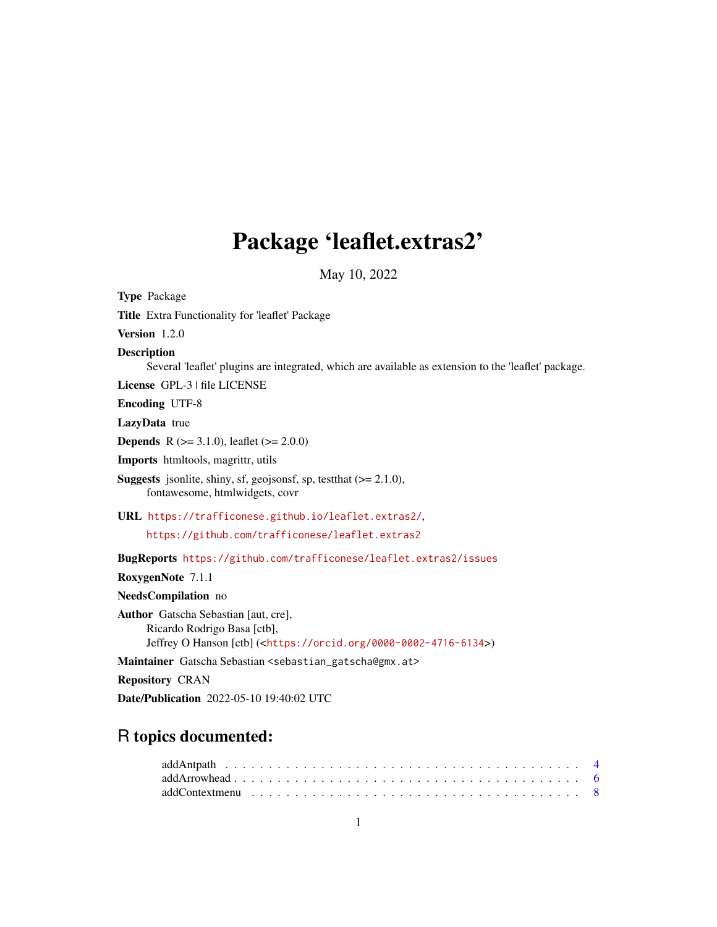# Package 'leaflet.extras2'

May 10, 2022

<span id="page-0-0"></span>Type Package Title Extra Functionality for 'leaflet' Package Version 1.2.0 Description Several 'leaflet' plugins are integrated, which are available as extension to the 'leaflet' package. License GPL-3 | file LICENSE Encoding UTF-8 LazyData true **Depends** R  $(>= 3.1.0)$ , leaflet  $(>= 2.0.0)$ Imports htmltools, magrittr, utils **Suggests** jsonlite, shiny, sf, geojsonsf, sp, test that  $(>= 2.1.0)$ , fontawesome, htmlwidgets, covr URL <https://trafficonese.github.io/leaflet.extras2/>, <https://github.com/trafficonese/leaflet.extras2> BugReports <https://github.com/trafficonese/leaflet.extras2/issues> RoxygenNote 7.1.1 NeedsCompilation no Author Gatscha Sebastian [aut, cre], Ricardo Rodrigo Basa [ctb], Jeffrey O Hanson [ctb] (<<https://orcid.org/0000-0002-4716-6134>>) Maintainer Gatscha Sebastian <sebastian\_gatscha@gmx.at> Repository CRAN Date/Publication 2022-05-10 19:40:02 UTC

# R topics documented: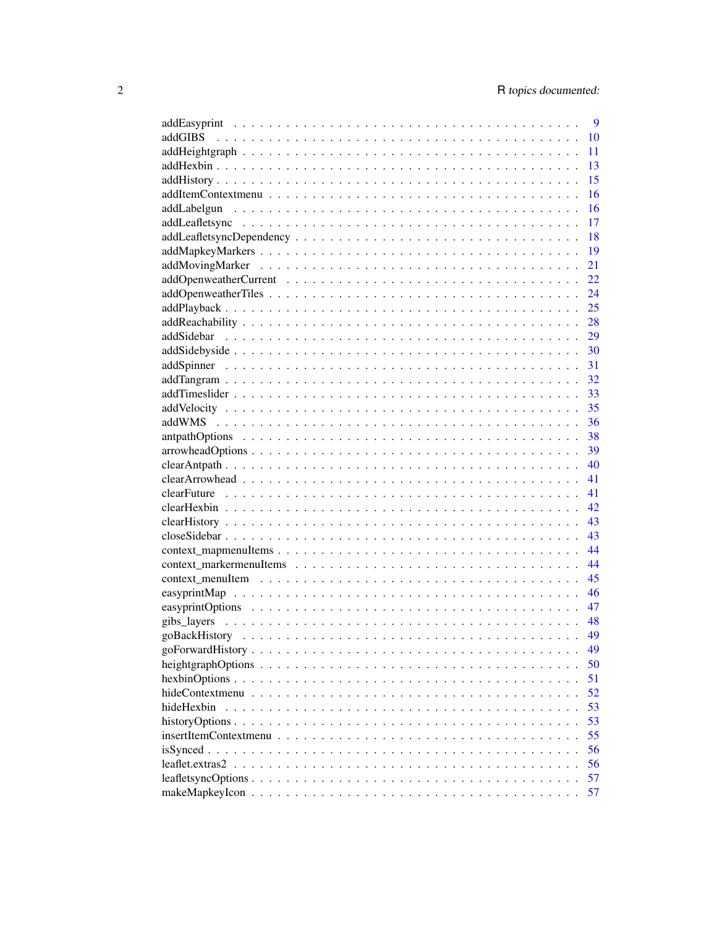|                                                                                                                          | 9  |
|--------------------------------------------------------------------------------------------------------------------------|----|
| addGIBS                                                                                                                  | 10 |
|                                                                                                                          | 11 |
|                                                                                                                          | 13 |
|                                                                                                                          | 15 |
|                                                                                                                          | 16 |
|                                                                                                                          | 16 |
|                                                                                                                          | 17 |
|                                                                                                                          | 18 |
|                                                                                                                          | 19 |
|                                                                                                                          | 21 |
|                                                                                                                          | 22 |
|                                                                                                                          | 24 |
|                                                                                                                          | 25 |
|                                                                                                                          | 28 |
|                                                                                                                          | 29 |
|                                                                                                                          | 30 |
|                                                                                                                          | 31 |
|                                                                                                                          | 32 |
|                                                                                                                          | 33 |
|                                                                                                                          | 35 |
|                                                                                                                          | 36 |
|                                                                                                                          | 38 |
|                                                                                                                          | 39 |
|                                                                                                                          | 40 |
|                                                                                                                          | 41 |
|                                                                                                                          |    |
|                                                                                                                          | 41 |
|                                                                                                                          | 42 |
|                                                                                                                          | 43 |
|                                                                                                                          | 43 |
|                                                                                                                          | 44 |
|                                                                                                                          | 44 |
|                                                                                                                          | 45 |
|                                                                                                                          | 46 |
|                                                                                                                          | 47 |
|                                                                                                                          | 48 |
|                                                                                                                          | 49 |
|                                                                                                                          | 49 |
|                                                                                                                          | 50 |
|                                                                                                                          | 51 |
|                                                                                                                          | 52 |
| hideHexbin                                                                                                               | 53 |
|                                                                                                                          | 53 |
| $insertItemContext menu \dots \dots \dots \dots \dots \dots \dots \dots \dots \dots \dots \dots \dots \dots \dots \dots$ | 55 |
|                                                                                                                          | 56 |
|                                                                                                                          | 56 |
|                                                                                                                          | 57 |
|                                                                                                                          | 57 |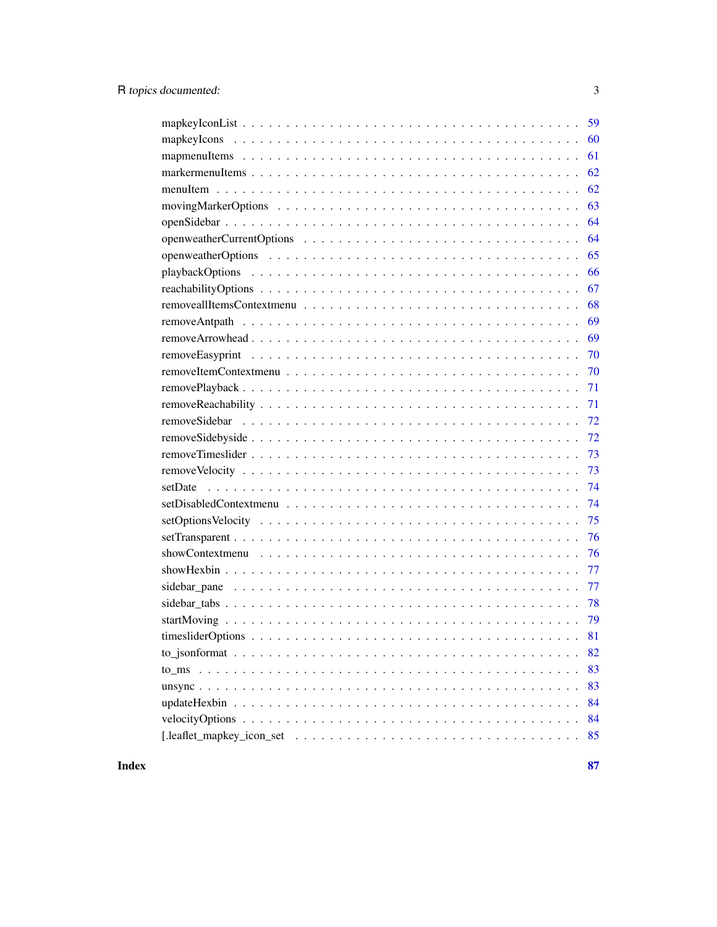| - 59 |
|------|
| 60   |
| 61   |
| 62   |
| 62   |
| 63   |
| 64   |
| 64   |
| 65   |
| 66   |
| 67   |
| 68   |
| 69   |
| 69   |
| 70   |
| 70   |
| 71   |
|      |
|      |
| 72   |
| 73   |
| 73   |
| 74   |
| 74   |
| 75   |
| 76   |
| 76   |
| 77   |
|      |
|      |
|      |
|      |
| 82   |
| 83   |
| 83   |
| 84   |
| 84   |
| 85   |

**Index [87](#page-86-0) (2008)** 2014 2022 2023 2024 2022 2023 2024 2022 2023 2024 2022 2023 2024 2022 2023 2024 2022 2023 2024 20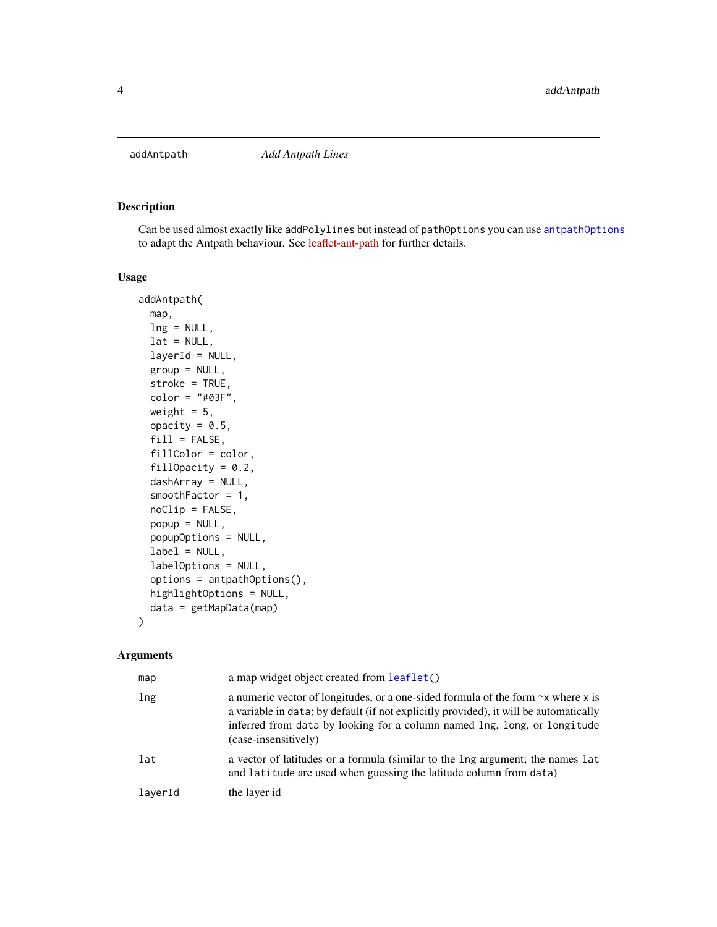<span id="page-3-0"></span>

#### Description

Can be used almost exactly like addPolylines but instead of pathOptions you can use [antpathOptions](#page-37-1) to adapt the Antpath behaviour. See [leaflet-ant-path](https://github.com/rubenspgcavalcante/leaflet-ant-path) for further details.

#### Usage

```
addAntpath(
  map,
 lng = NULL,
  lat = NULL,layerId = NULL,group = NULL,
  stroke = TRUE,
  color = "#03F",weight = 5,
  opacity = 0.5,
  fill = FALSE,fillColor = color,
  fillOpacity = 0.2,
  dashArray = NULL,
  smoothFactor = 1,
  noClip = FALSE,
 popup = NULL,
  popupOptions = NULL,
  label = NULL,labelOptions = NULL,
  options = antpathOptions(),
 highlightOptions = NULL,
  data = getMapData(map)
)
```
# Arguments

| map     | a map widget object created from leaflet()                                                                                                                                                                                                                                          |
|---------|-------------------------------------------------------------------------------------------------------------------------------------------------------------------------------------------------------------------------------------------------------------------------------------|
| lng     | a numeric vector of longitudes, or a one-sided formula of the form $\sim x$ where x is<br>a variable in data; by default (if not explicitly provided), it will be automatically<br>inferred from data by looking for a column named lng, long, or longitude<br>(case-insensitively) |
| lat     | a vector of latitudes or a formula (similar to the lng argument; the names lat<br>and latitude are used when guessing the latitude column from data)                                                                                                                                |
| layerId | the layer id                                                                                                                                                                                                                                                                        |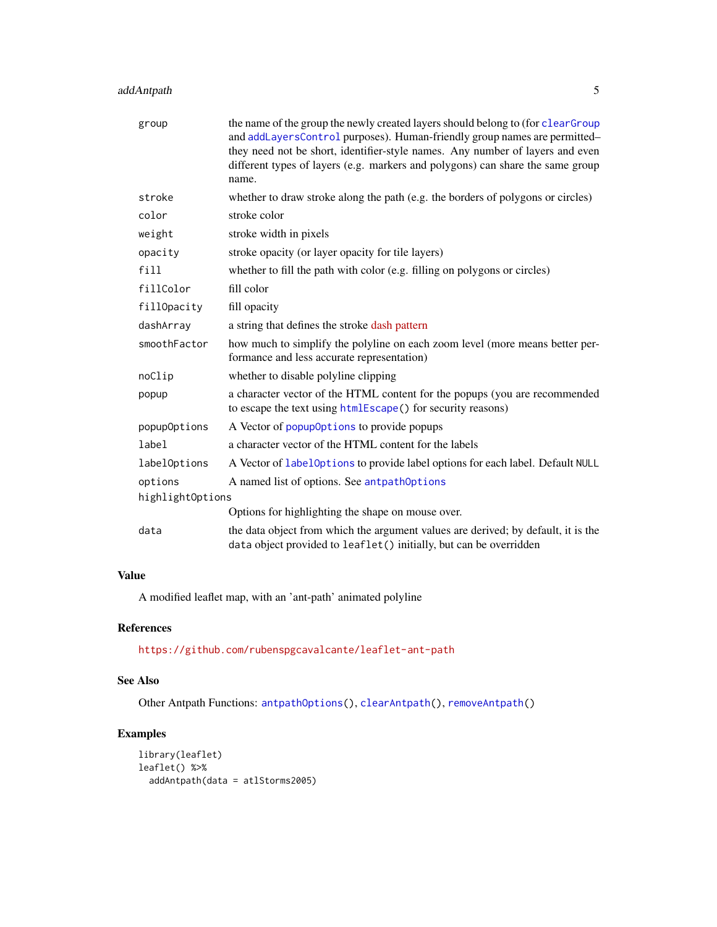# addAntpath 5

| group            | the name of the group the newly created layers should belong to (for clearGroup<br>and addLayersControl purposes). Human-friendly group names are permitted-<br>they need not be short, identifier-style names. Any number of layers and even<br>different types of layers (e.g. markers and polygons) can share the same group<br>name. |
|------------------|------------------------------------------------------------------------------------------------------------------------------------------------------------------------------------------------------------------------------------------------------------------------------------------------------------------------------------------|
| stroke           | whether to draw stroke along the path (e.g. the borders of polygons or circles)                                                                                                                                                                                                                                                          |
| color            | stroke color                                                                                                                                                                                                                                                                                                                             |
| weight           | stroke width in pixels                                                                                                                                                                                                                                                                                                                   |
| opacity          | stroke opacity (or layer opacity for tile layers)                                                                                                                                                                                                                                                                                        |
| fill             | whether to fill the path with color (e.g. filling on polygons or circles)                                                                                                                                                                                                                                                                |
| fillColor        | fill color                                                                                                                                                                                                                                                                                                                               |
| fillOpacity      | fill opacity                                                                                                                                                                                                                                                                                                                             |
| dashArray        | a string that defines the stroke dash pattern                                                                                                                                                                                                                                                                                            |
| smoothFactor     | how much to simplify the polyline on each zoom level (more means better per-<br>formance and less accurate representation)                                                                                                                                                                                                               |
| noClip           | whether to disable polyline clipping                                                                                                                                                                                                                                                                                                     |
| popup            | a character vector of the HTML content for the popups (you are recommended<br>to escape the text using htmlEscape() for security reasons)                                                                                                                                                                                                |
| popupOptions     | A Vector of popupOptions to provide popups                                                                                                                                                                                                                                                                                               |
| label            | a character vector of the HTML content for the labels                                                                                                                                                                                                                                                                                    |
| labelOptions     | A Vector of labelOptions to provide label options for each label. Default NULL                                                                                                                                                                                                                                                           |
| options          | A named list of options. See antpathOptions                                                                                                                                                                                                                                                                                              |
| highlightOptions |                                                                                                                                                                                                                                                                                                                                          |
|                  | Options for highlighting the shape on mouse over.                                                                                                                                                                                                                                                                                        |
| data             | the data object from which the argument values are derived; by default, it is the<br>data object provided to leaflet() initially, but can be overridden                                                                                                                                                                                  |

# Value

A modified leaflet map, with an 'ant-path' animated polyline

# References

<https://github.com/rubenspgcavalcante/leaflet-ant-path>

# See Also

Other Antpath Functions: [antpathOptions\(](#page-37-1)), [clearAntpath\(](#page-39-1)), [removeAntpath\(](#page-68-1))

```
library(leaflet)
leaflet() %>%
 addAntpath(data = atlStorms2005)
```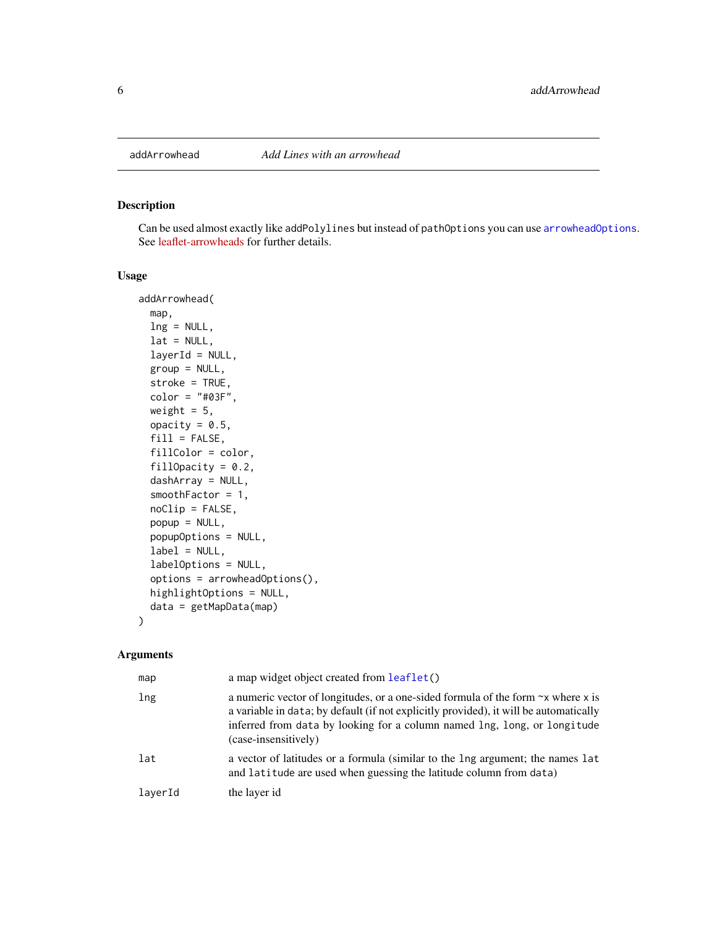# <span id="page-5-0"></span>Description

Can be used almost exactly like addPolylines but instead of pathOptions you can use [arrowheadOptions](#page-38-1). See [leaflet-arrowheads](https://github.com/slutske22/leaflet-arrowheads) for further details.

# Usage

```
addArrowhead(
  map,
 lng = NULL,
 lat = NULL,layerId = NULL,group = NULL,
  stroke = TRUE,
  color = "#03F",
 weight = 5,
  opacity = 0.5,
  fill = FALSE,fillColor = color,
  fillOpacity = 0.2,
  dashArray = NULL,
  smoothFactor = 1,
  noClip = FALSE,
 popup = NULL,popupOptions = NULL,
  label = NULL,labelOptions = NULL,
  options = arrowheadOptions(),
 highlightOptions = NULL,
  data = getMapData(map)
)
```
#### Arguments

| map     | a map widget object created from leaflet()                                                                                                                                                                                                                                          |
|---------|-------------------------------------------------------------------------------------------------------------------------------------------------------------------------------------------------------------------------------------------------------------------------------------|
| lng     | a numeric vector of longitudes, or a one-sided formula of the form $\sim$ x where x is<br>a variable in data; by default (if not explicitly provided), it will be automatically<br>inferred from data by looking for a column named lng, long, or longitude<br>(case-insensitively) |
| lat     | a vector of latitudes or a formula (similar to the lng argument; the names lat<br>and latitude are used when guessing the latitude column from data)                                                                                                                                |
| laverId | the layer id                                                                                                                                                                                                                                                                        |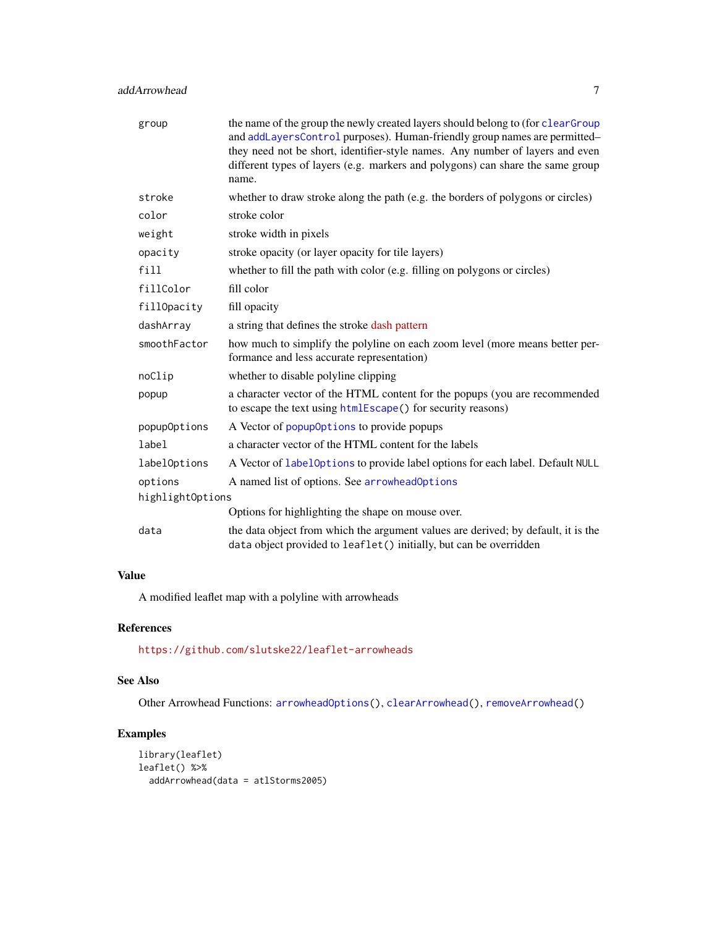# addArrowhead 7 and 7 and 7 and 7 and 7 and 7 and 7 and 7 and 7 and 7 and 7 and 7 and 7 and 7 and 7 and 7 and 7 and 7 and 7 and 7 and 7 and 7 and 7 and 7 and 7 and 7 and 7 and 7 and 7 and 7 and 7 and 7 and 7 and 7 and 7 and

| group            | the name of the group the newly created layers should belong to (for clearGroup<br>and addLayersControl purposes). Human-friendly group names are permitted-<br>they need not be short, identifier-style names. Any number of layers and even<br>different types of layers (e.g. markers and polygons) can share the same group<br>name. |
|------------------|------------------------------------------------------------------------------------------------------------------------------------------------------------------------------------------------------------------------------------------------------------------------------------------------------------------------------------------|
| stroke           | whether to draw stroke along the path (e.g. the borders of polygons or circles)                                                                                                                                                                                                                                                          |
| color            | stroke color                                                                                                                                                                                                                                                                                                                             |
| weight           | stroke width in pixels                                                                                                                                                                                                                                                                                                                   |
| opacity          | stroke opacity (or layer opacity for tile layers)                                                                                                                                                                                                                                                                                        |
| $f$ ill          | whether to fill the path with color (e.g. filling on polygons or circles)                                                                                                                                                                                                                                                                |
| fillColor        | fill color                                                                                                                                                                                                                                                                                                                               |
| fillOpacity      | fill opacity                                                                                                                                                                                                                                                                                                                             |
| dashArray        | a string that defines the stroke dash pattern                                                                                                                                                                                                                                                                                            |
| smoothFactor     | how much to simplify the polyline on each zoom level (more means better per-<br>formance and less accurate representation)                                                                                                                                                                                                               |
| noClip           | whether to disable polyline clipping                                                                                                                                                                                                                                                                                                     |
| popup            | a character vector of the HTML content for the popups (you are recommended<br>to escape the text using htmlEscape() for security reasons)                                                                                                                                                                                                |
| popupOptions     | A Vector of popup0ptions to provide popups                                                                                                                                                                                                                                                                                               |
| label            | a character vector of the HTML content for the labels                                                                                                                                                                                                                                                                                    |
| labelOptions     | A Vector of labelOptions to provide label options for each label. Default NULL                                                                                                                                                                                                                                                           |
| options          | A named list of options. See arrowheadOptions                                                                                                                                                                                                                                                                                            |
| highlightOptions |                                                                                                                                                                                                                                                                                                                                          |
|                  | Options for highlighting the shape on mouse over.                                                                                                                                                                                                                                                                                        |
| data             | the data object from which the argument values are derived; by default, it is the<br>data object provided to leaflet() initially, but can be overridden                                                                                                                                                                                  |

# Value

A modified leaflet map with a polyline with arrowheads

# References

<https://github.com/slutske22/leaflet-arrowheads>

# See Also

Other Arrowhead Functions: [arrowheadOptions\(](#page-38-1)), [clearArrowhead\(](#page-40-1)), [removeArrowhead\(](#page-68-2))

```
library(leaflet)
leaflet() %>%
  addArrowhead(data = atlStorms2005)
```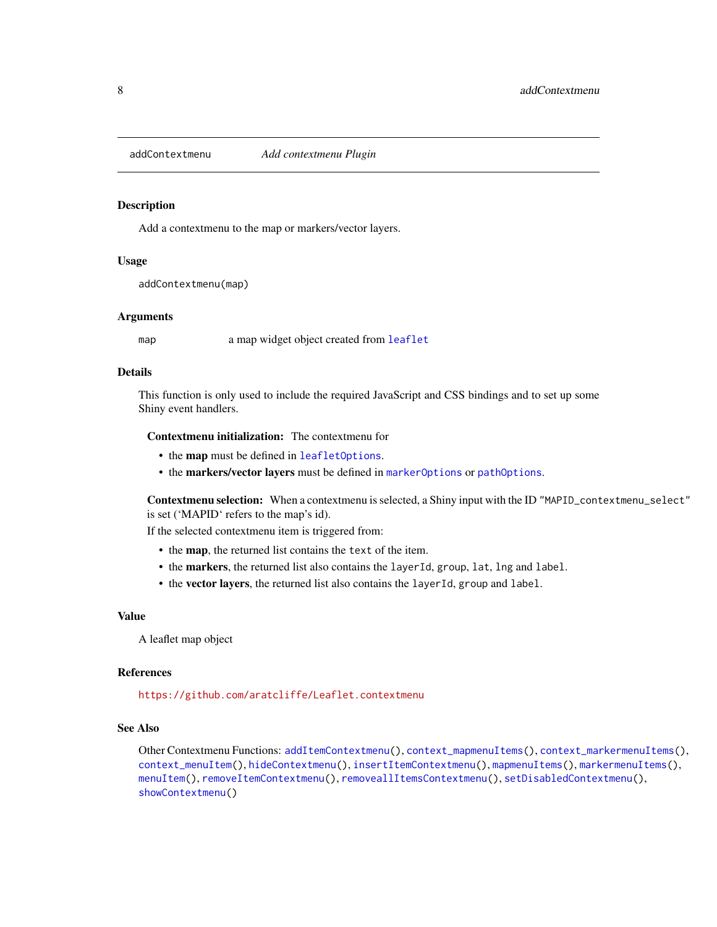<span id="page-7-1"></span><span id="page-7-0"></span>addContextmenu *Add contextmenu Plugin*

#### Description

Add a contextmenu to the map or markers/vector layers.

#### Usage

addContextmenu(map)

#### Arguments

map a map widget object created from [leaflet](#page-0-0)

#### Details

This function is only used to include the required JavaScript and CSS bindings and to set up some Shiny event handlers.

#### Contextmenu initialization: The contextmenu for

- the map must be defined in [leafletOptions](#page-0-0).
- the markers/vector layers must be defined in [markerOptions](#page-0-0) or [pathOptions](#page-0-0).

Contextmenu selection: When a contextmenu is selected, a Shiny input with the ID "MAPID\_contextmenu\_select" is set ('MAPID' refers to the map's id).

If the selected contextmenu item is triggered from:

- the map, the returned list contains the text of the item.
- the markers, the returned list also contains the layerId, group, lat, lng and label.
- the vector layers, the returned list also contains the layerId, group and label.

#### Value

A leaflet map object

#### References

<https://github.com/aratcliffe/Leaflet.contextmenu>

# See Also

Other Contextmenu Functions: [addItemContextmenu\(](#page-15-1)), [context\\_mapmenuItems\(](#page-43-1)), [context\\_markermenuItems\(](#page-43-2)), [context\\_menuItem\(](#page-44-1)), [hideContextmenu\(](#page-51-1)), [insertItemContextmenu\(](#page-54-1)), [mapmenuItems\(](#page-60-1)), [markermenuItems\(](#page-61-1)), [menuItem\(](#page-61-2)), [removeItemContextmenu\(](#page-69-1)), [removeallItemsContextmenu\(](#page-67-1)), [setDisabledContextmenu\(](#page-73-1)), [showContextmenu\(](#page-75-1))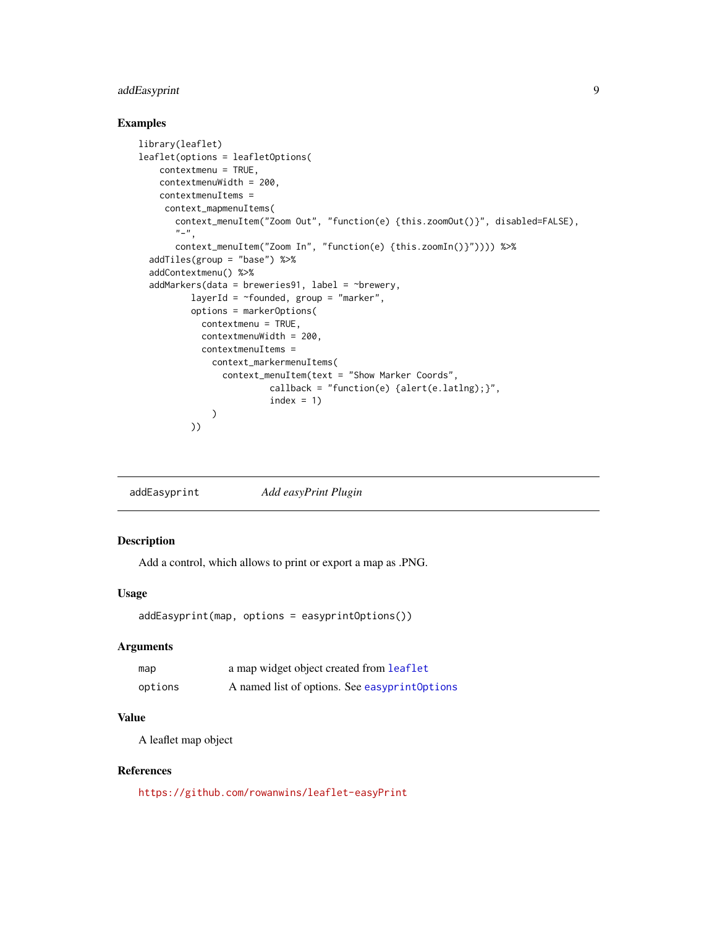# <span id="page-8-0"></span>addEasyprint 9

# Examples

```
library(leaflet)
leaflet(options = leafletOptions(
    contextmenu = TRUE,
   contextmenuWidth = 200,
   contextmenuItems =
    context_mapmenuItems(
       context_menuItem("Zoom Out", "function(e) {this.zoomOut()}", disabled=FALSE),
       "-",
       context_menuItem("Zoom In", "function(e) {this.zoomIn()}")))) %>%
  addTiles(group = "base") %>%
  addContextmenu() %>%
  addMarkers(data = breweries91, label = \simbrewery,
          layerId = \simfounded, group = "marker",
          options = markerOptions(
            contextmenu = TRUE,
            contextmenuWidth = 200,
            contextmenuItems =
              context_markermenuItems(
                context_menuItem(text = "Show Marker Coords",
                         callback = "function(e) {alert(e.latlng);}",
                         index = 1)
          ))
```

|  | addEasyprint | Add easyPrint Plugin |
|--|--------------|----------------------|
|--|--------------|----------------------|

# Description

Add a control, which allows to print or export a map as .PNG.

# Usage

```
addEasyprint(map, options = easyprintOptions())
```
# Arguments

| map     | a map widget object created from leaflet       |
|---------|------------------------------------------------|
| options | A named list of options. See easyprint Options |

# Value

A leaflet map object

# References

<https://github.com/rowanwins/leaflet-easyPrint>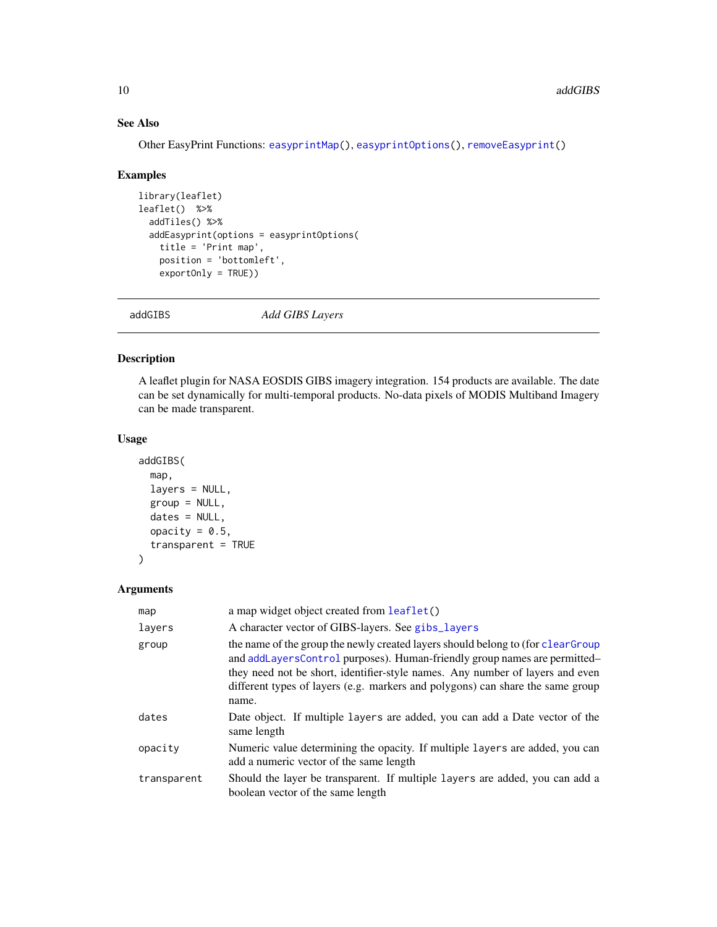# See Also

Other EasyPrint Functions: [easyprintMap\(](#page-45-1)), [easyprintOptions\(](#page-46-1)), [removeEasyprint\(](#page-69-2))

#### Examples

```
library(leaflet)
leaflet() %>%
  addTiles() %>%
  addEasyprint(options = easyprintOptions(
    title = 'Print map',
    position = 'bottomleft',
    exportOnly = TRUE))
```
addGIBS *Add GIBS Layers*

# Description

A leaflet plugin for NASA EOSDIS GIBS imagery integration. 154 products are available. The date can be set dynamically for multi-temporal products. No-data pixels of MODIS Multiband Imagery can be made transparent.

#### Usage

```
addGIBS(
  map,
  layers = NULL,
  group = NULL,dates = NULL,
  opacity = 0.5,
  transparent = TRUE
\mathcal{L}
```
#### Arguments

| map         | a map widget object created from leaflet()                                                                                                                                                                                                                                                                                               |
|-------------|------------------------------------------------------------------------------------------------------------------------------------------------------------------------------------------------------------------------------------------------------------------------------------------------------------------------------------------|
| layers      | A character vector of GIBS-layers. See gibs_layers                                                                                                                                                                                                                                                                                       |
| group       | the name of the group the newly created layers should belong to (for clearGroup<br>and addLayersControl purposes). Human-friendly group names are permitted-<br>they need not be short, identifier-style names. Any number of layers and even<br>different types of layers (e.g. markers and polygons) can share the same group<br>name. |
| dates       | Date object. If multiple layers are added, you can add a Date vector of the<br>same length                                                                                                                                                                                                                                               |
| opacity     | Numeric value determining the opacity. If multiple layers are added, you can<br>add a numeric vector of the same length                                                                                                                                                                                                                  |
| transparent | Should the layer be transparent. If multiple layers are added, you can add a<br>boolean vector of the same length                                                                                                                                                                                                                        |

<span id="page-9-0"></span>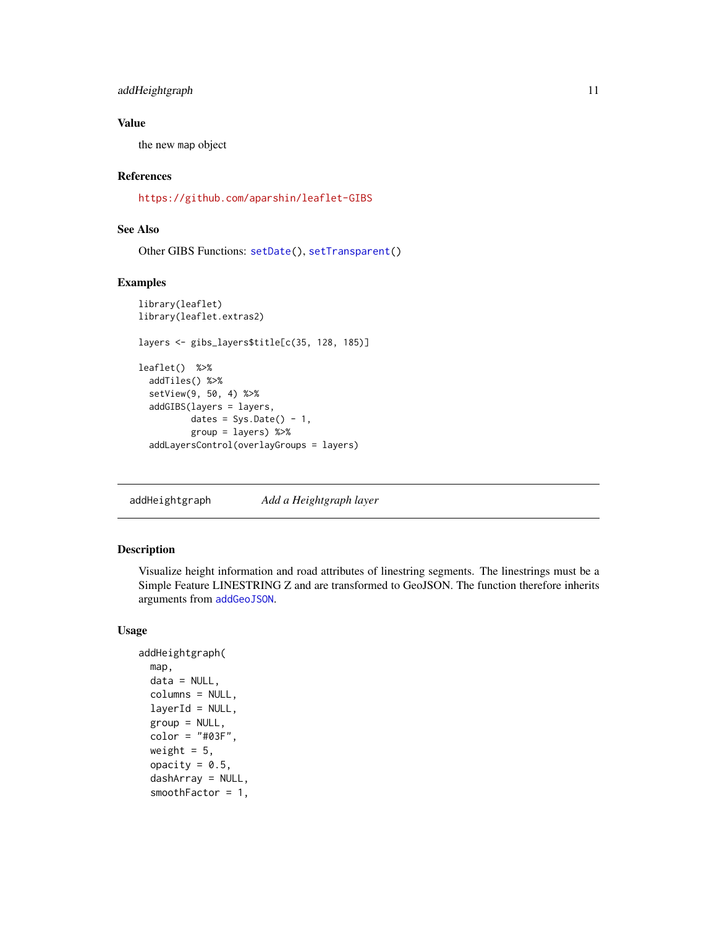# <span id="page-10-0"></span>addHeightgraph 11

#### Value

the new map object

#### References

<https://github.com/aparshin/leaflet-GIBS>

# See Also

Other GIBS Functions: [setDate\(](#page-73-2)), [setTransparent\(](#page-75-2))

### Examples

```
library(leaflet)
library(leaflet.extras2)
layers <- gibs_layers$title[c(35, 128, 185)]
leaflet() %>%
  addTiles() %>%
  setView(9, 50, 4) %>%
  addGIBS(layers = layers,
          dates = Sys.Date() - 1,
          group = layers) %>%
  addLayersControl(overlayGroups = layers)
```
addHeightgraph *Add a Heightgraph layer*

#### Description

Visualize height information and road attributes of linestring segments. The linestrings must be a Simple Feature LINESTRING Z and are transformed to GeoJSON. The function therefore inherits arguments from [addGeoJSON](#page-0-0).

```
addHeightgraph(
  map,
  data = NULL,
  columns = NULL,
  layerId = NULL,
  group = NULL,color = "#03F",weight = 5,
  opacity = 0.5,
  dashArray = NULL,
  smoothFactor = 1,
```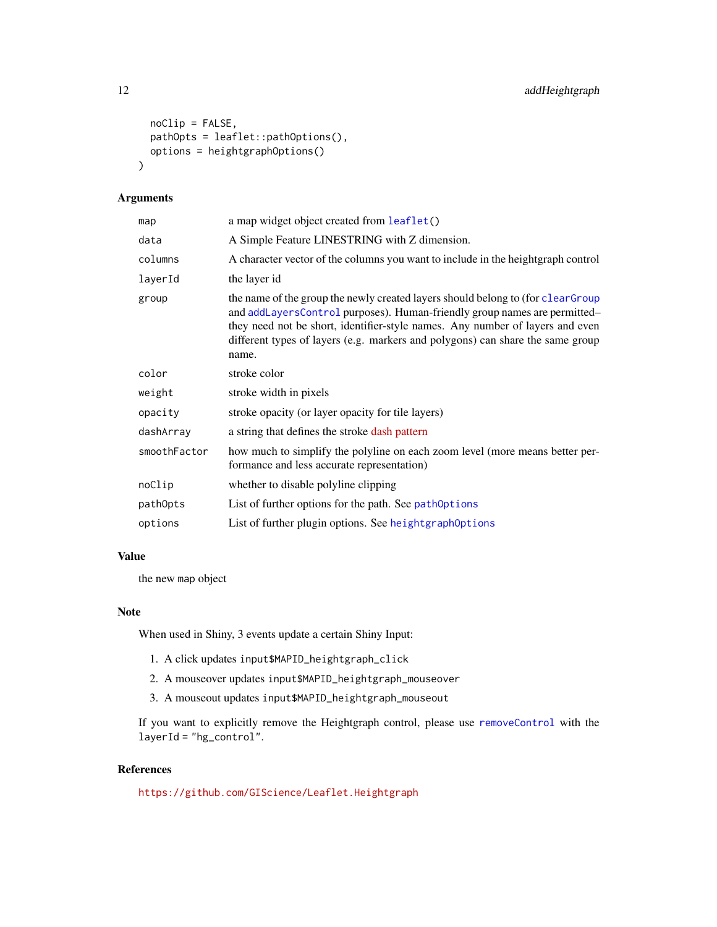```
noClip = FALSE,
 pathOpts = leaflet::pathOptions(),
 options = heightgraphOptions()
\lambda
```
# Arguments

| map          | a map widget object created from leaflet()                                                                                                                                                                                                                                                                                               |
|--------------|------------------------------------------------------------------------------------------------------------------------------------------------------------------------------------------------------------------------------------------------------------------------------------------------------------------------------------------|
| data         | A Simple Feature LINESTRING with Z dimension.                                                                                                                                                                                                                                                                                            |
| columns      | A character vector of the columns you want to include in the heightgraph control                                                                                                                                                                                                                                                         |
| layerId      | the layer id                                                                                                                                                                                                                                                                                                                             |
| group        | the name of the group the newly created layers should belong to (for clearGroup<br>and addLayersControl purposes). Human-friendly group names are permitted-<br>they need not be short, identifier-style names. Any number of layers and even<br>different types of layers (e.g. markers and polygons) can share the same group<br>name. |
| color        | stroke color                                                                                                                                                                                                                                                                                                                             |
| weight       | stroke width in pixels                                                                                                                                                                                                                                                                                                                   |
| opacity      | stroke opacity (or layer opacity for tile layers)                                                                                                                                                                                                                                                                                        |
| dashArray    | a string that defines the stroke dash pattern                                                                                                                                                                                                                                                                                            |
| smoothFactor | how much to simplify the polyline on each zoom level (more means better per-<br>formance and less accurate representation)                                                                                                                                                                                                               |
| noClip       | whether to disable polyline clipping                                                                                                                                                                                                                                                                                                     |
| pathOpts     | List of further options for the path. See pathOptions                                                                                                                                                                                                                                                                                    |
| options      | List of further plugin options. See heightgraph0ptions                                                                                                                                                                                                                                                                                   |

#### Value

the new map object

#### Note

When used in Shiny, 3 events update a certain Shiny Input:

- 1. A click updates input\$MAPID\_heightgraph\_click
- 2. A mouseover updates input\$MAPID\_heightgraph\_mouseover
- 3. A mouseout updates input\$MAPID\_heightgraph\_mouseout

If you want to explicitly remove the Heightgraph control, please use [removeControl](#page-0-0) with the layerId = "hg\_control".

# References

<https://github.com/GIScience/Leaflet.Heightgraph>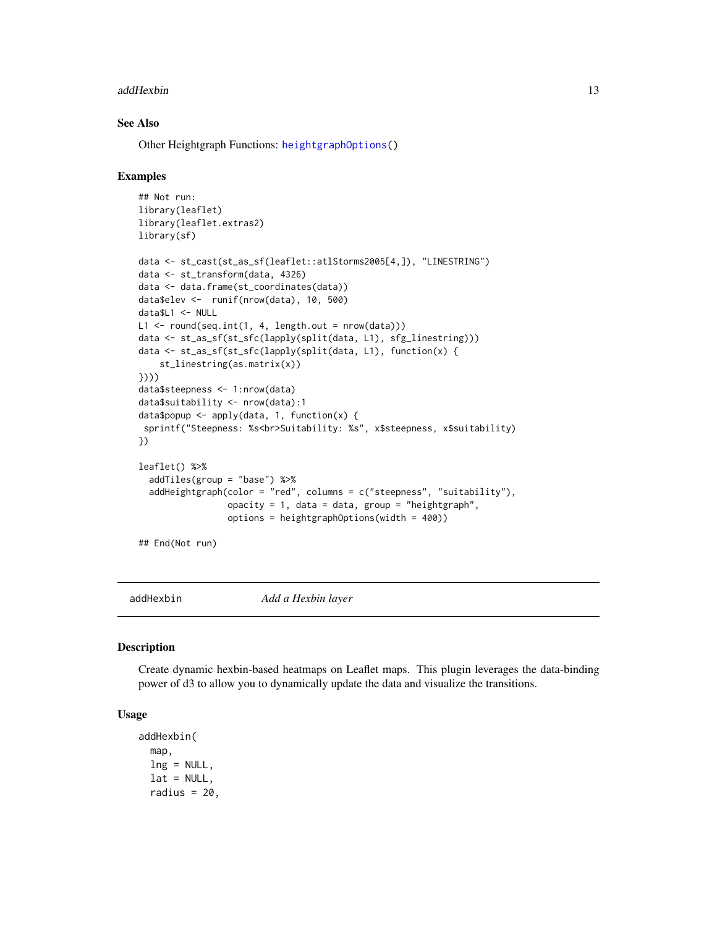#### <span id="page-12-0"></span>addHexbin 13

# See Also

Other Heightgraph Functions: [heightgraphOptions\(](#page-49-1))

#### Examples

```
## Not run:
library(leaflet)
library(leaflet.extras2)
library(sf)
data <- st_cast(st_as_sf(leaflet::atlStorms2005[4,]), "LINESTRING")
data <- st_transform(data, 4326)
data <- data.frame(st_coordinates(data))
data$elev <- runif(nrow(data), 10, 500)
data$L1 <- NULL
L1 \leftarrow round(seq.int(1, 4, length.out = nrow(data)))
data <- st_as_sf(st_sfc(lapply(split(data, L1), sfg_linestring)))
data <- st_as_sf(st_sfc(lapply(split(data, L1), function(x) {
    st_linestring(as.matrix(x))
})))
data$steepness <- 1:nrow(data)
data$suitability <- nrow(data):1
data$popup <- apply(data, 1, function(x) {
 sprintf("Steepness: %s<br>Suitability: %s", x$steepness, x$suitability)
})
leaflet() %>%
  addTiles(group = "base") %>%
  addHeightgraph(color = "red", columns = c("steepness", "suitability"),
                 opacity = 1, data = data, group = "heightgraph",options = heightgraphOptions(width = 400))
## End(Not run)
```
addHexbin *Add a Hexbin layer*

#### **Description**

Create dynamic hexbin-based heatmaps on Leaflet maps. This plugin leverages the data-binding power of d3 to allow you to dynamically update the data and visualize the transitions.

```
addHexbin(
 map,
  ln g = NULL,lat = NULL,radius = 20,
```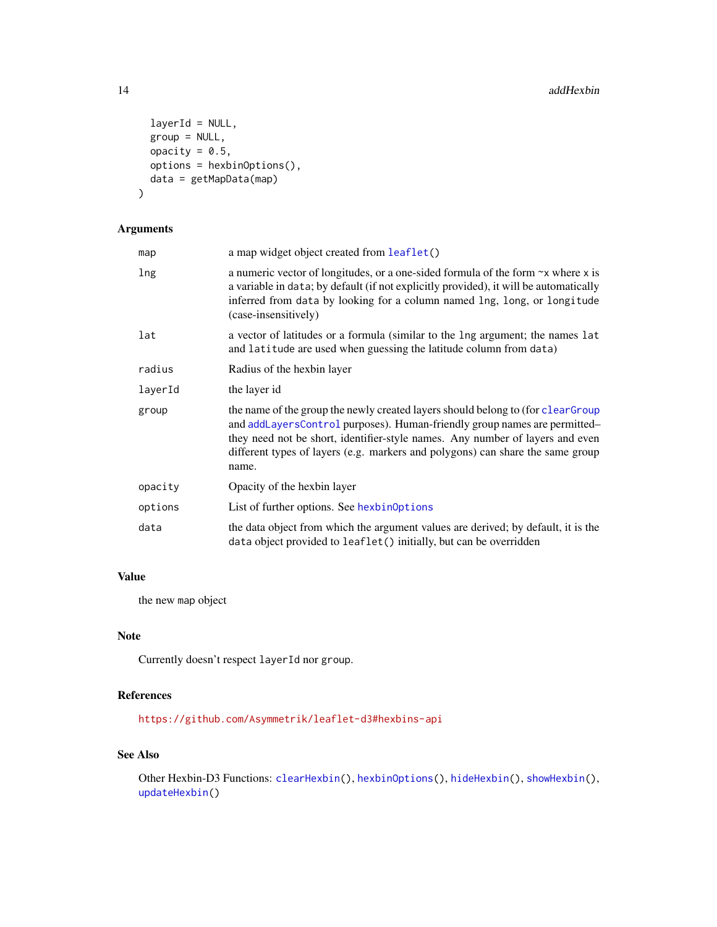```
layerId = NULL,group = NULL,
 opacity = 0.5,
 options = hexbinOptions(),
 data = getMapData(map)
)
```
# Arguments

| map     | a map widget object created from leaflet()                                                                                                                                                                                                                                                                                                |
|---------|-------------------------------------------------------------------------------------------------------------------------------------------------------------------------------------------------------------------------------------------------------------------------------------------------------------------------------------------|
| lng     | a numeric vector of longitudes, or a one-sided formula of the form $\sim x$ where x is<br>a variable in data; by default (if not explicitly provided), it will be automatically<br>inferred from data by looking for a column named lng, long, or longitude<br>(case-insensitively)                                                       |
| lat     | a vector of latitudes or a formula (similar to the lng argument; the names lat<br>and latitude are used when guessing the latitude column from data)                                                                                                                                                                                      |
| radius  | Radius of the hexbin layer                                                                                                                                                                                                                                                                                                                |
| layerId | the layer id                                                                                                                                                                                                                                                                                                                              |
| group   | the name of the group the newly created layers should belong to (for clear Group<br>and addLayersControl purposes). Human-friendly group names are permitted-<br>they need not be short, identifier-style names. Any number of layers and even<br>different types of layers (e.g. markers and polygons) can share the same group<br>name. |
| opacity | Opacity of the hexbin layer                                                                                                                                                                                                                                                                                                               |
| options | List of further options. See hexbinOptions                                                                                                                                                                                                                                                                                                |
| data    | the data object from which the argument values are derived; by default, it is the<br>data object provided to leaflet() initially, but can be overridden                                                                                                                                                                                   |

# Value

the new map object

# Note

Currently doesn't respect layerId nor group.

# References

<https://github.com/Asymmetrik/leaflet-d3#hexbins-api>

# See Also

Other Hexbin-D3 Functions: [clearHexbin\(](#page-41-1)), [hexbinOptions\(](#page-50-1)), [hideHexbin\(](#page-52-1)), [showHexbin\(](#page-76-1)), [updateHexbin\(](#page-83-1))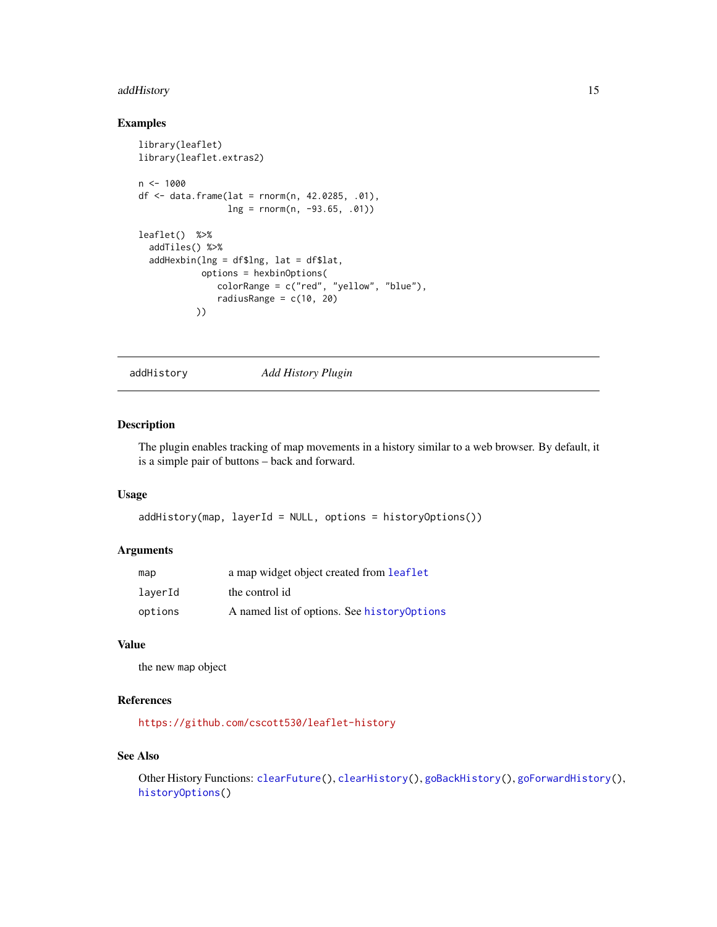# <span id="page-14-0"></span>addHistory 15

# Examples

```
library(leaflet)
library(leaflet.extras2)
n < -1000df <- data.frame(lat = rnorm(n, 42.0285, .01),
                ln g = rnorm(n, -93.65, .01)leaflet() %>%
  addTiles() %>%
  addHexbin(lng = df$lng, lat = df$lat,
           options = hexbinOptions(
               colorRange = c("red", "yellow", "blue"),
               radiusRange = c(10, 20)))
```
addHistory *Add History Plugin*

# Description

The plugin enables tracking of map movements in a history similar to a web browser. By default, it is a simple pair of buttons – back and forward.

#### Usage

addHistory(map, layerId = NULL, options = historyOptions())

#### Arguments

| map     | a map widget object created from leaflet     |
|---------|----------------------------------------------|
| laverId | the control id                               |
| options | A named list of options. See history Options |

#### Value

the new map object

# References

<https://github.com/cscott530/leaflet-history>

#### See Also

Other History Functions: [clearFuture\(](#page-40-2)), [clearHistory\(](#page-42-1)), [goBackHistory\(](#page-48-1)), [goForwardHistory\(](#page-48-2)), [historyOptions\(](#page-52-2))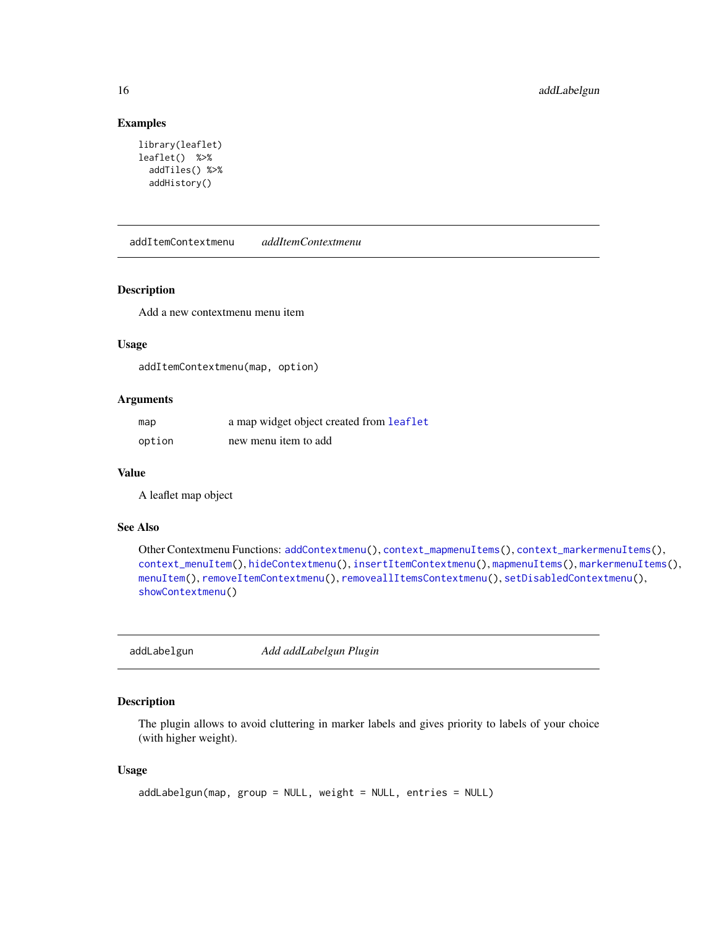# Examples

```
library(leaflet)
leaflet() %>%
  addTiles() %>%
  addHistory()
```
<span id="page-15-1"></span>addItemContextmenu *addItemContextmenu*

#### Description

Add a new contextmenu menu item

#### Usage

addItemContextmenu(map, option)

# Arguments

| map    | a map widget object created from leaflet |
|--------|------------------------------------------|
| option | new menu item to add                     |

#### Value

A leaflet map object

#### See Also

```
Other Contextmenu Functions: addContextmenu(), context_mapmenuItems(), context_markermenuItems(),
context_menuItem(), hideContextmenu(), insertItemContextmenu(), mapmenuItems(), markermenuItems(),
menuItem(), removeItemContextmenu(), removeallItemsContextmenu(), setDisabledContextmenu(),
showContextmenu()
```
addLabelgun *Add addLabelgun Plugin*

#### Description

The plugin allows to avoid cluttering in marker labels and gives priority to labels of your choice (with higher weight).

```
addLabelgun(map, group = NULL, weight = NULL, entries = NULL)
```
<span id="page-15-0"></span>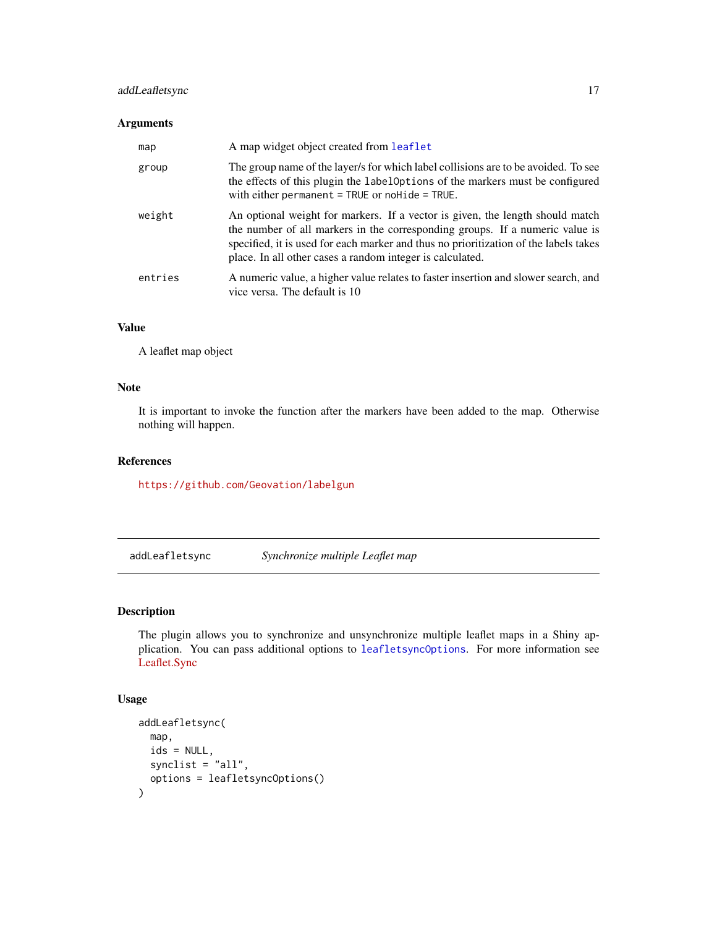# <span id="page-16-0"></span>addLeafletsync 17

#### Arguments

| map     | A map widget object created from leaflet                                                                                                                                                                                                                                                                           |
|---------|--------------------------------------------------------------------------------------------------------------------------------------------------------------------------------------------------------------------------------------------------------------------------------------------------------------------|
| group   | The group name of the layer/s for which label collisions are to be avoided. To see<br>the effects of this plugin the label Options of the markers must be configured<br>with either permanent $=$ TRUE or no Hide $=$ TRUE.                                                                                        |
| weight  | An optional weight for markers. If a vector is given, the length should match<br>the number of all markers in the corresponding groups. If a numeric value is<br>specified, it is used for each marker and thus no prioritization of the labels takes<br>place. In all other cases a random integer is calculated. |
| entries | A numeric value, a higher value relates to faster insertion and slower search, and<br>vice versa. The default is 10                                                                                                                                                                                                |

#### Value

A leaflet map object

#### Note

It is important to invoke the function after the markers have been added to the map. Otherwise nothing will happen.

#### References

<https://github.com/Geovation/labelgun>

<span id="page-16-1"></span>addLeafletsync *Synchronize multiple Leaflet map*

# Description

The plugin allows you to synchronize and unsynchronize multiple leaflet maps in a Shiny application. You can pass additional options to [leafletsyncOptions](#page-56-1). For more information see [Leaflet.Sync](https://github.com/jieter/Leaflet.Sync)

```
addLeafletsync(
 map,
  ids = NULL,synclist = "all",
  options = leafletsyncOptions()
\mathcal{E}
```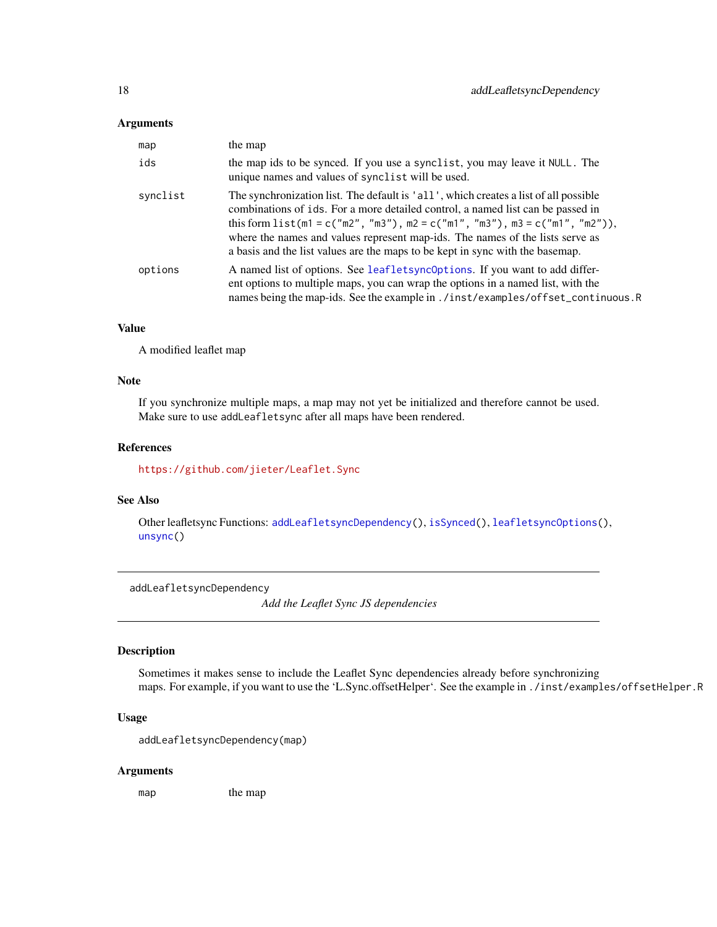#### <span id="page-17-0"></span>Arguments

| map      | the map                                                                                                                                                                                                                                                                                                                                                                                                                     |
|----------|-----------------------------------------------------------------------------------------------------------------------------------------------------------------------------------------------------------------------------------------------------------------------------------------------------------------------------------------------------------------------------------------------------------------------------|
| ids      | the map ids to be synced. If you use a synclist, you may leave it NULL. The<br>unique names and values of synclist will be used.                                                                                                                                                                                                                                                                                            |
| synclist | The synchronization list. The default is 'all', which creates a list of all possible<br>combinations of ids. For a more detailed control, a named list can be passed in<br>this form $list(m1 = c("m2", 'm3"), m2 = c("m1", 'm3"), m3 = c("m1", 'm2"))$ ,<br>where the names and values represent map-ids. The names of the lists serve as<br>a basis and the list values are the maps to be kept in sync with the basemap. |
| options  | A named list of options. See leafletsync0ptions. If you want to add differ-<br>ent options to multiple maps, you can wrap the options in a named list, with the<br>names being the map-ids. See the example in ./inst/examples/offset_continuous.R                                                                                                                                                                          |

# Value

A modified leaflet map

#### Note

If you synchronize multiple maps, a map may not yet be initialized and therefore cannot be used. Make sure to use addLeafletsync after all maps have been rendered.

#### References

<https://github.com/jieter/Leaflet.Sync>

#### See Also

Other leafletsync Functions: [addLeafletsyncDependency\(](#page-17-1)), [isSynced\(](#page-55-1)), [leafletsyncOptions\(](#page-56-1)), [unsync\(](#page-82-1))

<span id="page-17-1"></span>addLeafletsyncDependency

*Add the Leaflet Sync JS dependencies*

# Description

Sometimes it makes sense to include the Leaflet Sync dependencies already before synchronizing maps. For example, if you want to use the 'L.Sync.offsetHelper'. See the example in ./inst/examples/offsetHelper.R

#### Usage

```
addLeafletsyncDependency(map)
```
#### Arguments

map the map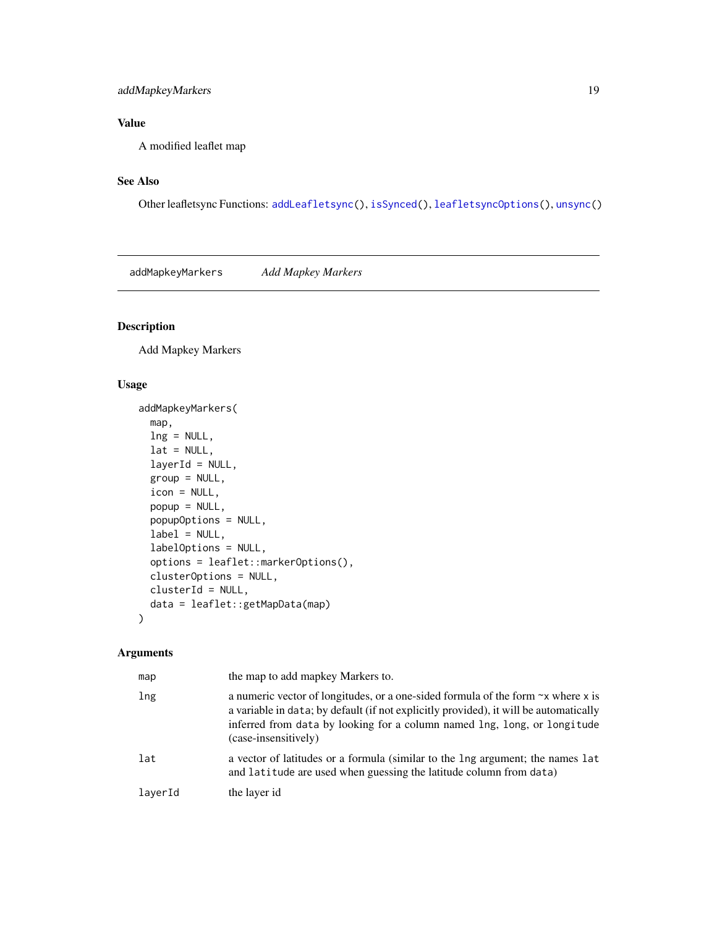# <span id="page-18-0"></span>addMapkeyMarkers 19

# Value

A modified leaflet map

# See Also

Other leafletsync Functions: [addLeafletsync\(](#page-16-1)), [isSynced\(](#page-55-1)), [leafletsyncOptions\(](#page-56-1)), [unsync\(](#page-82-1))

addMapkeyMarkers *Add Mapkey Markers*

# Description

Add Mapkey Markers

# Usage

```
addMapkeyMarkers(
  map,
  ln g = NULL,lat = NULL,layerId = NULL,group = NULL,
  icon = NULL,
  popup = NULL,popupOptions = NULL,
  label = NULL,labelOptions = NULL,
  options = leaflet::markerOptions(),
  clusterOptions = NULL,
  clusterId = NULL,
  data = leaflet::getMapData(map)
\mathcal{L}
```
# Arguments

| map     | the map to add mapkey Markers to.                                                                                                                                                                                                                                                   |
|---------|-------------------------------------------------------------------------------------------------------------------------------------------------------------------------------------------------------------------------------------------------------------------------------------|
| lng     | a numeric vector of longitudes, or a one-sided formula of the form $\sim x$ where x is<br>a variable in data; by default (if not explicitly provided), it will be automatically<br>inferred from data by looking for a column named lng, long, or longitude<br>(case-insensitively) |
| lat     | a vector of latitudes or a formula (similar to the lng argument; the names lat<br>and latitude are used when guessing the latitude column from data)                                                                                                                                |
| laverId | the layer id                                                                                                                                                                                                                                                                        |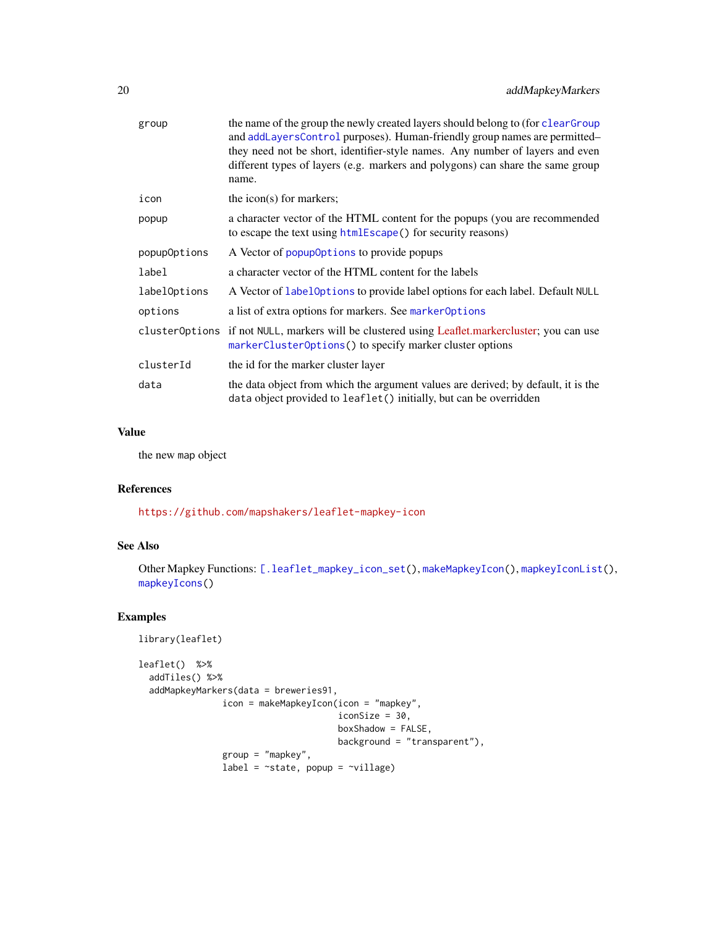| group        | the name of the group the newly created layers should belong to (for clear Group<br>and addLayersControl purposes). Human-friendly group names are permitted-<br>they need not be short, identifier-style names. Any number of layers and even<br>different types of layers (e.g. markers and polygons) can share the same group<br>name. |
|--------------|-------------------------------------------------------------------------------------------------------------------------------------------------------------------------------------------------------------------------------------------------------------------------------------------------------------------------------------------|
| icon         | the icon(s) for markers;                                                                                                                                                                                                                                                                                                                  |
| popup        | a character vector of the HTML content for the popups (you are recommended<br>to escape the text using htmlEscape() for security reasons)                                                                                                                                                                                                 |
| popupOptions | A Vector of popup0ptions to provide popups                                                                                                                                                                                                                                                                                                |
| label        | a character vector of the HTML content for the labels                                                                                                                                                                                                                                                                                     |
| labelOptions | A Vector of labeloptions to provide label options for each label. Default NULL                                                                                                                                                                                                                                                            |
| options      | a list of extra options for markers. See marker Options                                                                                                                                                                                                                                                                                   |
|              | cluster0ptions if not NULL, markers will be clustered using Leaflet.markercluster; you can use<br>markerClusterOptions() to specify marker cluster options                                                                                                                                                                                |
| clusterId    | the id for the marker cluster layer                                                                                                                                                                                                                                                                                                       |
| data         | the data object from which the argument values are derived; by default, it is the<br>data object provided to leaflet () initially, but can be overridden                                                                                                                                                                                  |

# Value

the new map object

# References

<https://github.com/mapshakers/leaflet-mapkey-icon>

#### See Also

Other Mapkey Functions: [\[.leaflet\\_mapkey\\_icon\\_set\(](#page-84-1)), [makeMapkeyIcon\(](#page-56-2)), [mapkeyIconList\(](#page-58-1)), [mapkeyIcons\(](#page-59-1))

```
library(leaflet)
leaflet() %>%
  addTiles() %>%
  addMapkeyMarkers(data = breweries91,
                  icon = makeMapkeyIcon(icon = "mapkey",
                                          iconSize = 30,
                                           boxShadow = FALSE,
                                           background = "transparent"),
                  group = "mapkey",
                  label = <math>\sim</math> state, popup = <math>\sim</math>ville)
```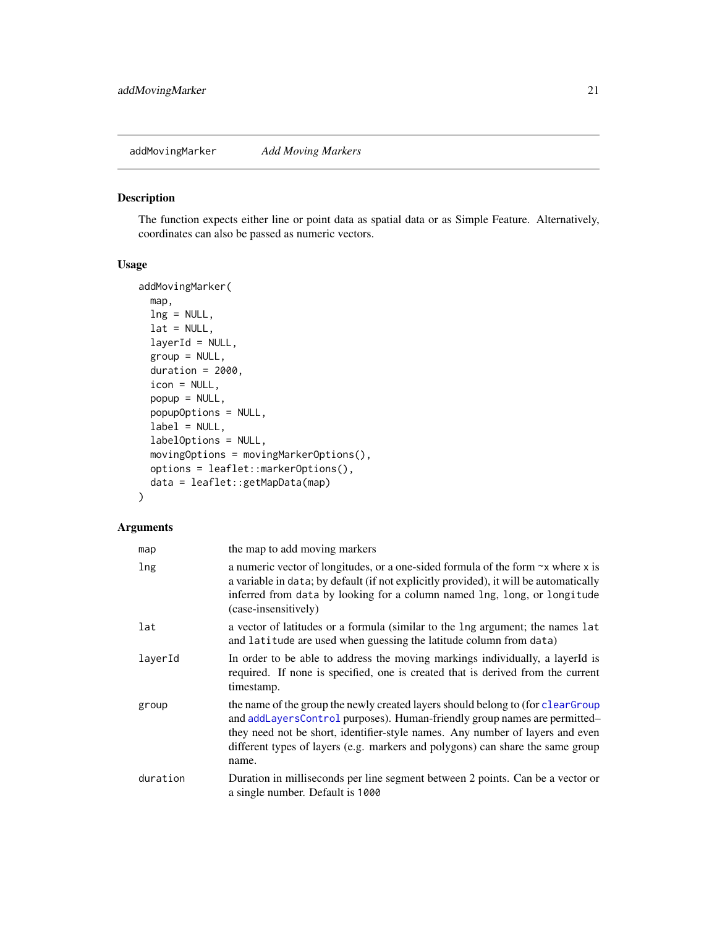<span id="page-20-0"></span>addMovingMarker *Add Moving Markers*

#### Description

The function expects either line or point data as spatial data or as Simple Feature. Alternatively, coordinates can also be passed as numeric vectors.

#### Usage

```
addMovingMarker(
  map,
  lng = NULL,
  lat = NULL,layerId = NULL,group = NULL,
  duration = 2000,
  icon = NULL,
  popup = NULL,
  popupOptions = NULL,
  label = NULL,labelOptions = NULL,
  movingOptions = movingMarkerOptions(),
  options = leaflet::markerOptions(),
  data = leaflet::getMapData(map)
)
```
# Arguments

| map      | the map to add moving markers                                                                                                                                                                                                                                                                                                             |
|----------|-------------------------------------------------------------------------------------------------------------------------------------------------------------------------------------------------------------------------------------------------------------------------------------------------------------------------------------------|
| lng      | a numeric vector of longitudes, or a one-sided formula of the form $\sim$ x where x is<br>a variable in data; by default (if not explicitly provided), it will be automatically<br>inferred from data by looking for a column named lng, long, or longitude<br>(case-insensitively)                                                       |
| lat      | a vector of latitudes or a formula (similar to the lng argument; the names lat<br>and latitude are used when guessing the latitude column from data)                                                                                                                                                                                      |
| layerId  | In order to be able to address the moving markings individually, a layerId is<br>required. If none is specified, one is created that is derived from the current<br>timestamp.                                                                                                                                                            |
| group    | the name of the group the newly created layers should belong to (for clear Group<br>and addLayersControl purposes). Human-friendly group names are permitted-<br>they need not be short, identifier-style names. Any number of layers and even<br>different types of layers (e.g. markers and polygons) can share the same group<br>name. |
| duration | Duration in milliseconds per line segment between 2 points. Can be a vector or<br>a single number. Default is 1000                                                                                                                                                                                                                        |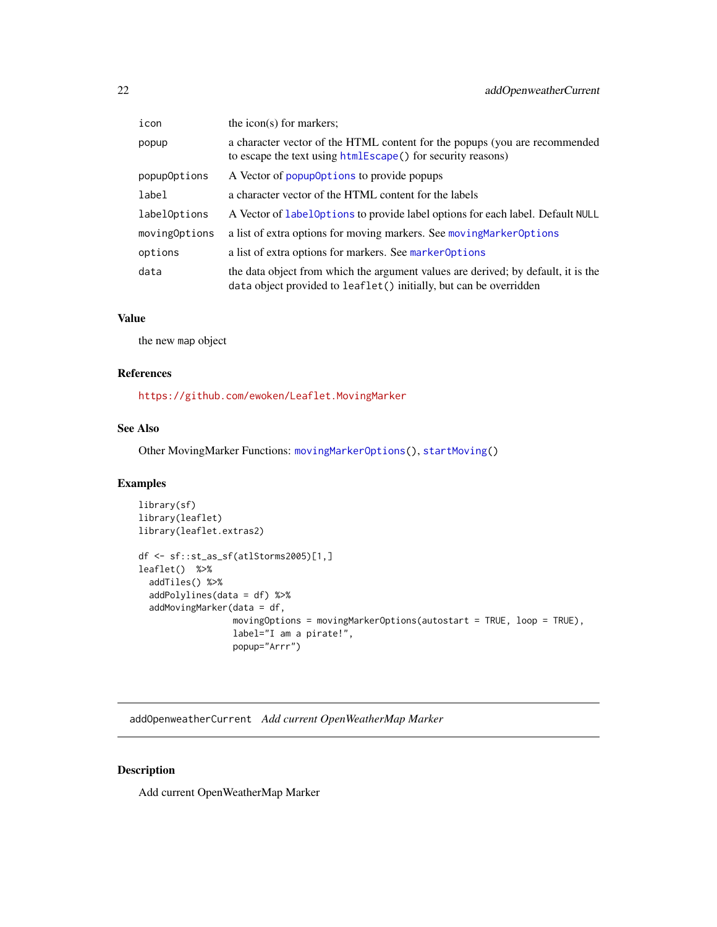<span id="page-21-0"></span>

| icon          | the icon(s) for markers;                                                                                                                                 |
|---------------|----------------------------------------------------------------------------------------------------------------------------------------------------------|
| popup         | a character vector of the HTML content for the popups (you are recommended<br>to escape the text using htmlEscape() for security reasons)                |
| popupOptions  | A Vector of popup0ptions to provide popups                                                                                                               |
| label         | a character vector of the HTML content for the labels                                                                                                    |
| labelOptions  | A Vector of LabelOptions to provide label options for each label. Default NULL                                                                           |
| movingOptions | a list of extra options for moving markers. See moving Marker Options                                                                                    |
| options       | a list of extra options for markers. See marker Options                                                                                                  |
| data          | the data object from which the argument values are derived; by default, it is the<br>data object provided to leaflet () initially, but can be overridden |

#### Value

the new map object

# References

<https://github.com/ewoken/Leaflet.MovingMarker>

# See Also

Other MovingMarker Functions: [movingMarkerOptions\(](#page-62-1)), [startMoving\(](#page-78-1))

# Examples

```
library(sf)
library(leaflet)
library(leaflet.extras2)
df <- sf::st_as_sf(atlStorms2005)[1,]
leaflet() %>%
  addTiles() %>%
  addPolylines(data = df) %>%
  addMovingMarker(data = df,
                  movingOptions = movingMarkerOptions(autostart = TRUE, loop = TRUE),
                  label="I am a pirate!",
                  popup="Arrr")
```
<span id="page-21-1"></span>addOpenweatherCurrent *Add current OpenWeatherMap Marker*

# Description

Add current OpenWeatherMap Marker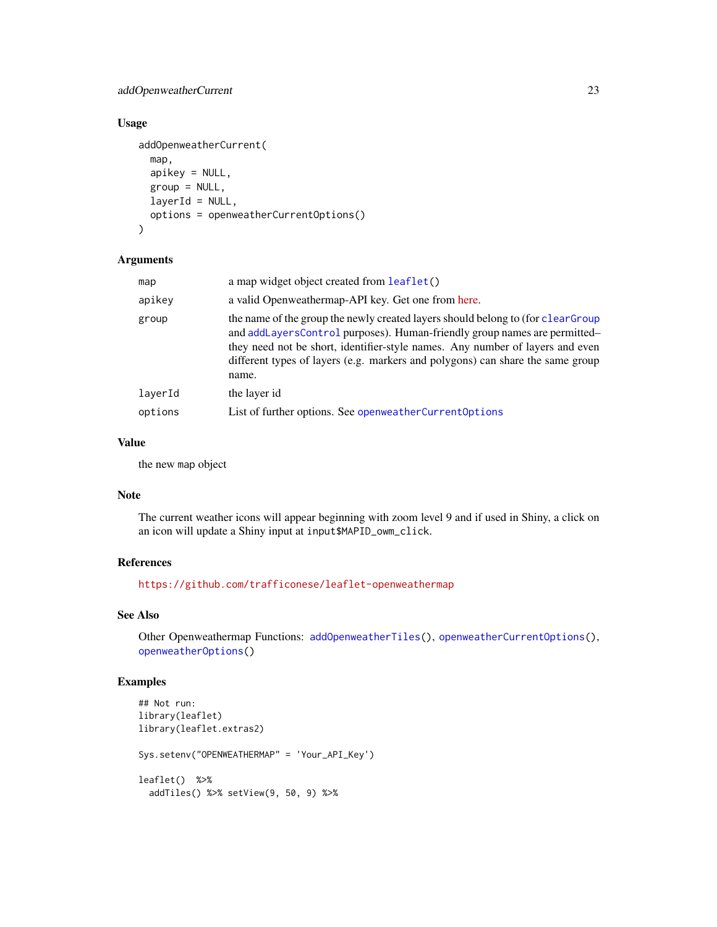# addOpenweatherCurrent 23

# Usage

```
addOpenweatherCurrent(
 map,
  apikey = NULL,
 group = NULL,layerId = NULL,options = openweatherCurrentOptions()
)
```
#### Arguments

| map     | a map widget object created from leaflet()                                                                                                                                                                                                                                                                                               |
|---------|------------------------------------------------------------------------------------------------------------------------------------------------------------------------------------------------------------------------------------------------------------------------------------------------------------------------------------------|
| apikey  | a valid Openweathermap-API key. Get one from here.                                                                                                                                                                                                                                                                                       |
| group   | the name of the group the newly created layers should belong to (for clearGroup<br>and addLayersControl purposes). Human-friendly group names are permitted-<br>they need not be short, identifier-style names. Any number of layers and even<br>different types of layers (e.g. markers and polygons) can share the same group<br>name. |
| layerId | the layer id                                                                                                                                                                                                                                                                                                                             |
| options | List of further options. See openweather Current Options                                                                                                                                                                                                                                                                                 |

# Value

the new map object

# Note

The current weather icons will appear beginning with zoom level 9 and if used in Shiny, a click on an icon will update a Shiny input at input\$MAPID\_owm\_click.

#### References

<https://github.com/trafficonese/leaflet-openweathermap>

# See Also

Other Openweathermap Functions: [addOpenweatherTiles\(](#page-23-1)), [openweatherCurrentOptions\(](#page-63-1)), [openweatherOptions\(](#page-64-1))

```
## Not run:
library(leaflet)
library(leaflet.extras2)
Sys.setenv("OPENWEATHERMAP" = 'Your_API_Key')
leaflet() %>%
  addTiles() %>% setView(9, 50, 9) %>%
```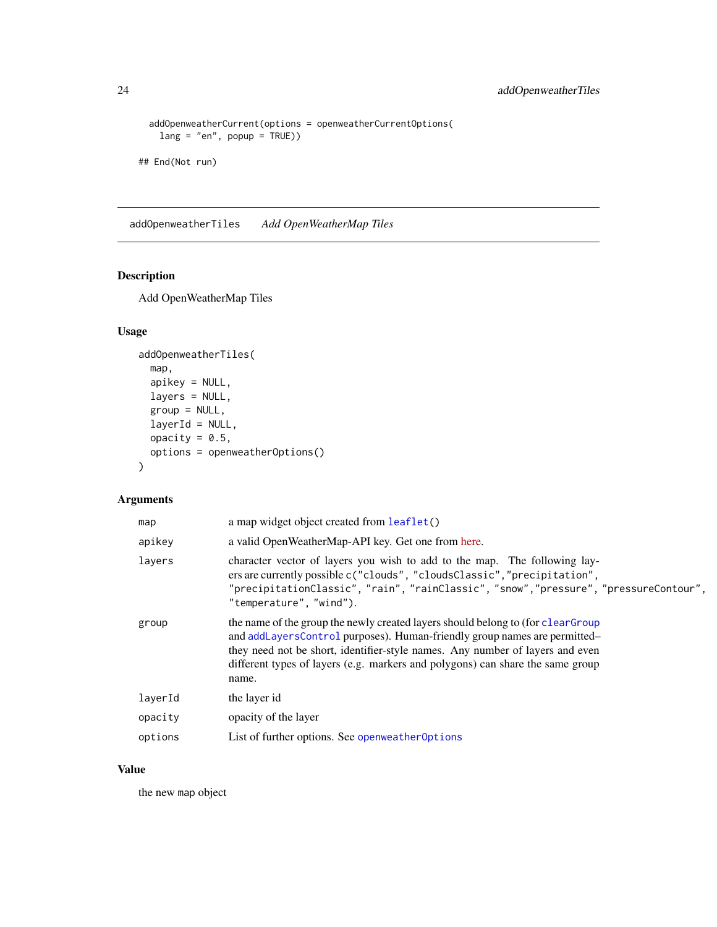```
addOpenweatherCurrent(options = openweatherCurrentOptions(
   lang = "en", popup = TRUE)## End(Not run)
```
<span id="page-23-1"></span>addOpenweatherTiles *Add OpenWeatherMap Tiles*

# Description

Add OpenWeatherMap Tiles

# Usage

```
addOpenweatherTiles(
 map,
  apikey = NULL,
  layers = NULL,
  group = NULL,
 layerId = NULL,
 opacity = 0.5,
 options = openweatherOptions()
)
```
# Arguments

| map     | a map widget object created from leaflet()                                                                                                                                                                                                                                                                                               |
|---------|------------------------------------------------------------------------------------------------------------------------------------------------------------------------------------------------------------------------------------------------------------------------------------------------------------------------------------------|
| apikey  | a valid OpenWeatherMap-API key. Get one from here.                                                                                                                                                                                                                                                                                       |
| layers  | character vector of layers you wish to add to the map. The following lay-<br>ers are currently possible c("clouds", "cloudsClassic", "precipitation",<br>"precipitationClassic", "rain", "rainClassic", "snow", "pressure", "pressureContour",<br>"temperature", "wind").                                                                |
| group   | the name of the group the newly created layers should belong to (for clearGroup<br>and addLayersControl purposes). Human-friendly group names are permitted-<br>they need not be short, identifier-style names. Any number of layers and even<br>different types of layers (e.g. markers and polygons) can share the same group<br>name. |
| layerId | the layer id                                                                                                                                                                                                                                                                                                                             |
| opacity | opacity of the layer                                                                                                                                                                                                                                                                                                                     |
| options | List of further options. See openweather Options                                                                                                                                                                                                                                                                                         |

# Value

the new map object

<span id="page-23-0"></span>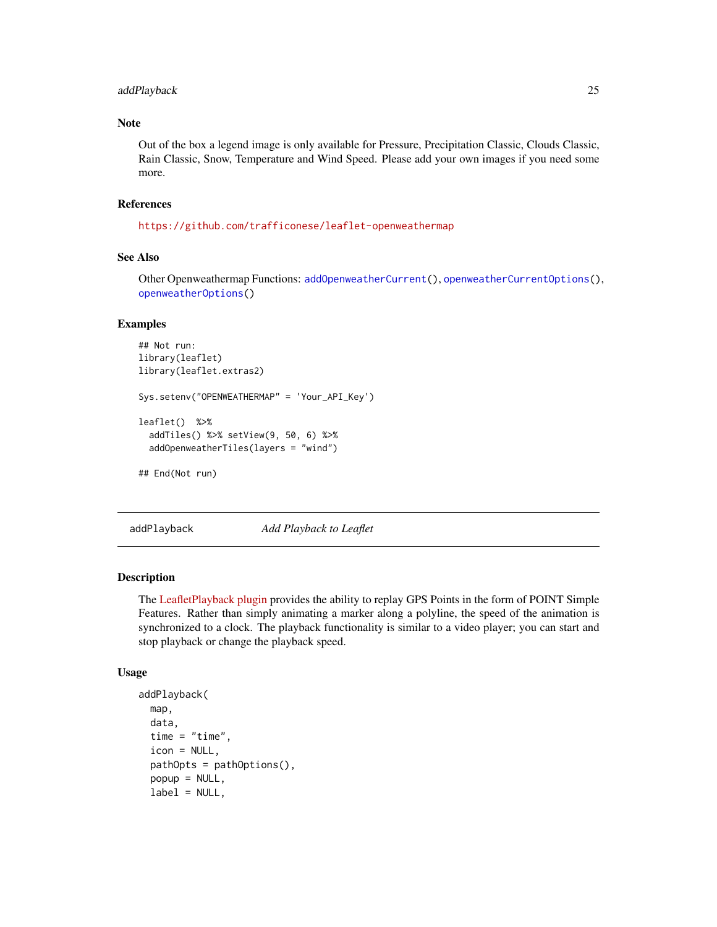#### <span id="page-24-0"></span>addPlayback 25

#### Note

Out of the box a legend image is only available for Pressure, Precipitation Classic, Clouds Classic, Rain Classic, Snow, Temperature and Wind Speed. Please add your own images if you need some more.

#### References

<https://github.com/trafficonese/leaflet-openweathermap>

# See Also

Other Openweathermap Functions: [addOpenweatherCurrent\(](#page-21-1)), [openweatherCurrentOptions\(](#page-63-1)), [openweatherOptions\(](#page-64-1))

#### Examples

```
## Not run:
library(leaflet)
library(leaflet.extras2)
Sys.setenv("OPENWEATHERMAP" = 'Your_API_Key')
leaflet() %>%
 addTiles() %>% setView(9, 50, 6) %>%
 addOpenweatherTiles(layers = "wind")
```

```
## End(Not run)
```
addPlayback *Add Playback to Leaflet*

#### Description

The [LeafletPlayback plugin](https://github.com/hallahan/LeafletPlayback) provides the ability to replay GPS Points in the form of POINT Simple Features. Rather than simply animating a marker along a polyline, the speed of the animation is synchronized to a clock. The playback functionality is similar to a video player; you can start and stop playback or change the playback speed.

```
addPlayback(
 map,
  data,
  time = "time",
  icon = NULL,
  pathOpts = pathOptions(),
  popup = NULL,
  label = NULL,
```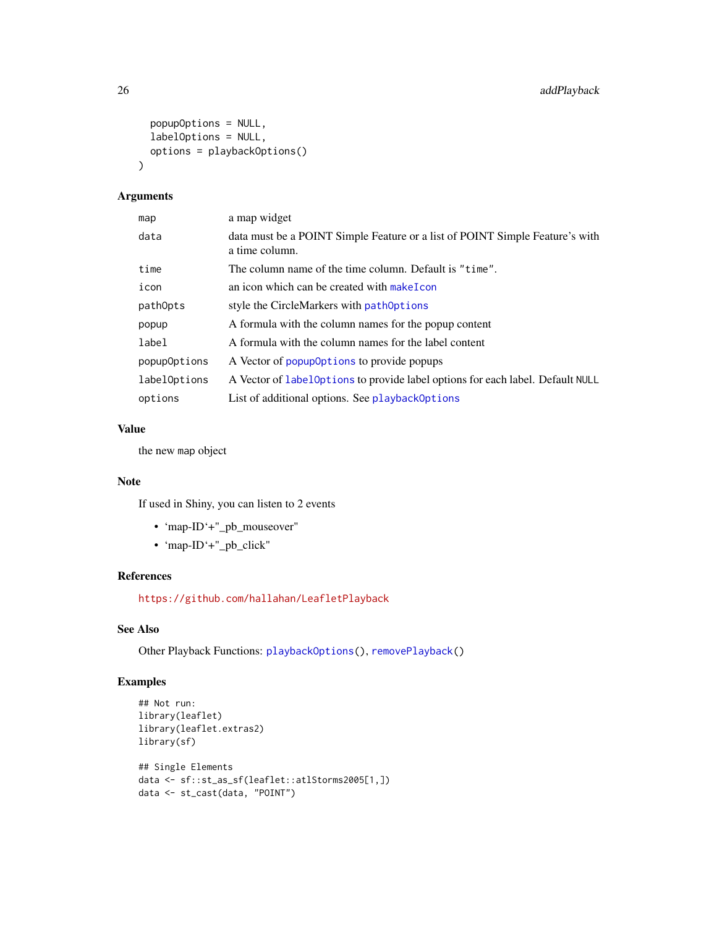```
popupOptions = NULL,
  labelOptions = NULL,
 options = playbackOptions()
\mathcal{L}
```
# Arguments

| map          | a map widget                                                                                   |
|--------------|------------------------------------------------------------------------------------------------|
| data         | data must be a POINT Simple Feature or a list of POINT Simple Feature's with<br>a time column. |
| time         | The column name of the time column. Default is "time".                                         |
| icon         | an icon which can be created with make I con                                                   |
| pathOpts     | style the CircleMarkers with pathOptions                                                       |
| popup        | A formula with the column names for the popup content                                          |
| label        | A formula with the column names for the label content                                          |
| popupOptions | A Vector of popup0ptions to provide popups                                                     |
| labelOptions | A Vector of LabelOptions to provide label options for each label. Default NULL                 |
| options      | List of additional options. See playback0ptions                                                |

# Value

the new map object

#### Note

If used in Shiny, you can listen to 2 events

- 'map-ID'+"\_pb\_mouseover"
- 'map-ID'+"\_pb\_click"

# References

<https://github.com/hallahan/LeafletPlayback>

# See Also

Other Playback Functions: [playbackOptions\(](#page-65-1)), [removePlayback\(](#page-70-1))

```
## Not run:
library(leaflet)
library(leaflet.extras2)
library(sf)
## Single Elements
data <- sf::st_as_sf(leaflet::atlStorms2005[1,])
data <- st_cast(data, "POINT")
```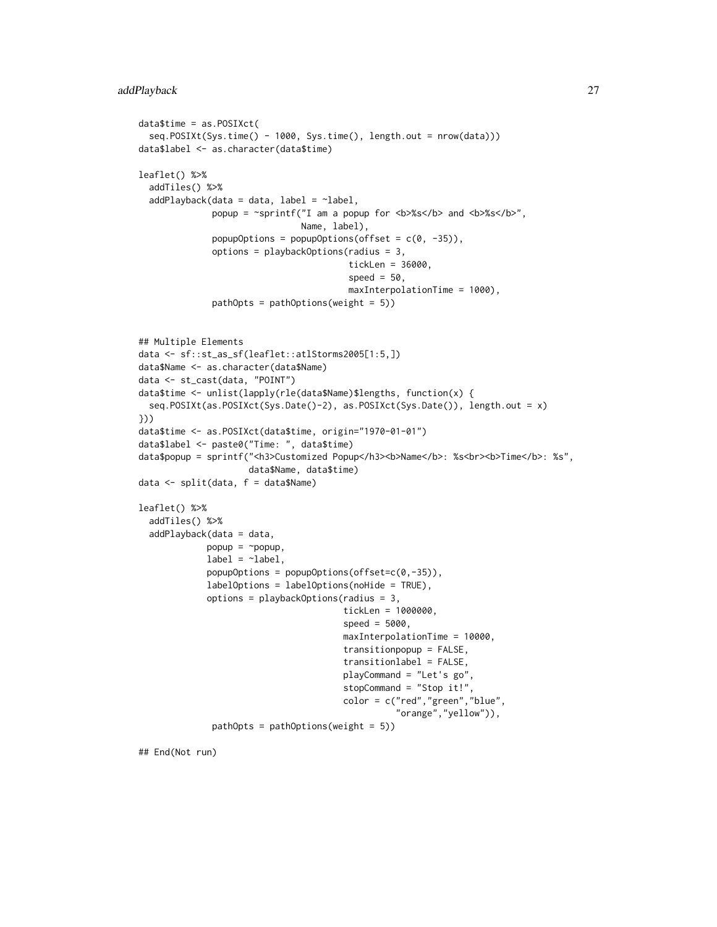```
data$time = as.POSIXct(
  seq.POSIXt(Sys.time() - 1000, Sys.time(), length.out = nrow(data)))
data$label <- as.character(data$time)
leaflet() %>%
  addTiles() %>%
  addPlayback(data = data, label = "label",popup = ~sprintf("I am a popup for <b>%s</b> and <b>%s</b>",
                                Name, label),
              popupOptions = popupOptions(offset = c(\theta, -35)),
              options = playbackOptions(radius = 3,
                                         tickLen = 36000,
                                         speed = 50,
                                         maxInterpolationTime = 1000),
              pathOpts = pathOptions(weight = 5))
## Multiple Elements
data <- sf::st_as_sf(leaflet::atlStorms2005[1:5,])
data$Name <- as.character(data$Name)
data <- st_cast(data, "POINT")
data$time <- unlist(lapply(rle(data$Name)$lengths, function(x) {
  seq.POSIXt(as.POSIXct(Sys.Date()-2), as.POSIXct(Sys.Date()), length.out = x)
}))
data$time <- as.POSIXct(data$time, origin="1970-01-01")
data$label <- paste0("Time: ", data$time)
data$popup = sprintf("<h3>Customized Popup</h3><b>Name</b>: %s<br><b>Time</b>: %s",
                     data$Name, data$time)
data <- split(data, f = data$Name)
leaflet() %>%
  addTiles() %>%
  addPlayback(data = data,
             popup = \sim popup,
             label = <math>\sim</math> label,popupOptions = popupOptions(offset=c(0,-35)),labelOptions = labelOptions(noHide = TRUE),
             options = playbackOptions(radius = 3,
                                        tickLen = 1000000,
                                        speed = 5000,
                                        maxInterpolationTime = 10000,
                                        transitionpopup = FALSE,
                                        transitionlabel = FALSE,
                                        playCommand = "Let's go",
                                        stopCommand = "Stop it!",
                                        color = c("red","green","blue",
                                                  "orange","yellow")),
              pathOpts = pathOptions(weight = 5)
```
## End(Not run)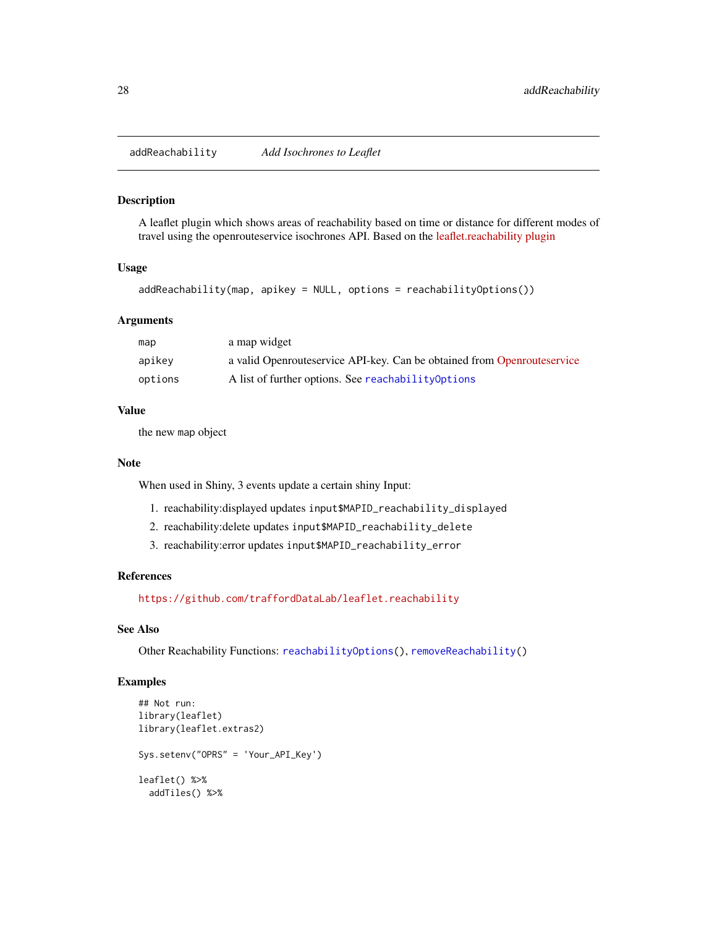<span id="page-27-0"></span>addReachability *Add Isochrones to Leaflet*

#### Description

A leaflet plugin which shows areas of reachability based on time or distance for different modes of travel using the openrouteservice isochrones API. Based on the [leaflet.reachability plugin](https://github.com/traffordDataLab/leaflet.reachability)

#### Usage

addReachability(map, apikey = NULL, options = reachabilityOptions())

#### **Arguments**

| map     | a map widget                                                            |
|---------|-------------------------------------------------------------------------|
| apikey  | a valid Openrouteservice API-key. Can be obtained from Openrouteservice |
| options | A list of further options. See reachability Options                     |

#### Value

the new map object

#### Note

When used in Shiny, 3 events update a certain shiny Input:

- 1. reachability:displayed updates input\$MAPID\_reachability\_displayed
- 2. reachability:delete updates input\$MAPID\_reachability\_delete
- 3. reachability:error updates input\$MAPID\_reachability\_error

#### References

<https://github.com/traffordDataLab/leaflet.reachability>

#### See Also

Other Reachability Functions: [reachabilityOptions\(](#page-66-1)), [removeReachability\(](#page-70-2))

```
## Not run:
library(leaflet)
library(leaflet.extras2)
Sys.setenv("OPRS" = 'Your_API_Key')
leaflet() %>%
  addTiles() %>%
```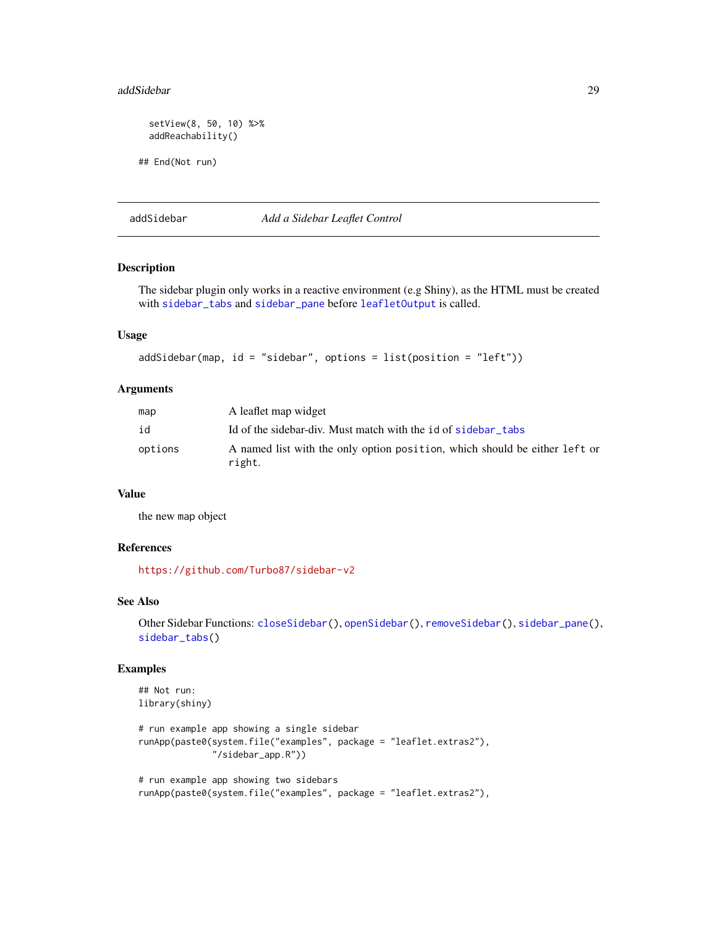#### <span id="page-28-0"></span>addSidebar 29

```
setView(8, 50, 10) %>%
 addReachability()
## End(Not run)
```
addSidebar *Add a Sidebar Leaflet Control*

# Description

The sidebar plugin only works in a reactive environment (e.g Shiny), as the HTML must be created with [sidebar\\_tabs](#page-77-1) and [sidebar\\_pane](#page-76-2) before [leafletOutput](#page-0-0) is called.

# Usage

```
addSidebar(map, id = "sidebar", options = list(position = "left"))
```
#### **Arguments**

| map     | A leaflet map widget                                                                 |
|---------|--------------------------------------------------------------------------------------|
| id      | Id of the sidebar-div. Must match with the id of sidebar tabs                        |
| options | A named list with the only option position, which should be either left or<br>right. |

#### Value

the new map object

#### References

<https://github.com/Turbo87/sidebar-v2>

#### See Also

```
Other Sidebar Functions: closeSidebar(), openSidebar(), removeSidebar(), sidebar_pane(),
sidebar_tabs()
```

```
## Not run:
library(shiny)
```

```
# run example app showing a single sidebar
runApp(paste0(system.file("examples", package = "leaflet.extras2"),
              "/sidebar_app.R"))
```

```
# run example app showing two sidebars
runApp(paste0(system.file("examples", package = "leaflet.extras2"),
```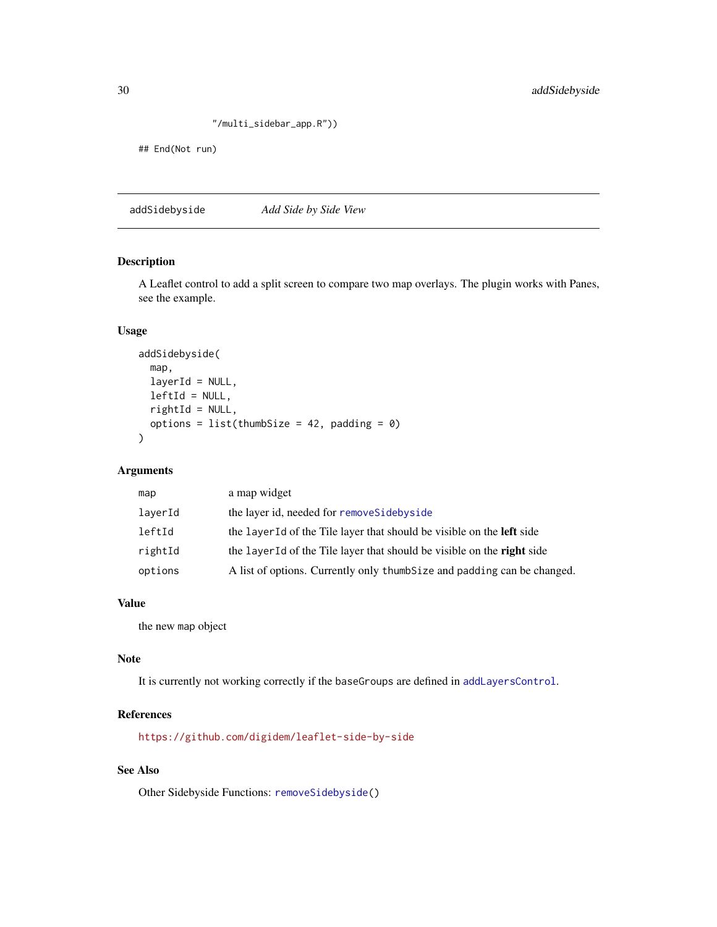```
"/multi_sidebar_app.R"))
```
<span id="page-29-0"></span>## End(Not run)

addSidebyside *Add Side by Side View*

## Description

A Leaflet control to add a split screen to compare two map overlays. The plugin works with Panes, see the example.

#### Usage

```
addSidebyside(
 map,
 layerId = NULL,leftId = NULL,
 rightId = NULL,options = list(thumbSize = 42, padding = 0)
)
```
# Arguments

| map     | a map widget                                                                  |
|---------|-------------------------------------------------------------------------------|
| layerId | the layer id, needed for remove Side by side                                  |
| leftId  | the layer Id of the Tile layer that should be visible on the <b>left</b> side |
| rightId | the layer Id of the Tile layer that should be visible on the right side       |
| options | A list of options. Currently only thumb Size and padding can be changed.      |
|         |                                                                               |

#### Value

the new map object

#### Note

It is currently not working correctly if the baseGroups are defined in [addLayersControl](#page-0-0).

# References

<https://github.com/digidem/leaflet-side-by-side>

# See Also

Other Sidebyside Functions: [removeSidebyside\(](#page-71-2))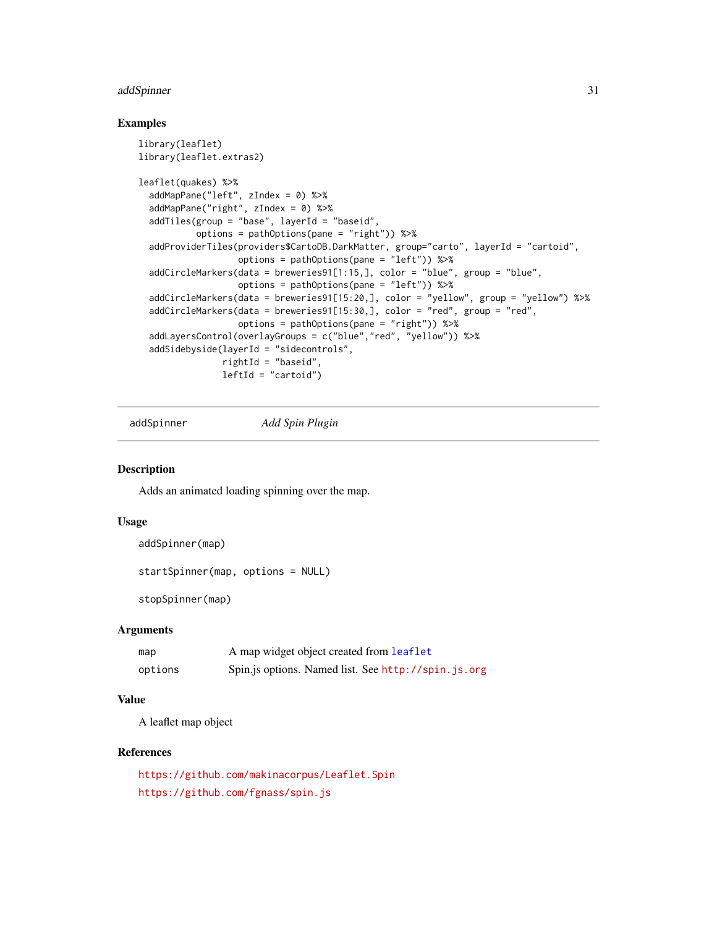# <span id="page-30-0"></span>addSpinner 31

#### Examples

```
library(leaflet)
library(leaflet.extras2)
leaflet(quakes) %>%
 addMapPane("left", zIndex = 0) %>%
 addMapPane("right", zIndex = 0) %>%
 addTiles(group = "base", layerId = "baseid",
          options = pathOptions(pane = "right")) %>%
 addProviderTiles(providers$CartoDB.DarkMatter, group="carto", layerId = "cartoid",
                  options = pathOptions(pane = "left")) %>%
 addCircleMarkers(data = breweries91[1:15,], color = "blue", group = "blue",
                  options = pathOptions(pane = "left")) %>%
 addCircleMarkers(data = breweries91[15:20,], color = "yellow", group = "yellow") %>%
 addCircleMarkers(data = breweries91[15:30,], color = "red", group = "red",
                  options = pathOptions(pane = "right")) %>%
 addLayersControl(overlayGroups = c("blue","red", "yellow")) %>%
 addSidebyside(layerId = "sidecontrols",
               rightId = "baseid",
               leftId = "cartoid")
```
addSpinner *Add Spin Plugin*

#### Description

Adds an animated loading spinning over the map.

#### Usage

```
addSpinner(map)
```
startSpinner(map, options = NULL)

stopSpinner(map)

#### Arguments

| map     | A map widget object created from leaflet            |
|---------|-----------------------------------------------------|
| options | Spin.js options. Named list. See http://spin.js.org |

#### Value

A leaflet map object

# References

<https://github.com/makinacorpus/Leaflet.Spin> <https://github.com/fgnass/spin.js>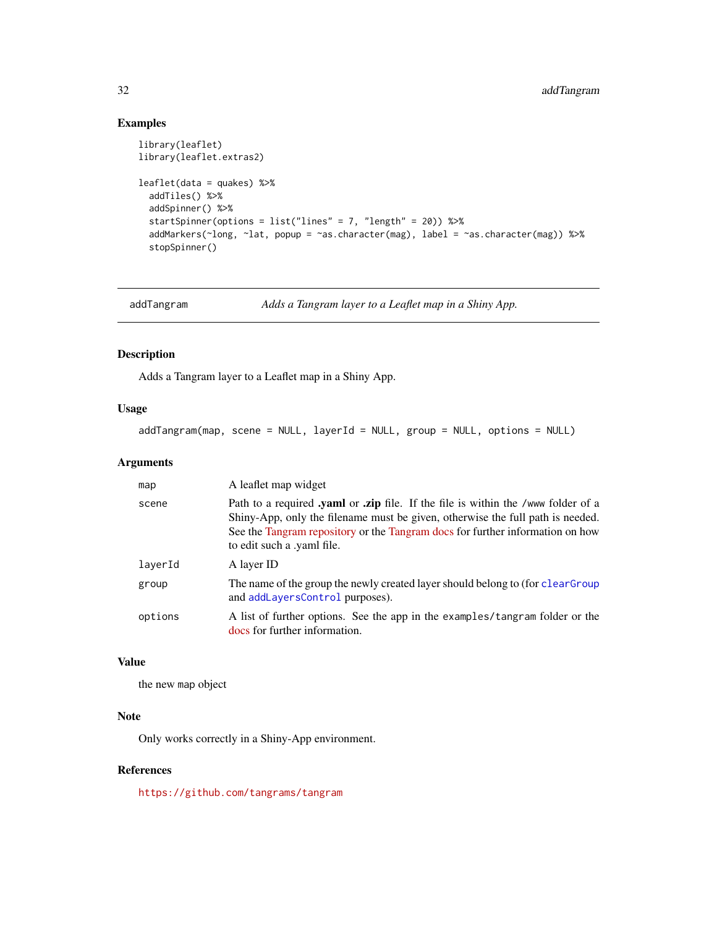# <span id="page-31-0"></span>Examples

```
library(leaflet)
library(leaflet.extras2)
leaflet(data = quakes) %>%
  addTiles() %>%
  addSpinner() %>%
  startSpinner(options = list("lines" = 7, "length" = 20)) %>%
  addMarkers(~long, ~lat, popup = ~as.character(mag), label = ~as.character(mag)) %>%
  stopSpinner()
```
addTangram *Adds a Tangram layer to a Leaflet map in a Shiny App.*

# Description

Adds a Tangram layer to a Leaflet map in a Shiny App.

# Usage

addTangram(map, scene = NULL, layerId = NULL, group = NULL, options = NULL)

#### Arguments

| map     | A leaflet map widget                                                                                                                                                                                                                                                                                  |
|---------|-------------------------------------------------------------------------------------------------------------------------------------------------------------------------------------------------------------------------------------------------------------------------------------------------------|
| scene   | Path to a required <b>yaml</b> or <b><i>zip</i></b> file. If the file is within the /www folder of a<br>Shiny-App, only the filename must be given, otherwise the full path is needed.<br>See the Tangram repository or the Tangram docs for further information on how<br>to edit such a .yaml file. |
| layerId | A layer ID                                                                                                                                                                                                                                                                                            |
| group   | The name of the group the newly created layer should belong to (for clearGroup<br>and addLayersControl purposes).                                                                                                                                                                                     |
| options | A list of further options. See the app in the examples/tangram folder or the<br>docs for further information.                                                                                                                                                                                         |

#### Value

the new map object

# Note

Only works correctly in a Shiny-App environment.

# References

<https://github.com/tangrams/tangram>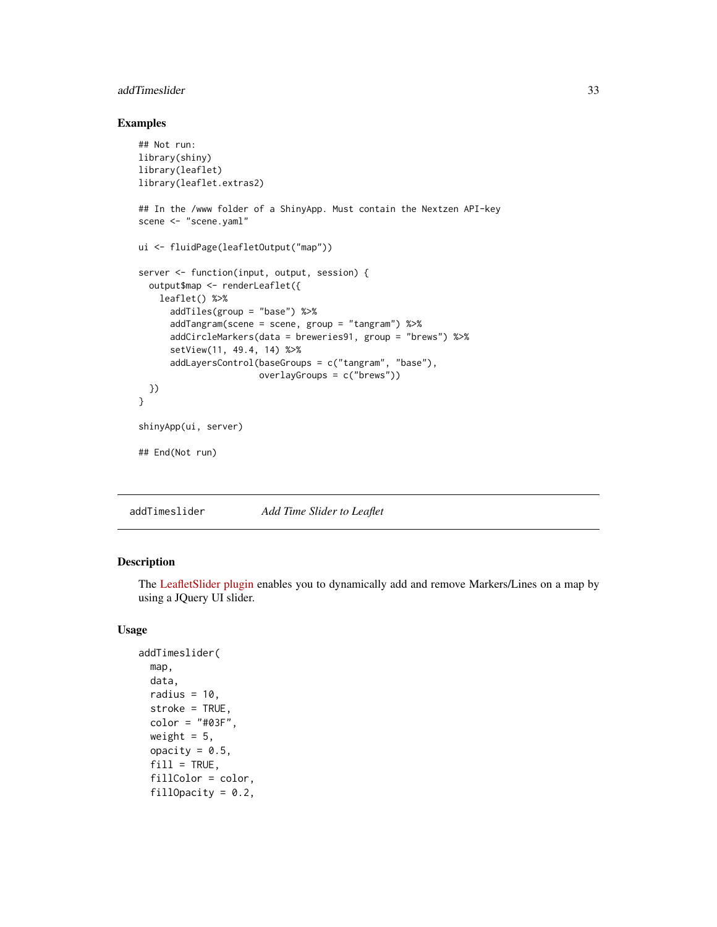# <span id="page-32-0"></span>addTimeslider 33

# Examples

```
## Not run:
library(shiny)
library(leaflet)
library(leaflet.extras2)
## In the /www folder of a ShinyApp. Must contain the Nextzen API-key
scene <- "scene.yaml"
ui <- fluidPage(leafletOutput("map"))
server <- function(input, output, session) {
  output$map <- renderLeaflet({
   leaflet() %>%
      addTiles(group = "base") %>%
      addTangram(scene = scene, group = "tangram") %>%
      addCircleMarkers(data = breweries91, group = "brews") %>%
      setView(11, 49.4, 14) %>%
      addLayersControl(baseGroups = c("tangram", "base"),
                       overlayGroups = c("brews"))
 })
}
shinyApp(ui, server)
## End(Not run)
```
addTimeslider *Add Time Slider to Leaflet*

# Description

The [LeafletSlider plugin](https://github.com/dwilhelm89/LeafletSlider) enables you to dynamically add and remove Markers/Lines on a map by using a JQuery UI slider.

```
addTimeslider(
  map,
  data,
  radius = 10,
  stroke = TRUE,
  color = "#03F".weight = 5,
  opacity = 0.5,
  fill = TRUE,fillColor = color,
  fillOpacity = 0.2,
```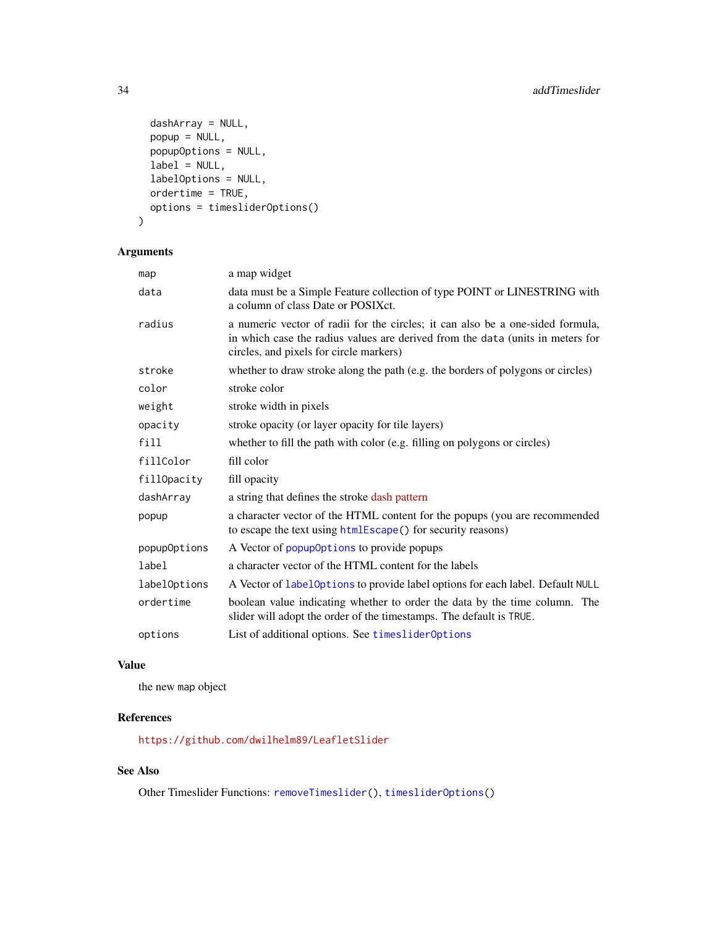```
dashArray = NULL,
 popup = NULL,
 popupOptions = NULL,
 label = NULL,labelOptions = NULL,
 ordertime = TRUE,
 options = timesliderOptions()
\mathcal{L}
```
# Arguments

| map          | a map widget                                                                                                                                                                                                |
|--------------|-------------------------------------------------------------------------------------------------------------------------------------------------------------------------------------------------------------|
| data         | data must be a Simple Feature collection of type POINT or LINESTRING with<br>a column of class Date or POSIX ct.                                                                                            |
| radius       | a numeric vector of radii for the circles; it can also be a one-sided formula,<br>in which case the radius values are derived from the data (units in meters for<br>circles, and pixels for circle markers) |
| stroke       | whether to draw stroke along the path (e.g. the borders of polygons or circles)                                                                                                                             |
| color        | stroke color                                                                                                                                                                                                |
| weight       | stroke width in pixels                                                                                                                                                                                      |
| opacity      | stroke opacity (or layer opacity for tile layers)                                                                                                                                                           |
| fill         | whether to fill the path with color (e.g. filling on polygons or circles)                                                                                                                                   |
| fillColor    | fill color                                                                                                                                                                                                  |
| fillOpacity  | fill opacity                                                                                                                                                                                                |
| dashArray    | a string that defines the stroke dash pattern                                                                                                                                                               |
| popup        | a character vector of the HTML content for the popups (you are recommended<br>to escape the text using htmlEscape() for security reasons)                                                                   |
| popupOptions | A Vector of popup0ptions to provide popups                                                                                                                                                                  |
| label        | a character vector of the HTML content for the labels                                                                                                                                                       |
| labelOptions | A Vector of label0ptions to provide label options for each label. Default NULL                                                                                                                              |
| ordertime    | boolean value indicating whether to order the data by the time column. The<br>slider will adopt the order of the timestamps. The default is TRUE.                                                           |
| options      | List of additional options. See timesliderOptions                                                                                                                                                           |

# Value

the new map object

# References

<https://github.com/dwilhelm89/LeafletSlider>

# See Also

Other Timeslider Functions: [removeTimeslider\(](#page-72-1)), [timesliderOptions\(](#page-80-1))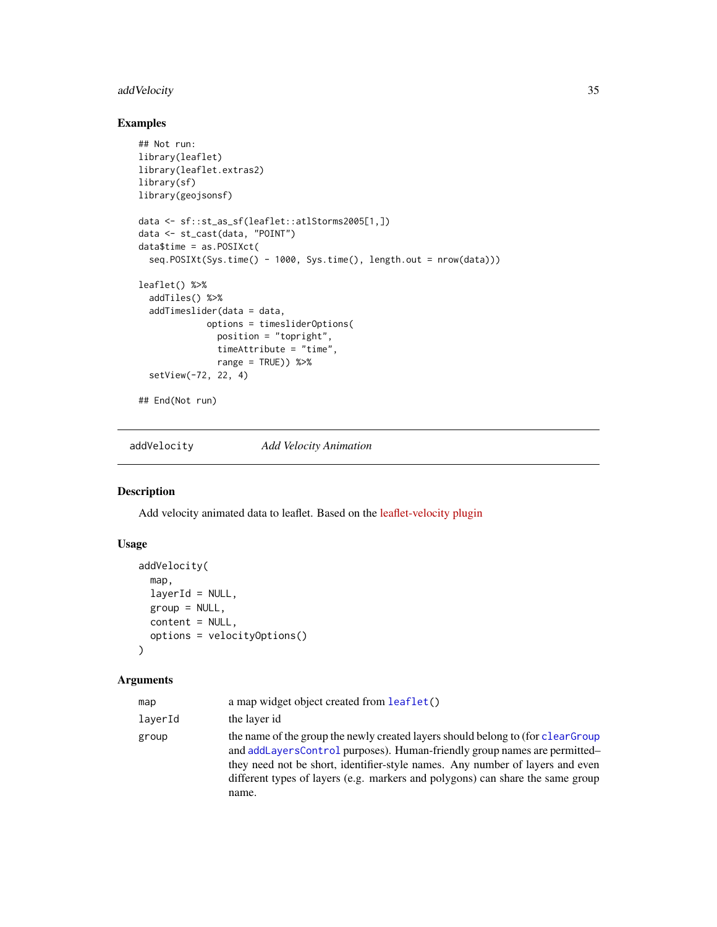# <span id="page-34-0"></span>addVelocity 35

# Examples

```
## Not run:
library(leaflet)
library(leaflet.extras2)
library(sf)
library(geojsonsf)
data <- sf::st_as_sf(leaflet::atlStorms2005[1,])
data <- st_cast(data, "POINT")
data$time = as.POSIXct(
  seq.POSIXt(Sys.time() - 1000, Sys.time(), length.out = nrow(data)))
leaflet() %>%
  addTiles() %>%
  addTimeslider(data = data,
             options = timesliderOptions(
               position = "topright",
               timeAttribute = "time",
               range = TRUE) %>%
  setView(-72, 22, 4)
## End(Not run)
```
addVelocity *Add Velocity Animation*

#### Description

Add velocity animated data to leaflet. Based on the [leaflet-velocity plugin](https://github.com/onaci/leaflet-velocity)

#### Usage

```
addVelocity(
  map,
  layerId = NULL,
  group = NULL,content = NULL,
  options = velocityOptions()
\mathcal{L}
```
#### Arguments

| map     | a map widget object created from leaflet()                                                                                                                                                                                                                                                                                                |
|---------|-------------------------------------------------------------------------------------------------------------------------------------------------------------------------------------------------------------------------------------------------------------------------------------------------------------------------------------------|
| layerId | the layer id                                                                                                                                                                                                                                                                                                                              |
| group   | the name of the group the newly created layers should belong to (for clear Group<br>and addLayersControl purposes). Human-friendly group names are permitted—<br>they need not be short, identifier-style names. Any number of layers and even<br>different types of layers (e.g. markers and polygons) can share the same group<br>name. |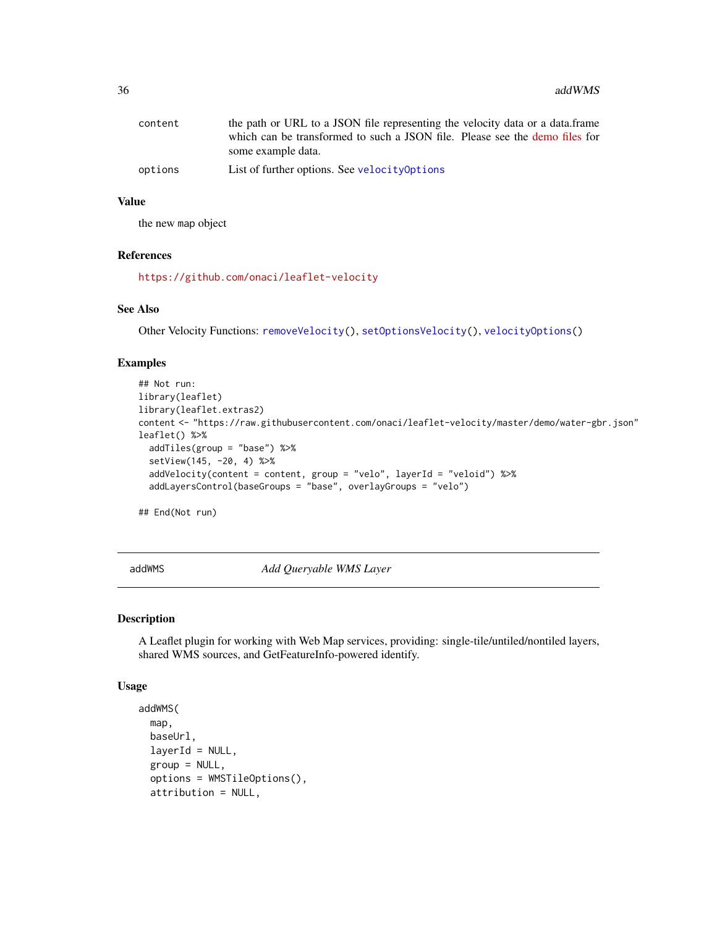<span id="page-35-0"></span>

| content | the path or URL to a JSON file representing the velocity data or a data.frame |
|---------|-------------------------------------------------------------------------------|
|         | which can be transformed to such a JSON file. Please see the demo files for   |
|         | some example data.                                                            |
| options | List of further options. See velocity0ptions                                  |

# Value

the new map object

#### References

<https://github.com/onaci/leaflet-velocity>

#### See Also

Other Velocity Functions: [removeVelocity\(](#page-72-2)), [setOptionsVelocity\(](#page-74-1)), [velocityOptions\(](#page-83-2))

#### Examples

```
## Not run:
library(leaflet)
library(leaflet.extras2)
content <- "https://raw.githubusercontent.com/onaci/leaflet-velocity/master/demo/water-gbr.json"
leaflet() %>%
  addTiles(group = "base") %>%
  setView(145, -20, 4) %>%
  addVelocity(content = content, group = "velo", layerId = "veloid") %>%
  addLayersControl(baseGroups = "base", overlayGroups = "velo")
```
## End(Not run)

addWMS *Add Queryable WMS Layer*

# Description

A Leaflet plugin for working with Web Map services, providing: single-tile/untiled/nontiled layers, shared WMS sources, and GetFeatureInfo-powered identify.

```
addWMS(
  map,
 baseUrl,
  layerId = NULL,group = NULL,options = WMSTileOptions(),
  attribution = NULL,
```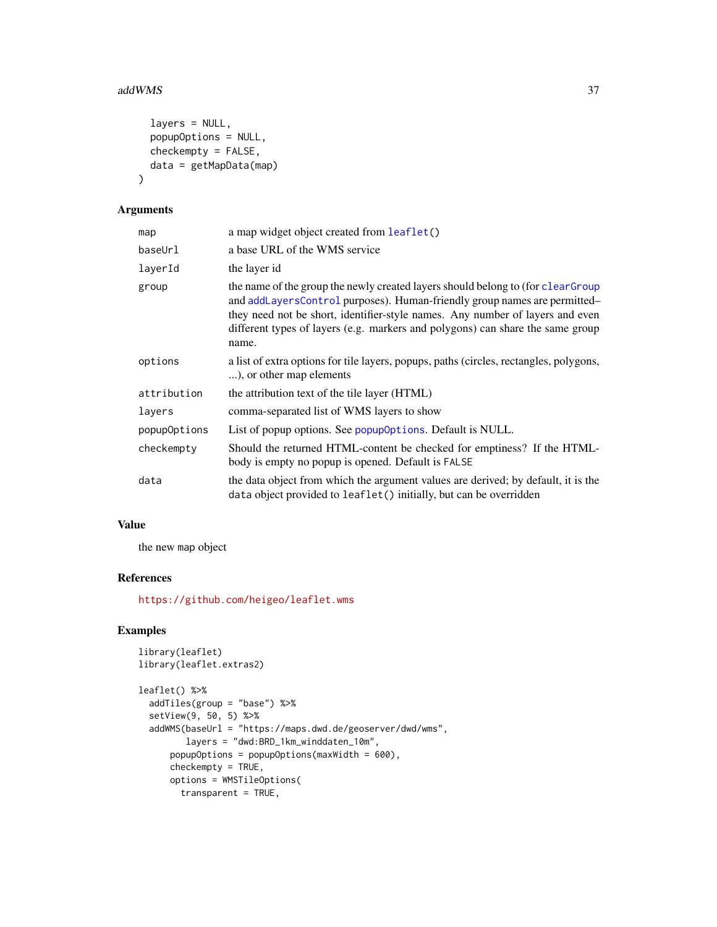### addWMS 37

```
layers = NULL,
popupOptions = NULL,
checkempty = FALSE,
data = getMapData(map)
```
# Arguments

 $\lambda$ 

| map          | a map widget object created from leaflet()                                                                                                                                                                                                                                                                                                |
|--------------|-------------------------------------------------------------------------------------------------------------------------------------------------------------------------------------------------------------------------------------------------------------------------------------------------------------------------------------------|
| baseUrl      | a base URL of the WMS service                                                                                                                                                                                                                                                                                                             |
| laverId      | the layer id                                                                                                                                                                                                                                                                                                                              |
| group        | the name of the group the newly created layers should belong to (for clear Group<br>and addLayersControl purposes). Human-friendly group names are permitted-<br>they need not be short, identifier-style names. Any number of layers and even<br>different types of layers (e.g. markers and polygons) can share the same group<br>name. |
| options      | a list of extra options for tile layers, popups, paths (circles, rectangles, polygons,<br>), or other map elements                                                                                                                                                                                                                        |
| attribution  | the attribution text of the tile layer (HTML)                                                                                                                                                                                                                                                                                             |
| layers       | comma-separated list of WMS layers to show                                                                                                                                                                                                                                                                                                |
| popupOptions | List of popup options. See popup Options. Default is NULL.                                                                                                                                                                                                                                                                                |
| checkempty   | Should the returned HTML-content be checked for emptiness? If the HTML-<br>body is empty no popup is opened. Default is FALSE                                                                                                                                                                                                             |
| data         | the data object from which the argument values are derived; by default, it is the<br>data object provided to leaflet () initially, but can be overridden                                                                                                                                                                                  |

# Value

the new map object

# References

<https://github.com/heigeo/leaflet.wms>

# Examples

```
library(leaflet)
library(leaflet.extras2)
leaflet() %>%
  addTiles(group = "base") %>%
  setView(9, 50, 5) %>%
  addWMS(baseUrl = "https://maps.dwd.de/geoserver/dwd/wms",
        layers = "dwd:BRD_1km_winddaten_10m",
      popupOptions = popupOptions(maxWidth = 600),
      checkempty = TRUE,
     options = WMSTileOptions(
       transparent = TRUE,
```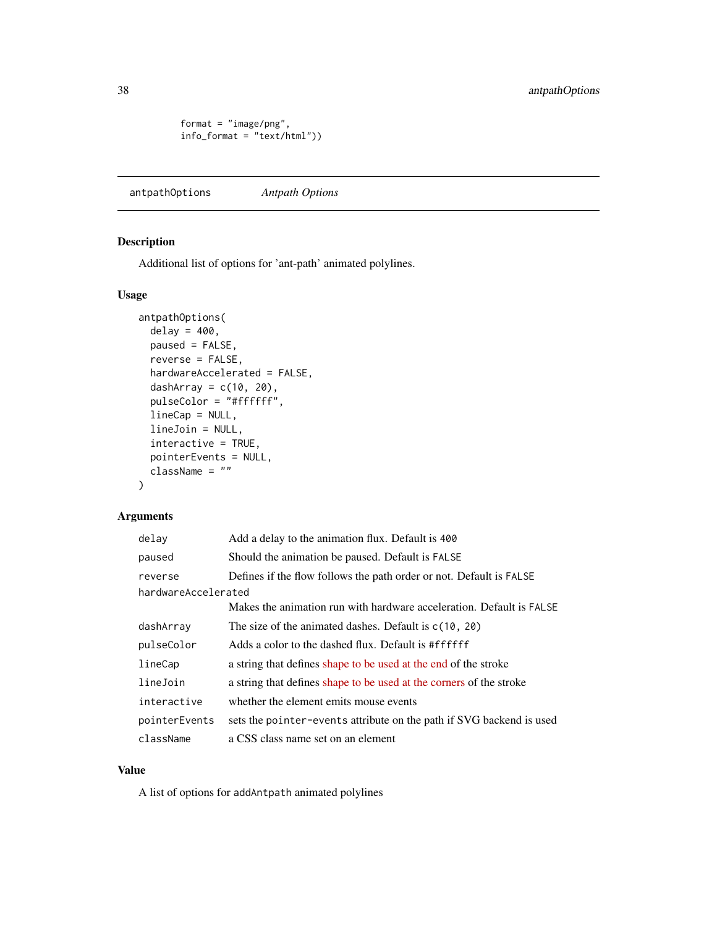```
format = "image/png",
info_format = "text/html"))
```
<span id="page-37-0"></span>antpathOptions *Antpath Options*

# Description

Additional list of options for 'ant-path' animated polylines.

# Usage

```
antpathOptions(
 delay = 400,
 paused = FALSE,
  reverse = FALSE,
 hardwareAccelerated = FALSE,
  dashArray = c(10, 20),
 pulseColor = "#ffffff",
  lineCap = NULL,
  lineJoin = NULL,
  interactive = TRUE,
  pointerEvents = NULL,
  className = ""
\mathcal{L}
```
# Arguments

| delay               | Add a delay to the animation flux. Default is 400                    |
|---------------------|----------------------------------------------------------------------|
| paused              | Should the animation be paused. Default is FALSE                     |
| reverse             | Defines if the flow follows the path order or not. Default is FALSE  |
| hardwareAccelerated |                                                                      |
|                     | Makes the animation run with hardware acceleration. Default is FALSE |
| dashArray           | The size of the animated dashes. Default is $c(10, 20)$              |
| pulseColor          | Adds a color to the dashed flux. Default is #ffffff                  |
| lineCap             | a string that defines shape to be used at the end of the stroke      |
| lineJoin            | a string that defines shape to be used at the corners of the stroke  |
| interactive         | whether the element emits mouse events                               |
| pointerEvents       | sets the pointer-events attribute on the path if SVG backend is used |
| className           | a CSS class name set on an element                                   |

### Value

A list of options for addAntpath animated polylines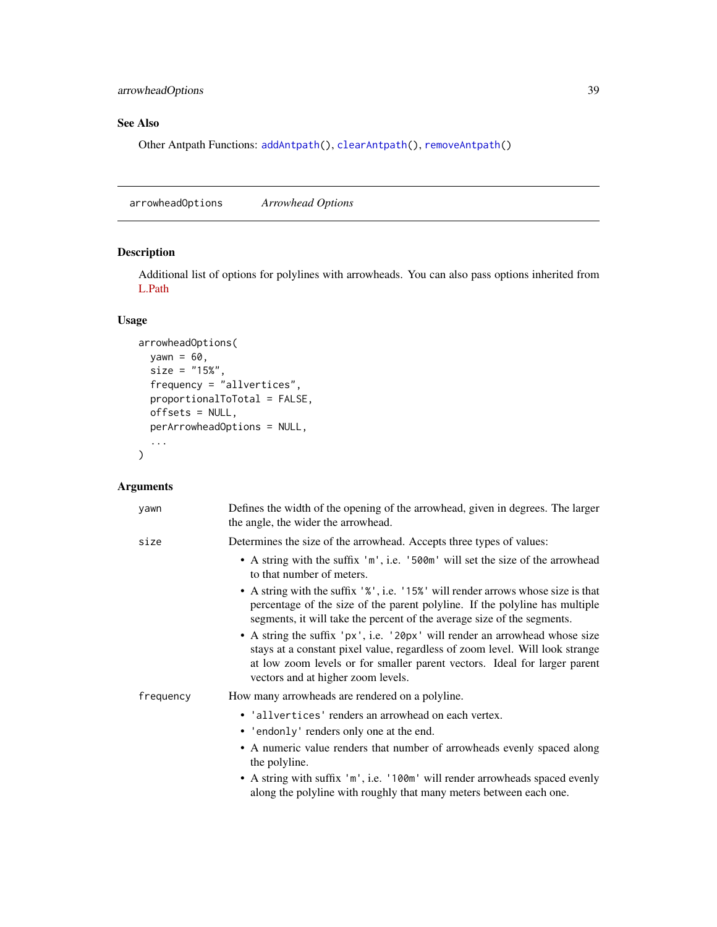# See Also

Other Antpath Functions: [addAntpath\(](#page-3-0)), [clearAntpath\(](#page-39-0)), [removeAntpath\(](#page-68-0))

<span id="page-38-0"></span>arrowheadOptions *Arrowhead Options*

# Description

Additional list of options for polylines with arrowheads. You can also pass options inherited from [L.Path](https://leafletjs.com/reference-1.6.0.html#path)

### Usage

```
arrowheadOptions(
 yawn = 60,
  size = "15%",
 frequency = "allvertices",
 proportionalToTotal = FALSE,
 offsets = NULL,
 perArrowheadOptions = NULL,
  ...
\mathcal{L}
```

| yawn      | Defines the width of the opening of the arrowhead, given in degrees. The larger<br>the angle, the wider the arrowhead.                                                                                                                                                                                                                             |
|-----------|----------------------------------------------------------------------------------------------------------------------------------------------------------------------------------------------------------------------------------------------------------------------------------------------------------------------------------------------------|
| size      | Determines the size of the arrowhead. Accepts three types of values:                                                                                                                                                                                                                                                                               |
|           | • A string with the suffix 'm', i.e. '500m' will set the size of the arrowhead<br>to that number of meters.                                                                                                                                                                                                                                        |
|           | • A string with the suffix '%', i.e. '15%' will render arrows whose size is that<br>percentage of the size of the parent polyline. If the polyline has multiple<br>segments, it will take the percent of the average size of the segments.                                                                                                         |
|           | • A string the suffix 'px', i.e. '20px' will render an arrowhead whose size<br>stays at a constant pixel value, regardless of zoom level. Will look strange<br>at low zoom levels or for smaller parent vectors. Ideal for larger parent<br>vectors and at higher zoom levels.                                                                     |
| frequency | How many arrowheads are rendered on a polyline.                                                                                                                                                                                                                                                                                                    |
|           | • 'allvertices' renders an arrowhead on each vertex.<br>• 'endonly' renders only one at the end.<br>• A numeric value renders that number of arrowheads evenly spaced along<br>the polyline.<br>• A string with suffix 'm', i.e. '100m' will render arrowheads spaced evenly<br>along the polyline with roughly that many meters between each one. |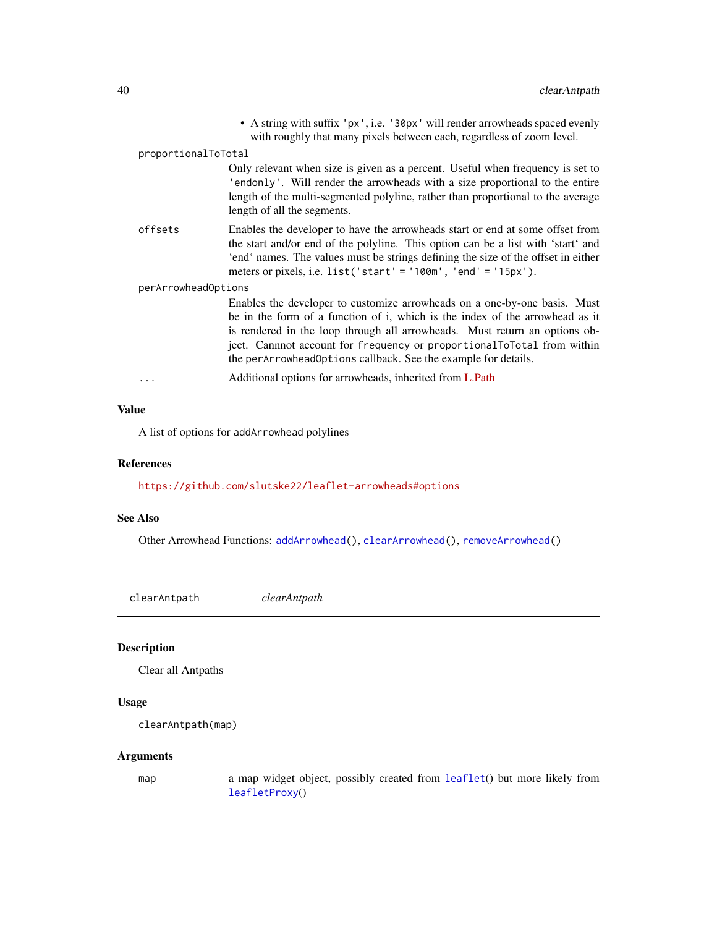|                     |                     | • A string with suffix 'px', i.e. '30px' will render arrowheads spaced evenly<br>with roughly that many pixels between each, regardless of zoom level.                                                                                                                                                                                                                               |
|---------------------|---------------------|--------------------------------------------------------------------------------------------------------------------------------------------------------------------------------------------------------------------------------------------------------------------------------------------------------------------------------------------------------------------------------------|
|                     | proportionalToTotal |                                                                                                                                                                                                                                                                                                                                                                                      |
|                     |                     | Only relevant when size is given as a percent. Useful when frequency is set to<br>'endonly'. Will render the arrowheads with a size proportional to the entire<br>length of the multi-segmented polyline, rather than proportional to the average<br>length of all the segments.                                                                                                     |
|                     | offsets             | Enables the developer to have the arrowheads start or end at some offset from<br>the start and/or end of the polyline. This option can be a list with 'start' and<br>'end' names. The values must be strings defining the size of the offset in either<br>meters or pixels, i.e. list('start' = '100m', 'end' = '15px').                                                             |
| perArrowheadOptions |                     |                                                                                                                                                                                                                                                                                                                                                                                      |
|                     |                     | Enables the developer to customize arrowheads on a one-by-one basis. Must<br>be in the form of a function of i, which is the index of the arrowhead as it<br>is rendered in the loop through all arrowheads. Must return an options ob-<br>ject. Cannnot account for frequency or proportional ToTotal from within<br>the perArrowheadOptions callback. See the example for details. |
|                     |                     | Additional options for arrowheads, inherited from L.Path                                                                                                                                                                                                                                                                                                                             |
|                     |                     |                                                                                                                                                                                                                                                                                                                                                                                      |

# Value

A list of options for addArrowhead polylines

### References

<https://github.com/slutske22/leaflet-arrowheads#options>

# See Also

Other Arrowhead Functions: [addArrowhead\(](#page-5-0)), [clearArrowhead\(](#page-40-0)), [removeArrowhead\(](#page-68-1))

<span id="page-39-0"></span>

| clearAntpath | clearAntpath |  |
|--------------|--------------|--|
|              |              |  |

# Description

Clear all Antpaths

# Usage

```
clearAntpath(map)
```
#### Arguments

map a map widget object, possibly created from [leaflet](#page-0-0)() but more likely from [leafletProxy](#page-0-0)()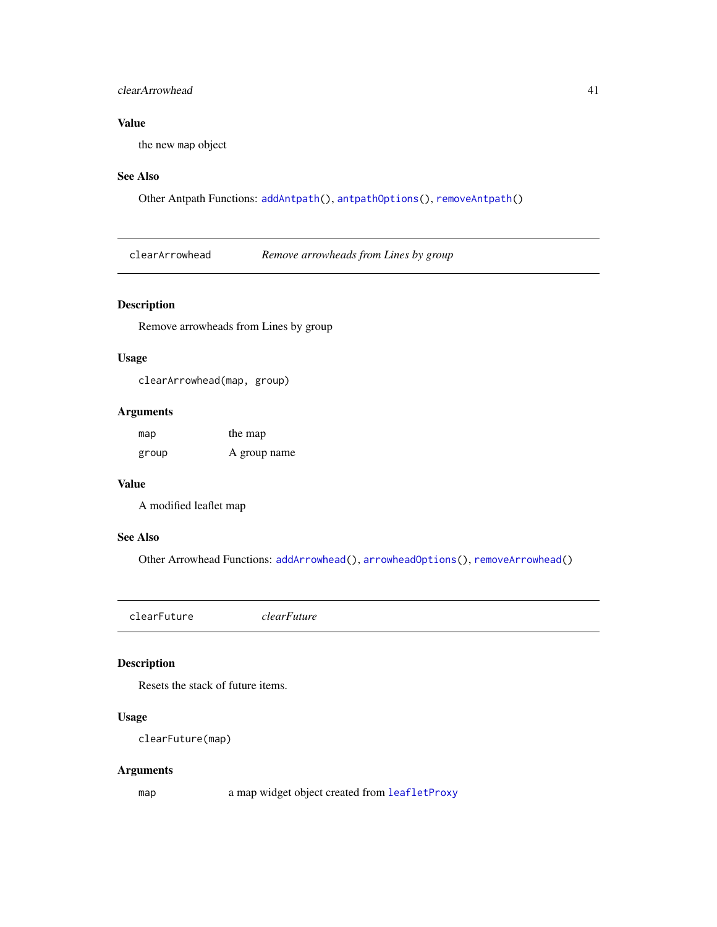### clearArrowhead 41

# Value

the new map object

### See Also

Other Antpath Functions: [addAntpath\(](#page-3-0)), [antpathOptions\(](#page-37-0)), [removeAntpath\(](#page-68-0))

<span id="page-40-0"></span>clearArrowhead *Remove arrowheads from Lines by group*

# Description

Remove arrowheads from Lines by group

### Usage

clearArrowhead(map, group)

# Arguments

| map   | the map      |
|-------|--------------|
| group | A group name |

### Value

A modified leaflet map

#### See Also

Other Arrowhead Functions: [addArrowhead\(](#page-5-0)), [arrowheadOptions\(](#page-38-0)), [removeArrowhead\(](#page-68-1))

<span id="page-40-1"></span>clearFuture *clearFuture*

# Description

Resets the stack of future items.

# Usage

clearFuture(map)

# Arguments

map a map widget object created from [leafletProxy](#page-0-0)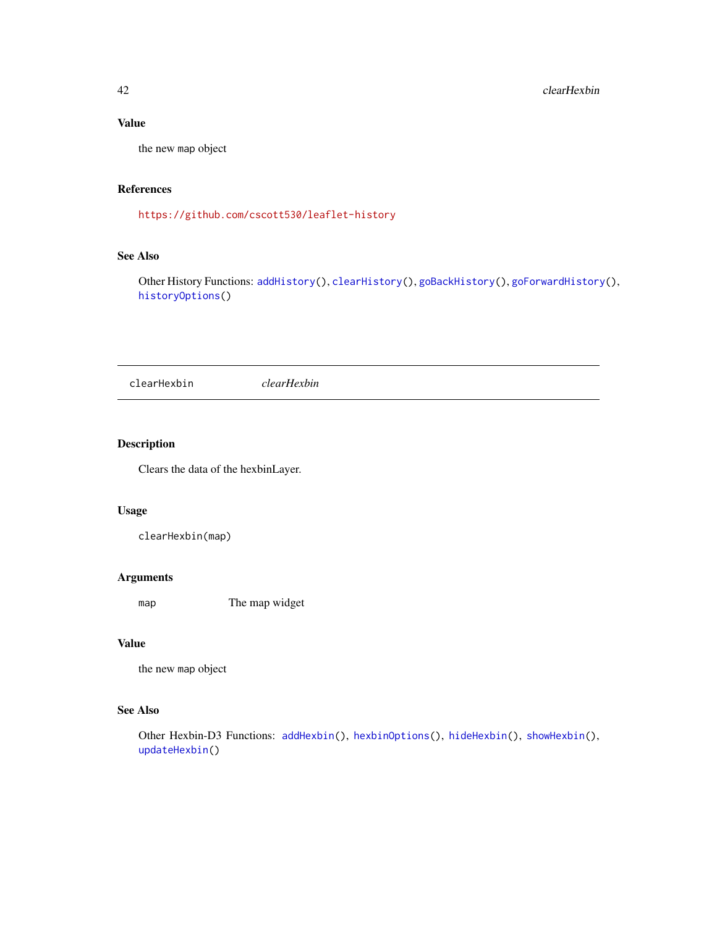# Value

the new map object

### References

<https://github.com/cscott530/leaflet-history>

# See Also

Other History Functions: [addHistory\(](#page-14-0)), [clearHistory\(](#page-42-0)), [goBackHistory\(](#page-48-0)), [goForwardHistory\(](#page-48-1)), [historyOptions\(](#page-52-0))

<span id="page-41-0"></span>clearHexbin *clearHexbin*

# Description

Clears the data of the hexbinLayer.

### Usage

clearHexbin(map)

#### Arguments

map The map widget

# Value

the new map object

# See Also

Other Hexbin-D3 Functions: [addHexbin\(](#page-12-0)), [hexbinOptions\(](#page-50-0)), [hideHexbin\(](#page-52-1)), [showHexbin\(](#page-76-0)), [updateHexbin\(](#page-83-0))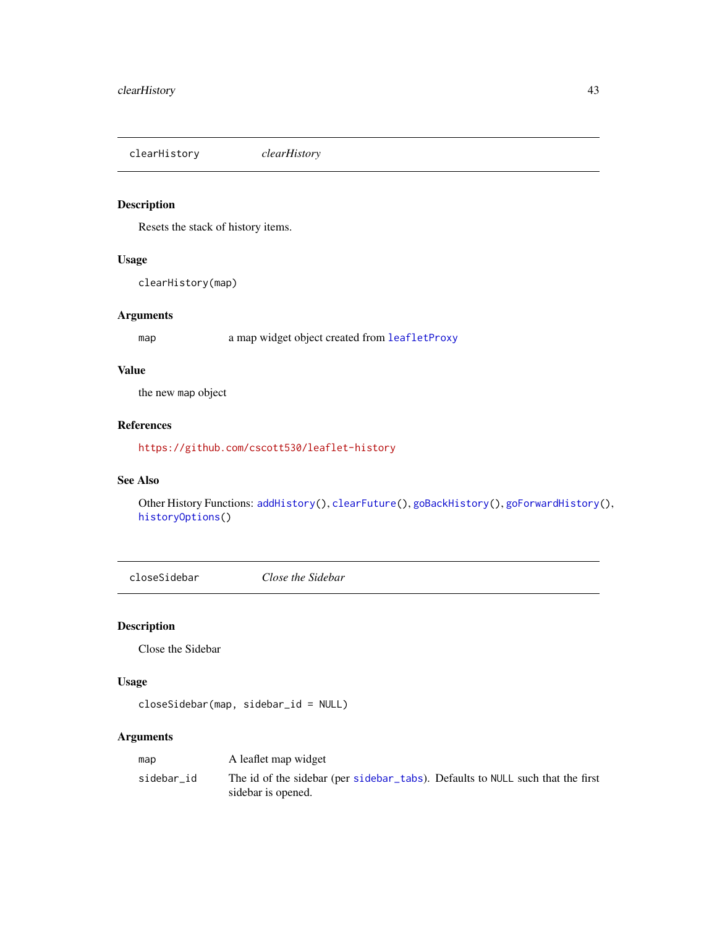<span id="page-42-0"></span>clearHistory *clearHistory*

# Description

Resets the stack of history items.

### Usage

clearHistory(map)

# Arguments

map a map widget object created from [leafletProxy](#page-0-0)

### Value

the new map object

# References

<https://github.com/cscott530/leaflet-history>

# See Also

Other History Functions: [addHistory\(](#page-14-0)), [clearFuture\(](#page-40-1)), [goBackHistory\(](#page-48-0)), [goForwardHistory\(](#page-48-1)), [historyOptions\(](#page-52-0))

<span id="page-42-1"></span>closeSidebar *Close the Sidebar*

# Description

Close the Sidebar

# Usage

closeSidebar(map, sidebar\_id = NULL)

| map        | A leaflet map widget                                                                                 |
|------------|------------------------------------------------------------------------------------------------------|
| sidebar id | The id of the sidebar (per sidebar tabs). Defaults to NULL such that the first<br>sidebar is opened. |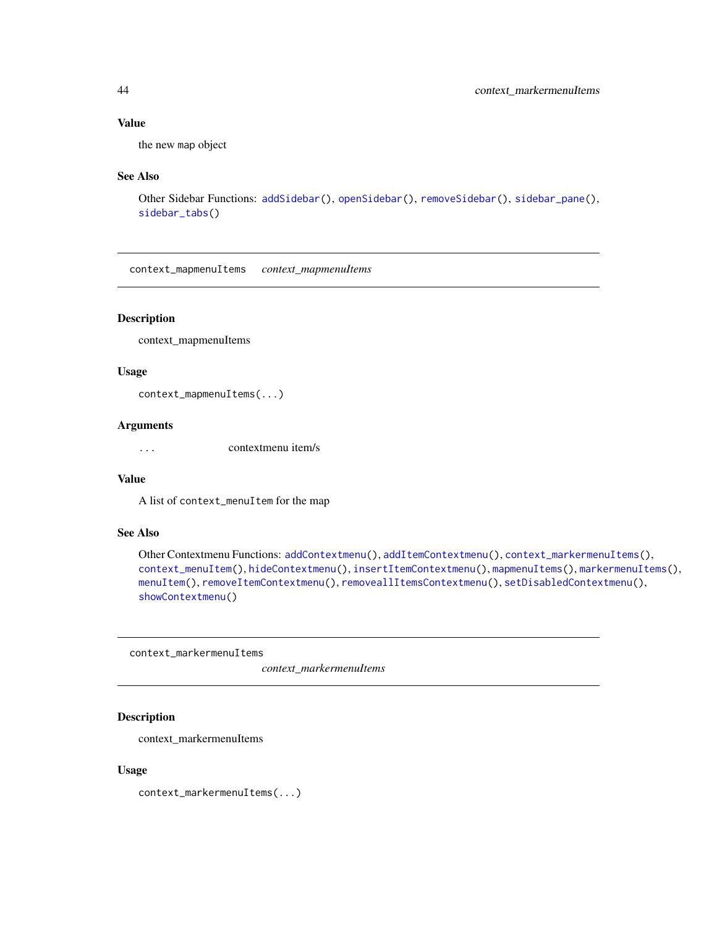### Value

the new map object

#### See Also

```
Other Sidebar Functions: addSidebar(), openSidebar(), removeSidebar(), sidebar_pane(),
sidebar_tabs()
```
<span id="page-43-1"></span>context\_mapmenuItems *context\_mapmenuItems*

### Description

context\_mapmenuItems

### Usage

context\_mapmenuItems(...)

### Arguments

... contextmenu item/s

#### Value

A list of context\_menuItem for the map

#### See Also

```
Other Contextmenu Functions: addContextmenu(), addItemContextmenu(), context_markermenuItems(),
context_menuItem(), hideContextmenu(), insertItemContextmenu(), mapmenuItems(), markermenuItems(),
menuItem(), removeItemContextmenu(), removeallItemsContextmenu(), setDisabledContextmenu(),
showContextmenu()
```
<span id="page-43-0"></span>context\_markermenuItems

*context\_markermenuItems*

### Description

context\_markermenuItems

#### Usage

context\_markermenuItems(...)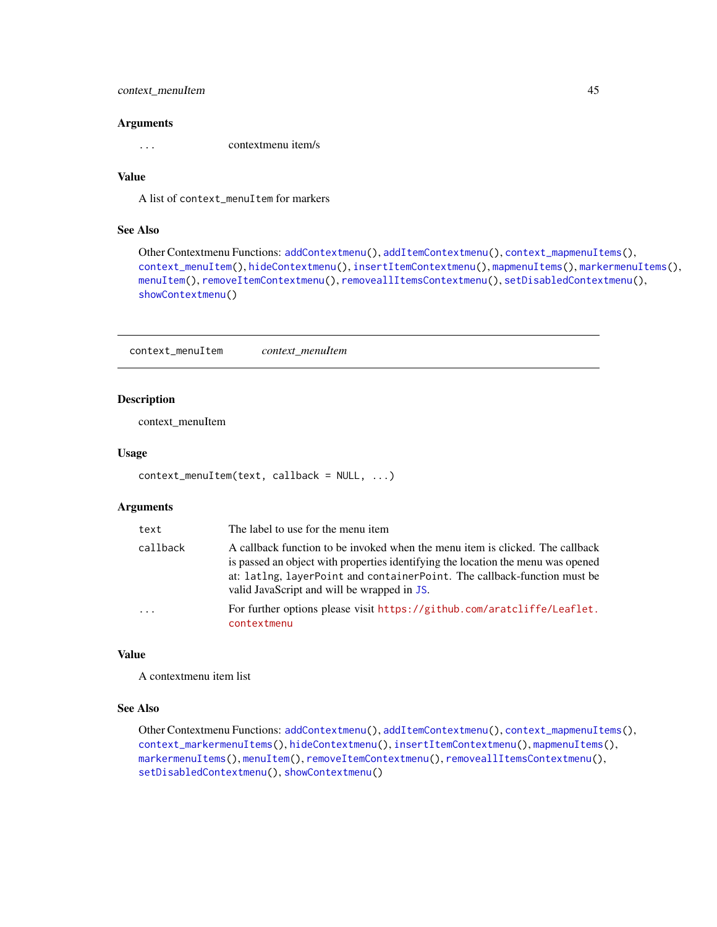# context\_menuItem 45

#### **Arguments**

... contextmenu item/s

### Value

A list of context\_menuItem for markers

### See Also

```
Other Contextmenu Functions: addContextmenu(), addItemContextmenu(), context_mapmenuItems(),
context_menuItem(), hideContextmenu(), insertItemContextmenu(), mapmenuItems(), markermenuItems(),
menuItem(), removeItemContextmenu(), removeallItemsContextmenu(), setDisabledContextmenu(),
showContextmenu()
```
<span id="page-44-0"></span>context\_menuItem *context\_menuItem*

### Description

context\_menuItem

#### Usage

```
context_menuItem(text, callback = NULL, ...)
```
#### Arguments

| text     | The label to use for the menu item                                                                                                                                                                                                                                                           |
|----------|----------------------------------------------------------------------------------------------------------------------------------------------------------------------------------------------------------------------------------------------------------------------------------------------|
| callback | A callback function to be invoked when the menu item is clicked. The callback<br>is passed an object with properties identifying the location the menu was opened<br>at: latlng, layerPoint and containerPoint. The callback-function must be<br>valid JavaScript and will be wrapped in JS. |
| $\cdot$  | For further options please visit https://github.com/aratcliffe/Leaflet.<br>contextmenu                                                                                                                                                                                                       |

#### Value

A contextmenu item list

#### See Also

```
Other Contextmenu Functions: addContextmenu(), addItemContextmenu(), context_mapmenuItems(),
context_markermenuItems(), hideContextmenu(), insertItemContextmenu(), mapmenuItems(),
markermenuItems(), menuItem(), removeItemContextmenu(), removeallItemsContextmenu(),
setDisabledContextmenu(), showContextmenu()
```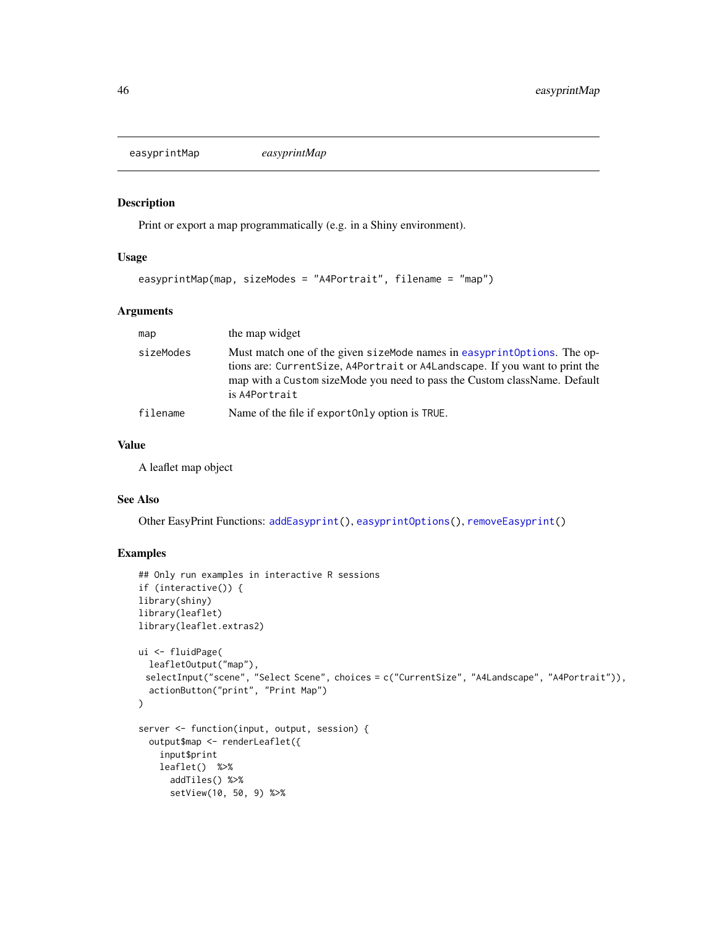<span id="page-45-0"></span>easyprintMap *easyprintMap*

### Description

Print or export a map programmatically (e.g. in a Shiny environment).

# Usage

```
easyprintMap(map, sizeModes = "A4Portrait", filename = "map")
```
### Arguments

| map       | the map widget                                                                                                                                                                                                                                        |
|-----------|-------------------------------------------------------------------------------------------------------------------------------------------------------------------------------------------------------------------------------------------------------|
| sizeModes | Must match one of the given sizeMode names in easyprintOptions. The op-<br>tions are: Current Size, A4Portrait or A4Landscape. If you want to print the<br>map with a Custom sizeMode you need to pass the Custom className. Default<br>is A4Portrait |
| filename  | Name of the file if export Only option is TRUE.                                                                                                                                                                                                       |

### Value

A leaflet map object

### See Also

Other EasyPrint Functions: [addEasyprint\(](#page-8-0)), [easyprintOptions\(](#page-46-0)), [removeEasyprint\(](#page-69-1))

### Examples

```
## Only run examples in interactive R sessions
if (interactive()) {
library(shiny)
library(leaflet)
library(leaflet.extras2)
ui <- fluidPage(
  leafletOutput("map"),
 selectInput("scene", "Select Scene", choices = c("CurrentSize", "A4Landscape", "A4Portrait")),
  actionButton("print", "Print Map")
\mathcal{L}server <- function(input, output, session) {
  output$map <- renderLeaflet({
   input$print
   leaflet() %>%
     addTiles() %>%
      setView(10, 50, 9) %>%
```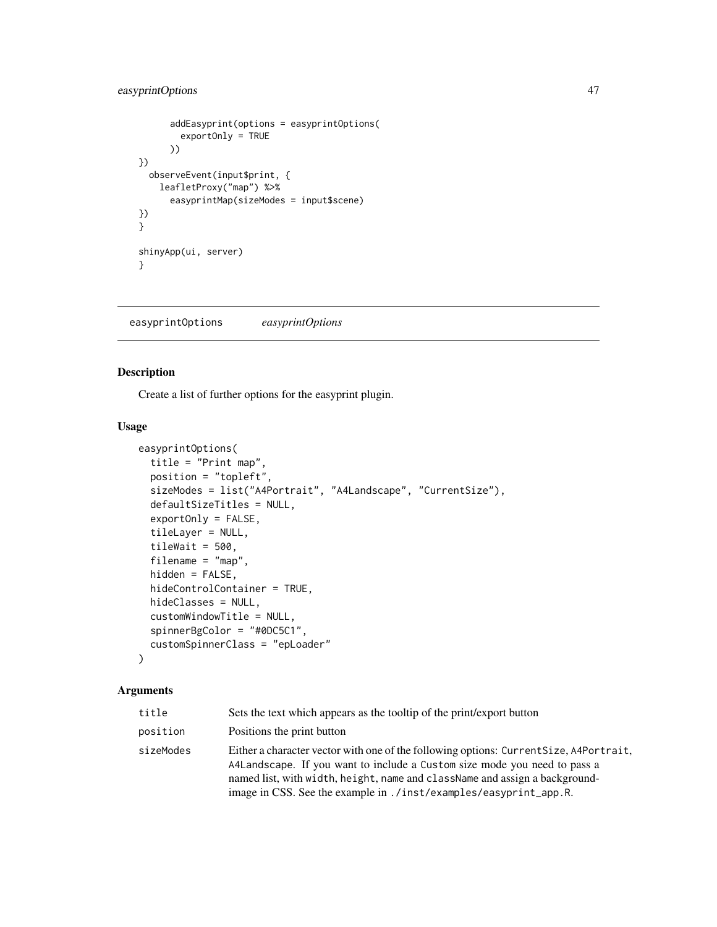# easyprintOptions 47

```
addEasyprint(options = easyprintOptions(
        exportOnly = TRUE
      ))
})
  observeEvent(input$print, {
   leafletProxy("map") %>%
      easyprintMap(sizeModes = input$scene)
})
}
shinyApp(ui, server)
}
```
<span id="page-46-0"></span>easyprintOptions *easyprintOptions*

# Description

Create a list of further options for the easyprint plugin.

### Usage

```
easyprintOptions(
  title = "Print map",
 position = "topleft",
  sizeModes = list("A4Portrait", "A4Landscape", "CurrentSize"),
  defaultSizeTitles = NULL,
  exportOnly = FALSE,
  tileLayer = NULL,
  tileWait = 500,
  filename = "map",
  hidden = FALSE,
  hideControlContainer = TRUE,
  hideClasses = NULL,
  customWindowTitle = NULL,
  spinnerBgColor = "#0DC5C1",
  customSpinnerClass = "epLoader"
\lambda
```

| title     | Sets the text which appears as the tooltip of the print/export button                                                                                                                                                                                                                                                   |
|-----------|-------------------------------------------------------------------------------------------------------------------------------------------------------------------------------------------------------------------------------------------------------------------------------------------------------------------------|
| position  | Positions the print button                                                                                                                                                                                                                                                                                              |
| sizeModes | Either a character vector with one of the following options: Current Size, A4Portrait,<br>A4Landscape. If you want to include a Custom size mode you need to pass a<br>named list, with width, height, name and className and assign a background-<br>image in CSS. See the example in ./inst/examples/easyprint_app.R. |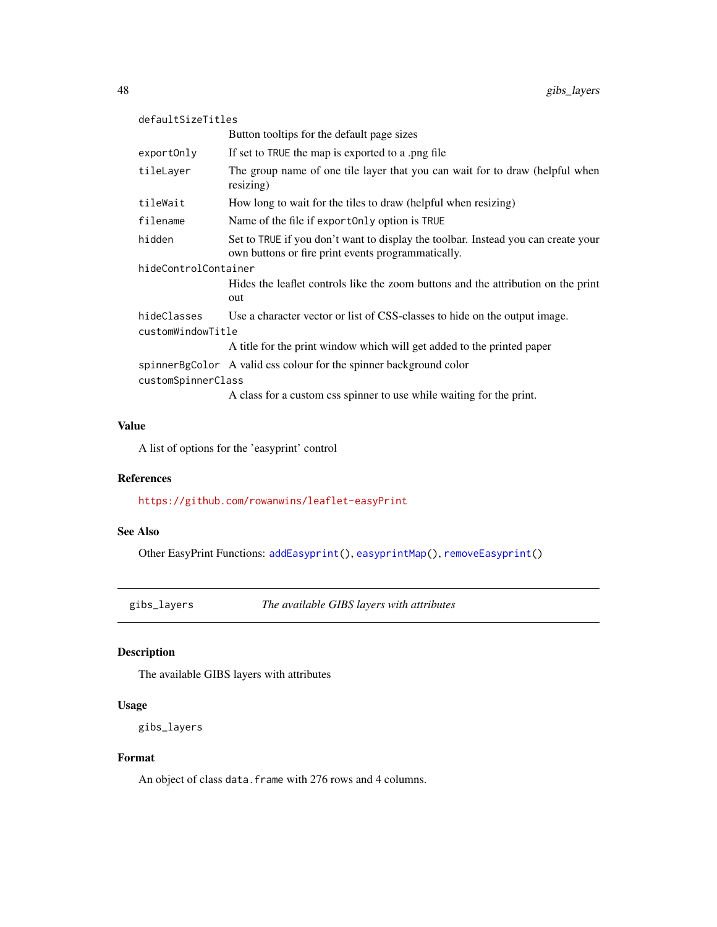| defaultSizeTitles    |                                                                                                                                         |  |
|----------------------|-----------------------------------------------------------------------------------------------------------------------------------------|--|
|                      | Button tooltips for the default page sizes                                                                                              |  |
| exportOnly           | If set to TRUE the map is exported to a png file                                                                                        |  |
| tileLayer            | The group name of one tile layer that you can wait for to draw (helpful when<br>resizing)                                               |  |
| tileWait             | How long to wait for the tiles to draw (helpful when resizing)                                                                          |  |
| filename             | Name of the file if export Only option is TRUE                                                                                          |  |
| hidden               | Set to TRUE if you don't want to display the toolbar. Instead you can create your<br>own buttons or fire print events programmatically. |  |
| hideControlContainer |                                                                                                                                         |  |
|                      | Hides the leaflet controls like the zoom buttons and the attribution on the print<br>out                                                |  |
| hideClasses          | Use a character vector or list of CSS-classes to hide on the output image.                                                              |  |
| customWindowTitle    |                                                                                                                                         |  |
|                      | A title for the print window which will get added to the printed paper                                                                  |  |
|                      | spinnerBgColor A valid css colour for the spinner background color                                                                      |  |
| customSpinnerClass   |                                                                                                                                         |  |
|                      | A class for a custom css spinner to use while waiting for the print.                                                                    |  |

# Value

A list of options for the 'easyprint' control

#### References

<https://github.com/rowanwins/leaflet-easyPrint>

# See Also

Other EasyPrint Functions: [addEasyprint\(](#page-8-0)), [easyprintMap\(](#page-45-0)), [removeEasyprint\(](#page-69-1))

gibs\_layers *The available GIBS layers with attributes*

# Description

The available GIBS layers with attributes

# Usage

```
gibs_layers
```
### Format

An object of class data. frame with 276 rows and 4 columns.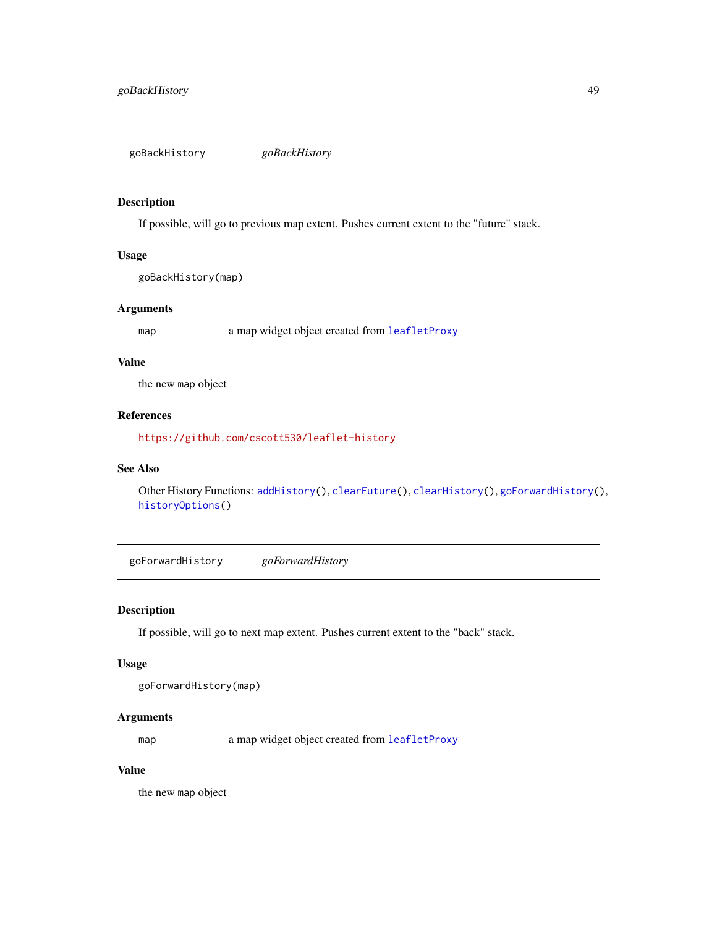<span id="page-48-0"></span>goBackHistory *goBackHistory*

### Description

If possible, will go to previous map extent. Pushes current extent to the "future" stack.

#### Usage

goBackHistory(map)

### Arguments

map a map widget object created from [leafletProxy](#page-0-0)

### Value

the new map object

### References

<https://github.com/cscott530/leaflet-history>

### See Also

Other History Functions: [addHistory\(](#page-14-0)), [clearFuture\(](#page-40-1)), [clearHistory\(](#page-42-0)), [goForwardHistory\(](#page-48-1)), [historyOptions\(](#page-52-0))

<span id="page-48-1"></span>goForwardHistory *goForwardHistory*

### Description

If possible, will go to next map extent. Pushes current extent to the "back" stack.

#### Usage

```
goForwardHistory(map)
```
### Arguments

map a map widget object created from [leafletProxy](#page-0-0)

### Value

the new map object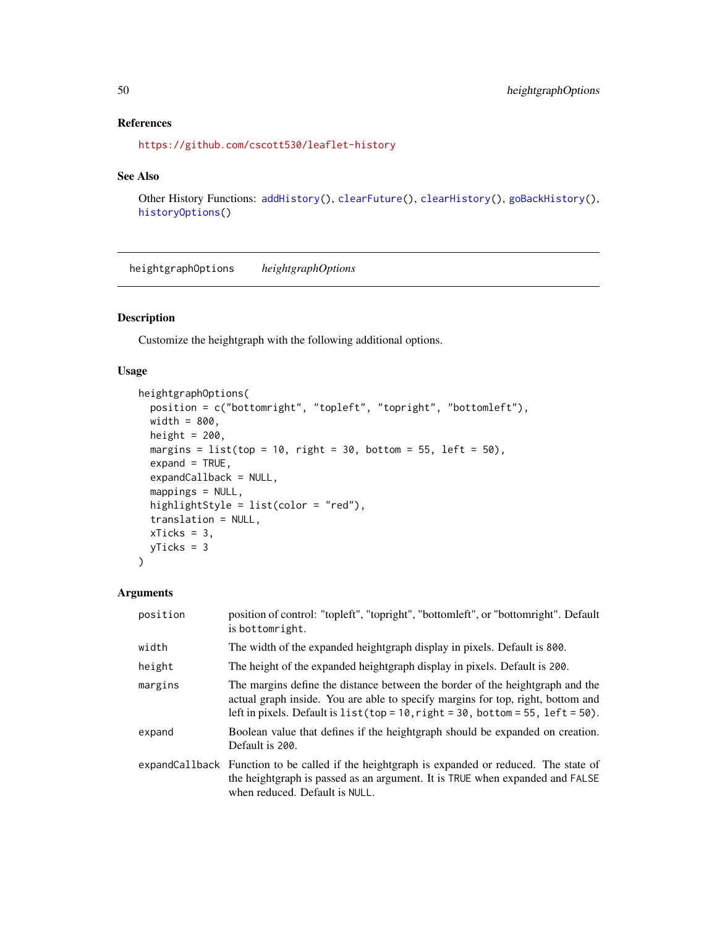# References

```
https://github.com/cscott530/leaflet-history
```
### See Also

```
Other History Functions: addHistory(), clearFuture(), clearHistory(), goBackHistory(),
historyOptions()
```
heightgraphOptions *heightgraphOptions*

### Description

Customize the heightgraph with the following additional options.

### Usage

```
heightgraphOptions(
 position = c("bottomright", "topleft", "topright", "bottomleft"),
 width = 800,
 height = 200,
 margins = list(top = 10, right = 30, bottom = 55, left = 50),
 expand = TRUE,expandCallback = NULL,
 mappings = NULL,
 highlightStyle = list(color = "red"),
  translation = NULL,
 xTicks = 3,
 yTicks = 3
)
```

| position | position of control: "topleft", "topright", "bottomleft", or "bottomright". Default<br>is bottomright.                                                                                                                                                |
|----------|-------------------------------------------------------------------------------------------------------------------------------------------------------------------------------------------------------------------------------------------------------|
| width    | The width of the expanded heightgraph display in pixels. Default is 800.                                                                                                                                                                              |
| height   | The height of the expanded heightgraph display in pixels. Default is 200.                                                                                                                                                                             |
| margins  | The margins define the distance between the border of the heightgraph and the<br>actual graph inside. You are able to specify margins for top, right, bottom and<br>left in pixels. Default is $list(top = 10, right = 30, bottom = 55, left = 50)$ . |
| expand   | Boolean value that defines if the heightgraph should be expanded on creation.<br>Default is 200.                                                                                                                                                      |
|          | expandCallback Function to be called if the heightgraph is expanded or reduced. The state of<br>the heightgraph is passed as an argument. It is TRUE when expanded and FALSE<br>when reduced. Default is NULL.                                        |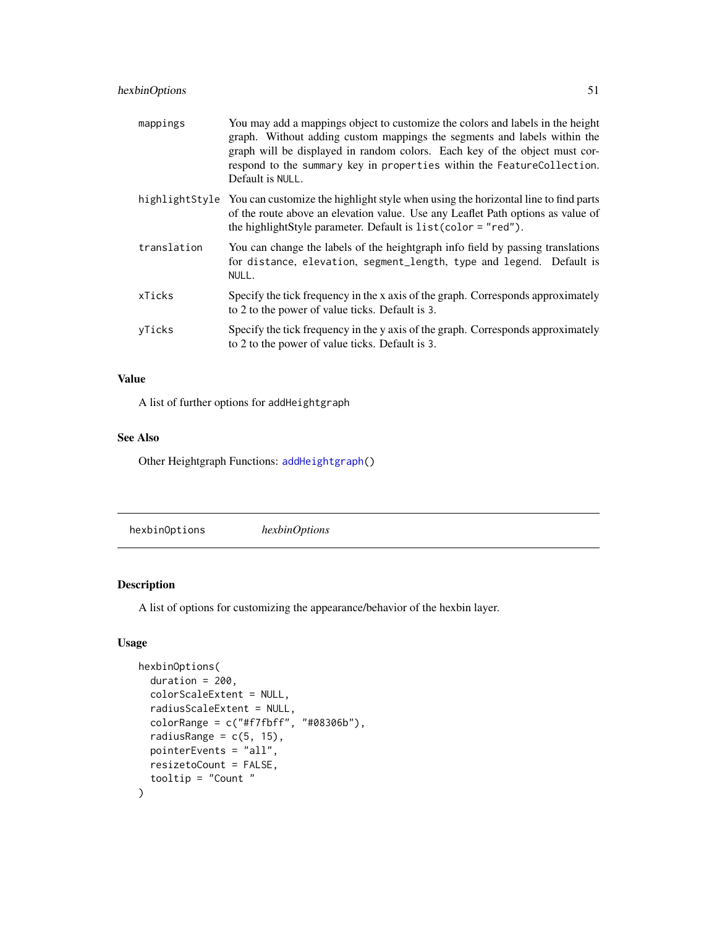# hexbinOptions 51

| mappings    | You may add a mappings object to customize the colors and labels in the height<br>graph. Without adding custom mappings the segments and labels within the<br>graph will be displayed in random colors. Each key of the object must cor-<br>respond to the summary key in properties within the FeatureCollection.<br>Default is NULL. |
|-------------|----------------------------------------------------------------------------------------------------------------------------------------------------------------------------------------------------------------------------------------------------------------------------------------------------------------------------------------|
|             | highlight Style You can customize the highlight style when using the horizontal line to find parts<br>of the route above an elevation value. Use any Leaflet Path options as value of<br>the highlightStyle parameter. Default is list(color = "red").                                                                                 |
| translation | You can change the labels of the heightgraph info field by passing translations<br>for distance, elevation, segment_length, type and legend. Default is<br>NULL.                                                                                                                                                                       |
| xTicks      | Specify the tick frequency in the x axis of the graph. Corresponds approximately<br>to 2 to the power of value ticks. Default is 3.                                                                                                                                                                                                    |
| yTicks      | Specify the tick frequency in the y axis of the graph. Corresponds approximately<br>to 2 to the power of value ticks. Default is 3.                                                                                                                                                                                                    |

### Value

A list of further options for addHeightgraph

# See Also

Other Heightgraph Functions: [addHeightgraph\(](#page-10-0))

<span id="page-50-0"></span>hexbinOptions *hexbinOptions*

# Description

A list of options for customizing the appearance/behavior of the hexbin layer.

# Usage

```
hexbinOptions(
 duration = 200,
 colorScaleExtent = NULL,
 radiusScaleExtent = NULL,
 colorRange = c("#f7fbff", "#08306b"),
 radiusRange = c(5, 15),
 pointerEvents = "all",
 resizetoCount = FALSE,
  tooltip = "Count "
)
```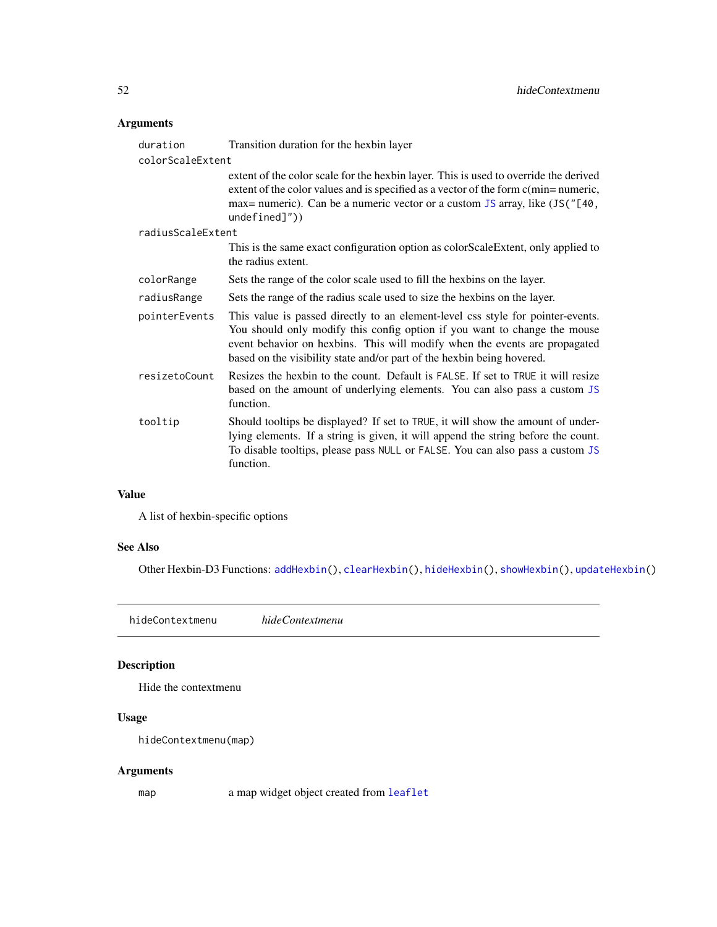# Arguments

| duration          | Transition duration for the hexbin layer                                                                                                                                                                                                                                                                             |
|-------------------|----------------------------------------------------------------------------------------------------------------------------------------------------------------------------------------------------------------------------------------------------------------------------------------------------------------------|
| colorScaleExtent  |                                                                                                                                                                                                                                                                                                                      |
|                   | extent of the color scale for the hexbin layer. This is used to override the derived<br>extent of the color values and is specified as a vector of the form c(min=numeric,<br>max= numeric). Can be a numeric vector or a custom JS array, like (JS("[40,<br>$undefined]$ "))                                        |
| radiusScaleExtent |                                                                                                                                                                                                                                                                                                                      |
|                   | This is the same exact configuration option as colorScaleExtent, only applied to<br>the radius extent.                                                                                                                                                                                                               |
| colorRange        | Sets the range of the color scale used to fill the hexbins on the layer.                                                                                                                                                                                                                                             |
| radiusRange       | Sets the range of the radius scale used to size the hexbins on the layer.                                                                                                                                                                                                                                            |
| pointerEvents     | This value is passed directly to an element-level css style for pointer-events.<br>You should only modify this config option if you want to change the mouse<br>event behavior on hexbins. This will modify when the events are propagated<br>based on the visibility state and/or part of the hexbin being hovered. |
| resizetoCount     | Resizes the hexbin to the count. Default is FALSE. If set to TRUE it will resize<br>based on the amount of underlying elements. You can also pass a custom JS<br>function.                                                                                                                                           |
| tooltip           | Should tooltips be displayed? If set to TRUE, it will show the amount of under-<br>lying elements. If a string is given, it will append the string before the count.<br>To disable tooltips, please pass NULL or FALSE. You can also pass a custom JS<br>function.                                                   |

### Value

A list of hexbin-specific options

# See Also

Other Hexbin-D3 Functions: [addHexbin\(](#page-12-0)), [clearHexbin\(](#page-41-0)), [hideHexbin\(](#page-52-1)), [showHexbin\(](#page-76-0)), [updateHexbin\(](#page-83-0))

<span id="page-51-0"></span>hideContextmenu *hideContextmenu*

# Description

Hide the contextmenu

# Usage

hideContextmenu(map)

# Arguments

map a map widget object created from [leaflet](#page-0-0)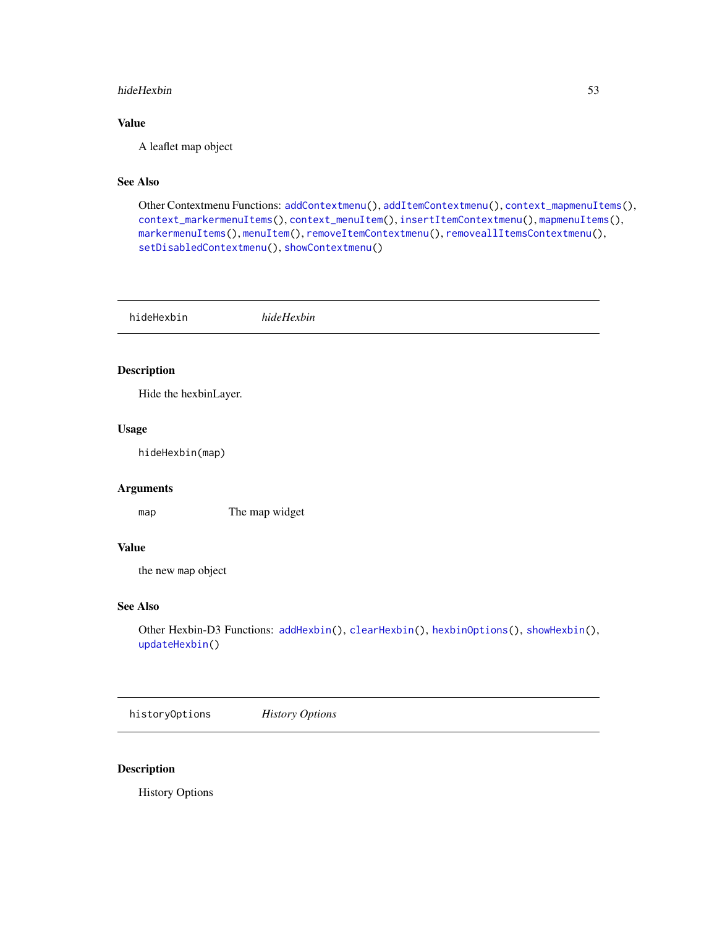#### hideHexbin 53

# Value

A leaflet map object

# See Also

Other Contextmenu Functions: [addContextmenu\(](#page-7-0)), [addItemContextmenu\(](#page-15-0)), [context\\_mapmenuItems\(](#page-43-1)), [context\\_markermenuItems\(](#page-43-0)), [context\\_menuItem\(](#page-44-0)), [insertItemContextmenu\(](#page-54-0)), [mapmenuItems\(](#page-60-0)), [markermenuItems\(](#page-61-0)), [menuItem\(](#page-61-1)), [removeItemContextmenu\(](#page-69-0)), [removeallItemsContextmenu\(](#page-67-0)), [setDisabledContextmenu\(](#page-73-0)), [showContextmenu\(](#page-75-0))

<span id="page-52-1"></span>hideHexbin *hideHexbin*

### Description

Hide the hexbinLayer.

#### Usage

hideHexbin(map)

# Arguments

map The map widget

### Value

the new map object

# See Also

Other Hexbin-D3 Functions: [addHexbin\(](#page-12-0)), [clearHexbin\(](#page-41-0)), [hexbinOptions\(](#page-50-0)), [showHexbin\(](#page-76-0)), [updateHexbin\(](#page-83-0))

<span id="page-52-0"></span>historyOptions *History Options*

### Description

History Options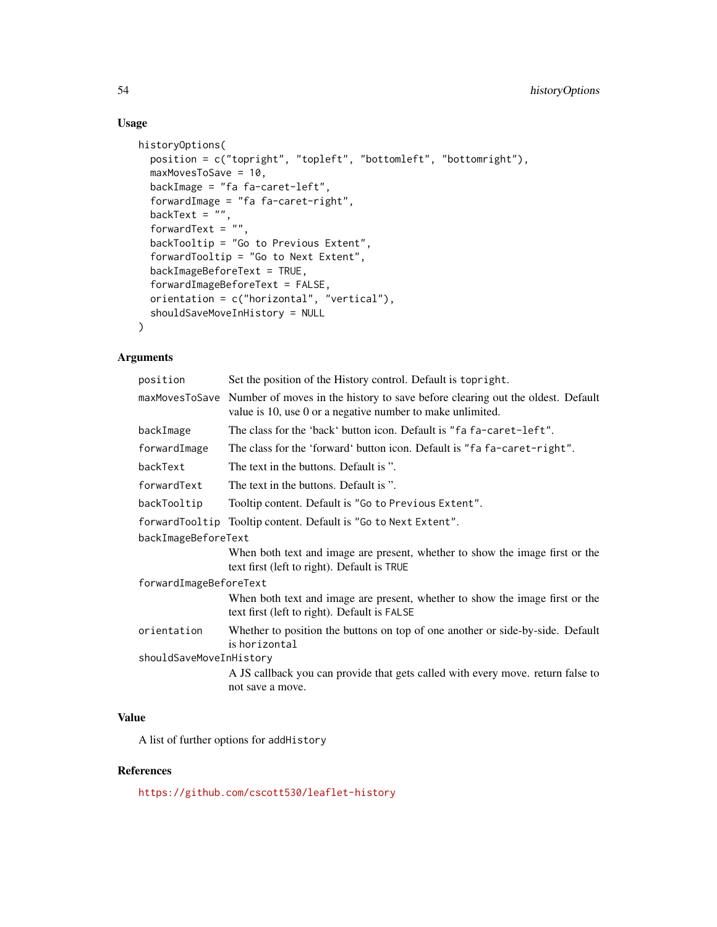# Usage

```
historyOptions(
 position = c("topright", "topleft", "bottomleft", "bottomright"),
 maxMovesToSave = 10,
 backImage = "fa fa-caret-left",
  forwardImage = "fa fa-caret-right",
 backText = ",
  forwardText = \cdot"",
 backTooltip = "Go to Previous Extent",
  forwardTooltip = "Go to Next Extent",
  backImageBeforeText = TRUE,
  forwardImageBeforeText = FALSE,
 orientation = c("horizontal", "vertical"),
  shouldSaveMoveInHistory = NULL
)
```
# Arguments

| position                | Set the position of the History control. Default is top right.                                                                                              |  |
|-------------------------|-------------------------------------------------------------------------------------------------------------------------------------------------------------|--|
|                         | maxMovesToSave Number of moves in the history to save before clearing out the oldest. Default<br>value is 10, use 0 or a negative number to make unlimited. |  |
| backImage               | The class for the 'back' button icon. Default is "fa fa-caret-left".                                                                                        |  |
| forwardImage            | The class for the 'forward' button icon. Default is "fa fa-caret-right".                                                                                    |  |
| backText                | The text in the buttons. Default is ".                                                                                                                      |  |
| forwardText             | The text in the buttons. Default is ".                                                                                                                      |  |
| backTooltip             | Tooltip content. Default is "Go to Previous Extent".                                                                                                        |  |
|                         | forwardTooltip Tooltip content. Default is "Go to Next Extent".                                                                                             |  |
| backImageBeforeText     |                                                                                                                                                             |  |
|                         | When both text and image are present, whether to show the image first or the<br>text first (left to right). Default is TRUE                                 |  |
| forwardImageBeforeText  |                                                                                                                                                             |  |
|                         | When both text and image are present, whether to show the image first or the<br>text first (left to right). Default is FALSE                                |  |
| orientation             | Whether to position the buttons on top of one another or side-by-side. Default<br>is horizontal                                                             |  |
| shouldSaveMoveInHistory |                                                                                                                                                             |  |
|                         | A JS callback you can provide that gets called with every move, return false to<br>not save a move.                                                         |  |

# Value

A list of further options for addHistory

# References

<https://github.com/cscott530/leaflet-history>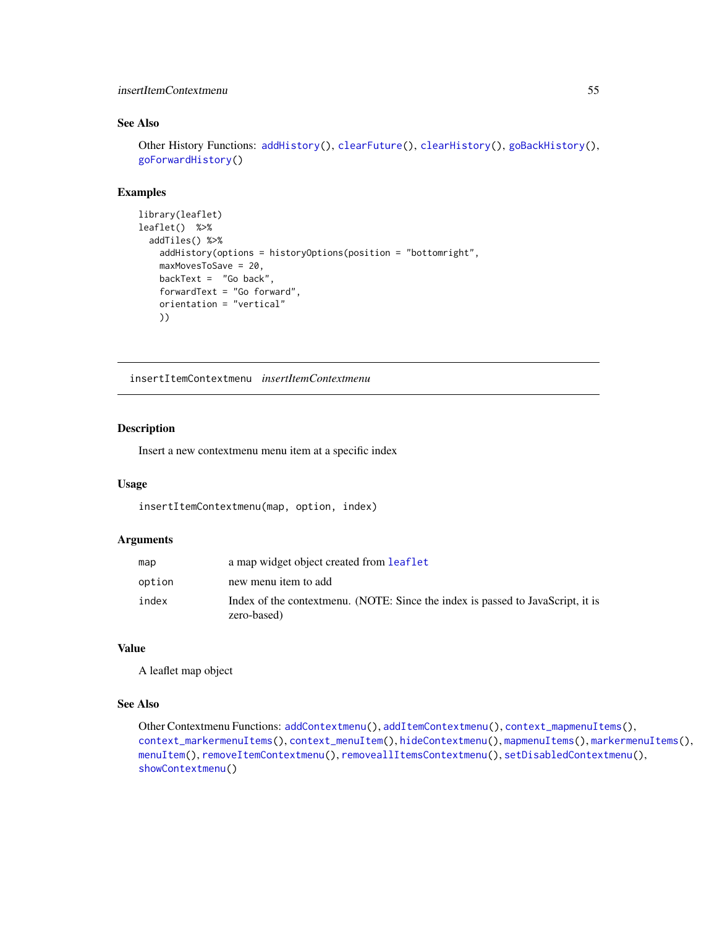### insertItemContextmenu 55

### See Also

```
Other History Functions: addHistory(), clearFuture(), clearHistory(), goBackHistory(),
goForwardHistory()
```
# Examples

```
library(leaflet)
leaflet() %>%
  addTiles() %>%
    addHistory(options = historyOptions(position = "bottomright",
   maxMovesToSave = 20,
   backText = "Go back",
   forwardText = "Go forward",
   orientation = "vertical"
   ))
```
<span id="page-54-0"></span>insertItemContextmenu *insertItemContextmenu*

### Description

Insert a new contextmenu menu item at a specific index

#### Usage

insertItemContextmenu(map, option, index)

### Arguments

| map    | a map widget object created from <b>leaflet</b>                                                |
|--------|------------------------------------------------------------------------------------------------|
| option | new menu item to add                                                                           |
| index  | Index of the contextmenu. (NOTE: Since the index is passed to JavaScript, it is<br>zero-based) |

#### Value

A leaflet map object

### See Also

Other Contextmenu Functions: [addContextmenu\(](#page-7-0)), [addItemContextmenu\(](#page-15-0)), [context\\_mapmenuItems\(](#page-43-1)), [context\\_markermenuItems\(](#page-43-0)), [context\\_menuItem\(](#page-44-0)), [hideContextmenu\(](#page-51-0)), [mapmenuItems\(](#page-60-0)), [markermenuItems\(](#page-61-0)), [menuItem\(](#page-61-1)), [removeItemContextmenu\(](#page-69-0)), [removeallItemsContextmenu\(](#page-67-0)), [setDisabledContextmenu\(](#page-73-0)), [showContextmenu\(](#page-75-0))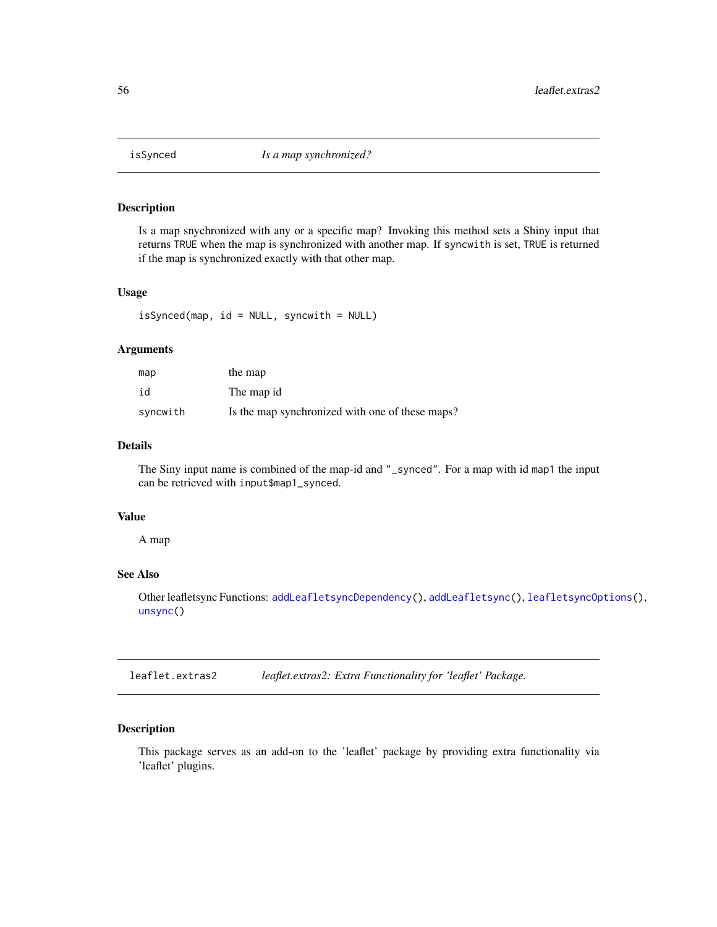<span id="page-55-0"></span>

### Description

Is a map snychronized with any or a specific map? Invoking this method sets a Shiny input that returns TRUE when the map is synchronized with another map. If syncwith is set, TRUE is returned if the map is synchronized exactly with that other map.

#### Usage

```
isSynced(map, id = NULL, syncwith = NULL)
```
### Arguments

| map      | the map                                         |
|----------|-------------------------------------------------|
| id       | The map id                                      |
| syncwith | Is the map synchronized with one of these maps? |

### Details

The Siny input name is combined of the map-id and "\_synced". For a map with id map1 the input can be retrieved with input\$map1\_synced.

# Value

A map

# See Also

Other leafletsync Functions: [addLeafletsyncDependency\(](#page-17-0)), [addLeafletsync\(](#page-16-0)), [leafletsyncOptions\(](#page-56-0)), [unsync\(](#page-82-0))

leaflet.extras2 *leaflet.extras2: Extra Functionality for 'leaflet' Package.*

### Description

This package serves as an add-on to the 'leaflet' package by providing extra functionality via 'leaflet' plugins.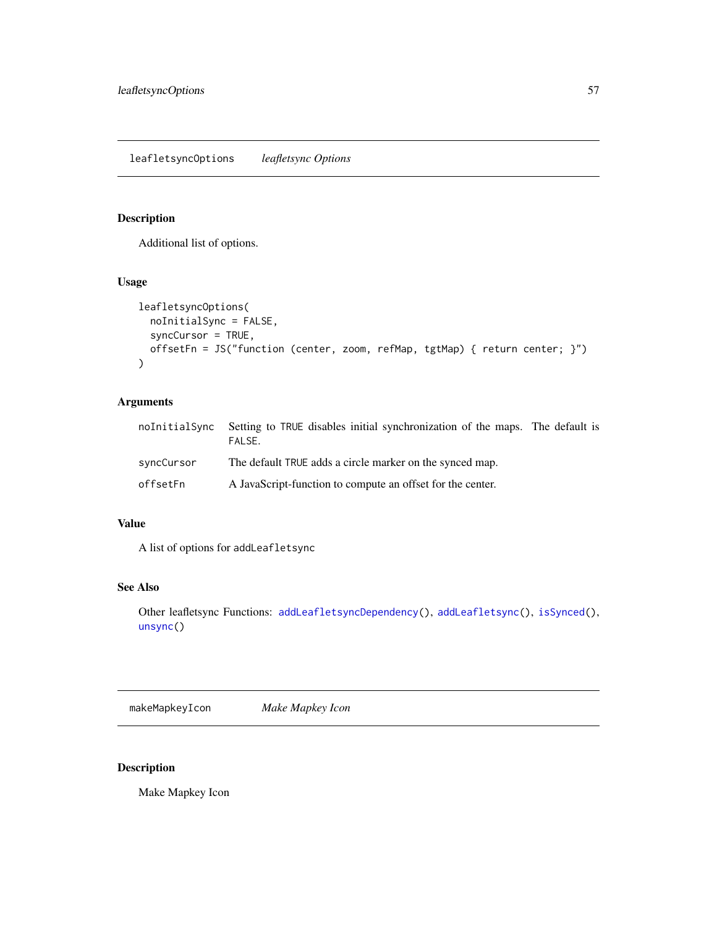# <span id="page-56-0"></span>Description

Additional list of options.

# Usage

```
leafletsyncOptions(
  noInitialSync = FALSE,
 syncCursor = TRUE,
 offsetFn = JS("function (center, zoom, refMap, tgtMap) { return center; }")
\mathcal{L}
```
# Arguments

| noInitialSync | Setting to TRUE disables initial synchronization of the maps. The default is<br>FAI SF. |  |
|---------------|-----------------------------------------------------------------------------------------|--|
| syncCursor    | The default TRUE adds a circle marker on the synced map.                                |  |
| offsetFn      | A JavaScript-function to compute an offset for the center.                              |  |

# Value

A list of options for addLeafletsync

# See Also

Other leafletsync Functions: [addLeafletsyncDependency\(](#page-17-0)), [addLeafletsync\(](#page-16-0)), [isSynced\(](#page-55-0)), [unsync\(](#page-82-0))

<span id="page-56-1"></span>makeMapkeyIcon *Make Mapkey Icon*

# Description

Make Mapkey Icon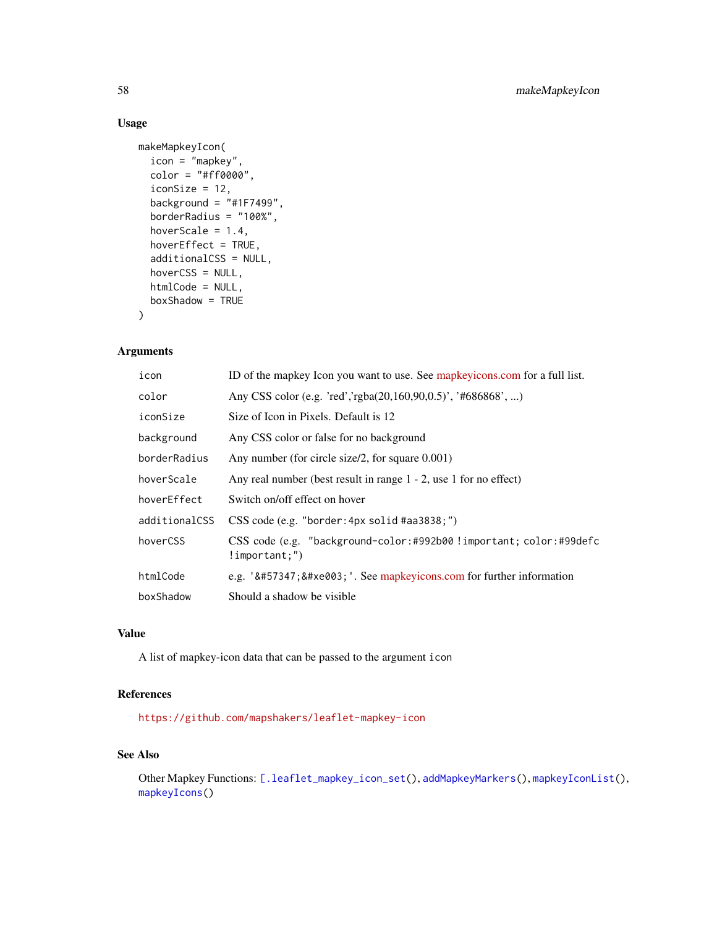### Usage

```
makeMapkeyIcon(
  icon = "mapkey",
 color = "#ff0000",iconSize = 12,
 background = "#1F7499",
 borderRadius = "100%",
 hoverScale = 1.4,
 hoverEffect = TRUE,
 additionalCSS = NULL,
 hoverCSS = NULL,
 htmlCode = NULL,
 boxShadow = TRUE
)
```
### Arguments

| icon          | ID of the mapkey Icon you want to use. See mapkey icons.com for a full list.          |
|---------------|---------------------------------------------------------------------------------------|
| color         | Any CSS color (e.g. 'red','rgba(20,160,90,0.5)', '#686868', )                         |
| iconSize      | Size of Icon in Pixels. Default is 12                                                 |
| background    | Any CSS color or false for no background                                              |
| borderRadius  | Any number (for circle size/2, for square $0.001$ )                                   |
| hoverScale    | Any real number (best result in range $1 - 2$ , use 1 for no effect)                  |
| hoverEffect   | Switch on/off effect on hover                                                         |
| additionalCSS | CSS code (e.g. "border: 4px solid #aa3838;")                                          |
| hoverCSS      | CSS code (e.g. "background-color:#992b00!important; color:#99defc<br>$!$ important;") |
| htmlCode      | e.g. '  '. See mapkeyicons.com for further information                              |
| boxShadow     | Should a shadow be visible.                                                           |

### Value

A list of mapkey-icon data that can be passed to the argument icon

### References

<https://github.com/mapshakers/leaflet-mapkey-icon>

### See Also

Other Mapkey Functions: [\[.leaflet\\_mapkey\\_icon\\_set\(](#page-84-0)), [addMapkeyMarkers\(](#page-18-0)), [mapkeyIconList\(](#page-58-0)), [mapkeyIcons\(](#page-59-0))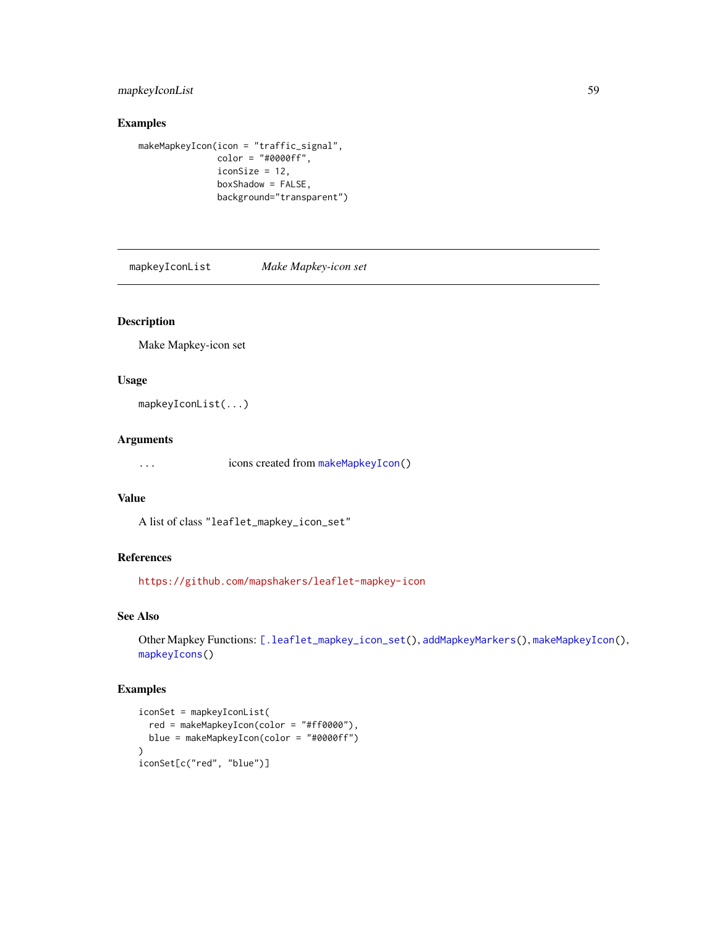# mapkeyIconList 59

# Examples

```
makeMapkeyIcon(icon = "traffic_signal",
               color = "#0000ff",
               iconSize = 12,
               boxShadow = FALSE,
               background="transparent")
```
<span id="page-58-0"></span>mapkeyIconList *Make Mapkey-icon set*

# Description

Make Mapkey-icon set

# Usage

mapkeyIconList(...)

### Arguments

... icons created from [makeMapkeyIcon\(](#page-56-1))

### Value

A list of class "leaflet\_mapkey\_icon\_set"

# References

<https://github.com/mapshakers/leaflet-mapkey-icon>

### See Also

Other Mapkey Functions: [\[.leaflet\\_mapkey\\_icon\\_set\(](#page-84-0)), [addMapkeyMarkers\(](#page-18-0)), [makeMapkeyIcon\(](#page-56-1)), [mapkeyIcons\(](#page-59-0))

# Examples

```
iconSet = mapkeyIconList(
  red = makeMapkeyIcon(color = "#ff0000"),
  blue = makeMapkeyIcon(color = "#0000ff")
)
iconSet[c("red", "blue")]
```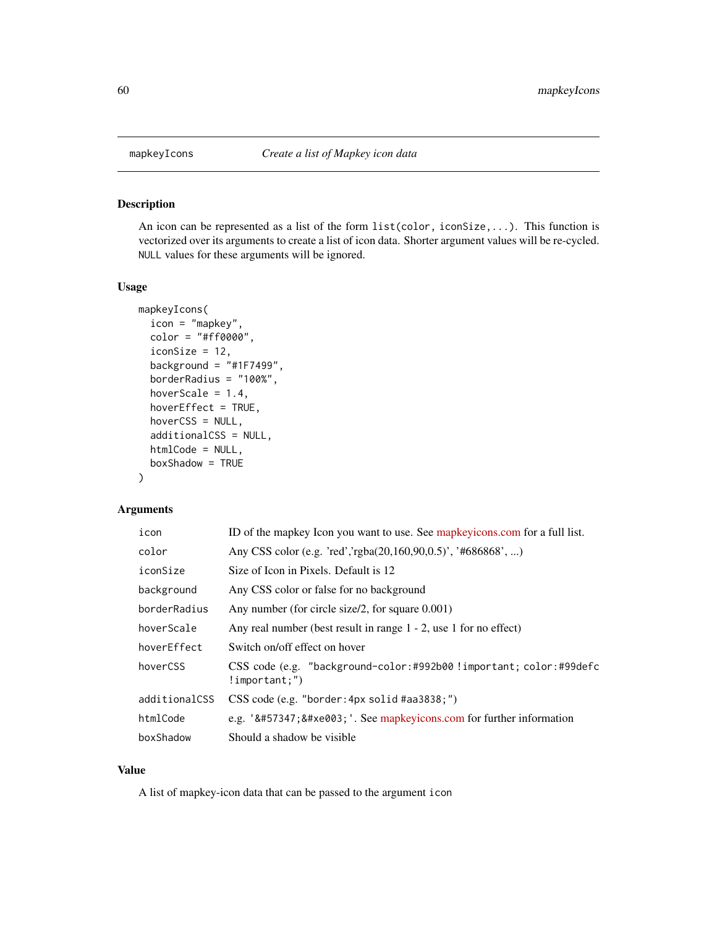<span id="page-59-0"></span>

### Description

An icon can be represented as a list of the form list(color, iconSize,...). This function is vectorized over its arguments to create a list of icon data. Shorter argument values will be re-cycled. NULL values for these arguments will be ignored.

#### Usage

```
mapkeyIcons(
  icon = "mapkey",
  color = "#ff0000",
  iconSize = 12,
  background = "#1F7499",
  borderRadius = "100%",
  hoverScale = 1.4,
  hoverEffect = TRUE,
  hoverCSS = NULL,
  additionalCSS = NULL,
  htmlCode = NULL,
  boxShadow = TRUE
)
```
### Arguments

| icon          | ID of the mapkey Icon you want to use. See mapkeyicons.com for a full list.            |
|---------------|----------------------------------------------------------------------------------------|
| color         | Any CSS color (e.g. 'red','rgba(20,160,90,0.5)', '#686868', )                          |
| iconSize      | Size of Icon in Pixels. Default is 12                                                  |
| background    | Any CSS color or false for no background                                               |
| borderRadius  | Any number (for circle size/2, for square $0.001$ )                                    |
| hoverScale    | Any real number (best result in range $1 - 2$ , use 1 for no effect)                   |
| hoverEffect   | Switch on/off effect on hover                                                          |
| hoverCSS      | CSS code (e.g. "background-color:#992b00 !important; color:#99defc<br>$!$ important;") |
| additionalCSS | $CSS \ code (e.g. "border: 4px solid #aa3838;")$                                       |
| htmlCode      | e.g. '  '. See mapkeyicons.com for further information                               |
| boxShadow     | Should a shadow be visible.                                                            |

### Value

A list of mapkey-icon data that can be passed to the argument icon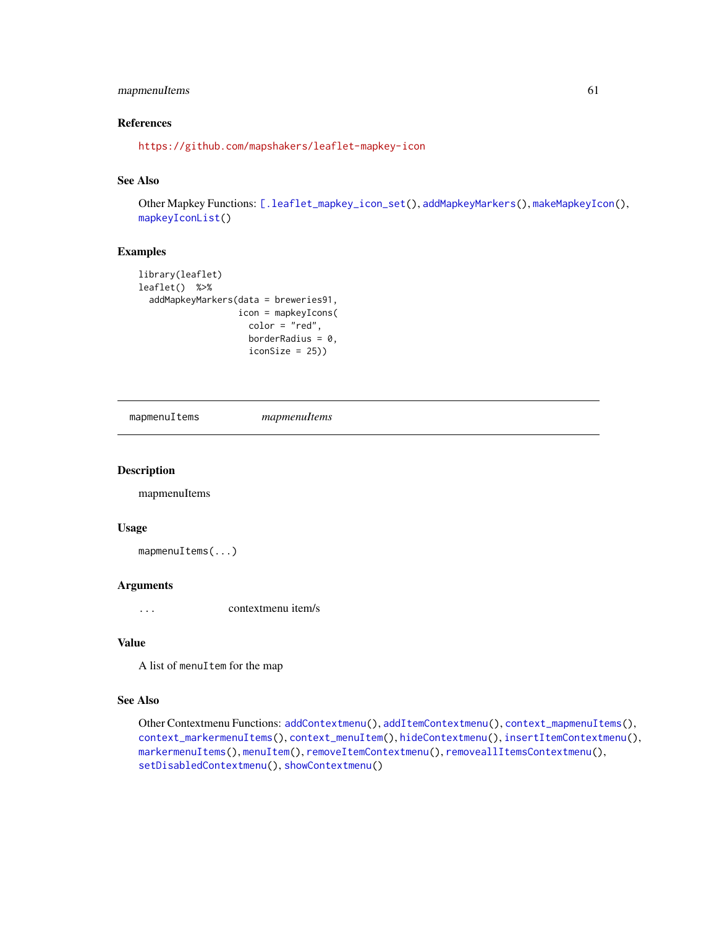# mapmenuItems 61

# References

<https://github.com/mapshakers/leaflet-mapkey-icon>

# See Also

Other Mapkey Functions: [\[.leaflet\\_mapkey\\_icon\\_set\(](#page-84-0)), [addMapkeyMarkers\(](#page-18-0)), [makeMapkeyIcon\(](#page-56-1)), [mapkeyIconList\(](#page-58-0))

### Examples

```
library(leaflet)
leaflet() %>%
 addMapkeyMarkers(data = breweries91,
                   icon = mapkeyIcons(
                     color = "red",
                    borderRadius = 0,
                     iconSize = 25))
```
<span id="page-60-0"></span>mapmenuItems *mapmenuItems*

### Description

mapmenuItems

#### Usage

mapmenuItems(...)

### Arguments

... contextmenu item/s

### Value

A list of menuItem for the map

### See Also

```
Other Contextmenu Functions: addContextmenu(), addItemContextmenu(), context_mapmenuItems(),
context_markermenuItems(), context_menuItem(), hideContextmenu(), insertItemContextmenu(),
markermenuItems(), menuItem(), removeItemContextmenu(), removeallItemsContextmenu(),
setDisabledContextmenu(), showContextmenu()
```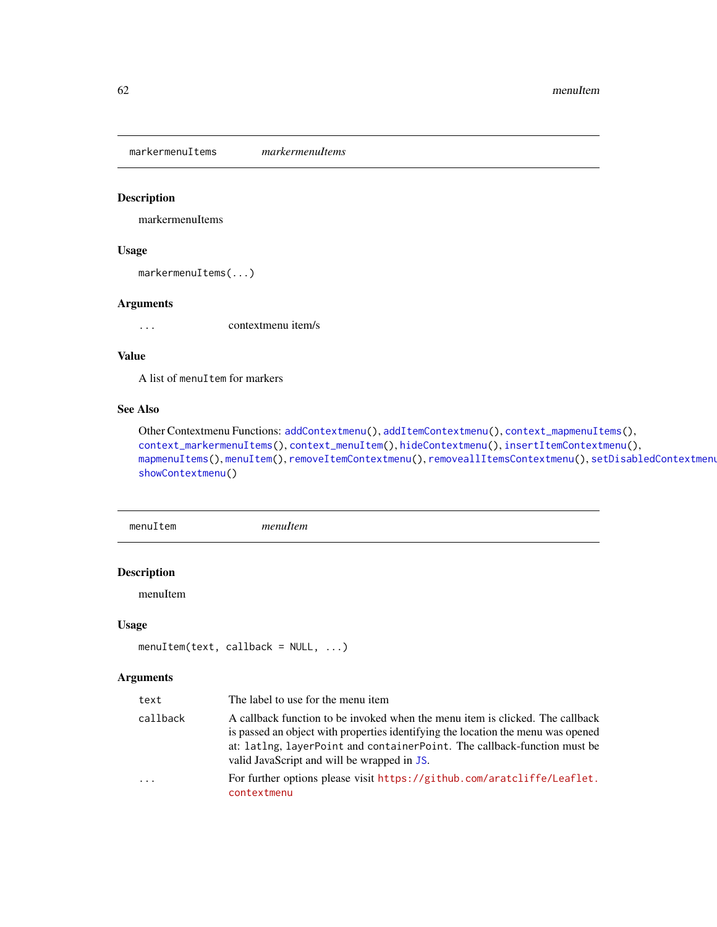<span id="page-61-0"></span>markermenuItems *markermenuItems*

### Description

markermenuItems

# Usage

markermenuItems(...)

### Arguments

... contextmenu item/s

### Value

A list of menuItem for markers

# See Also

```
Other Contextmenu Functions: addContextmenu(), addItemContextmenu(), context_mapmenuItems(),
context_markermenuItems(), context_menuItem(), hideContextmenu(), insertItemContextmenu(),
mapmenuItems(), menuItem(), removeItemContextmenu(), removeallItemsContextmenu(), setDisabledContextmenu(),
showContextmenu()
```
<span id="page-61-1"></span>menuItem *menuItem*

# Description

menuItem

### Usage

```
menuItem(text, callback = NULL, ...)
```

| text     | The label to use for the menu item                                                                                                                                                                                                                                                           |
|----------|----------------------------------------------------------------------------------------------------------------------------------------------------------------------------------------------------------------------------------------------------------------------------------------------|
| callback | A callback function to be invoked when the menu item is clicked. The callback<br>is passed an object with properties identifying the location the menu was opened<br>at: latlng, layerPoint and containerPoint. The callback-function must be<br>valid JavaScript and will be wrapped in JS. |
| .        | For further options please visit https://github.com/aratcliffe/Leaflet.<br>contextmenu                                                                                                                                                                                                       |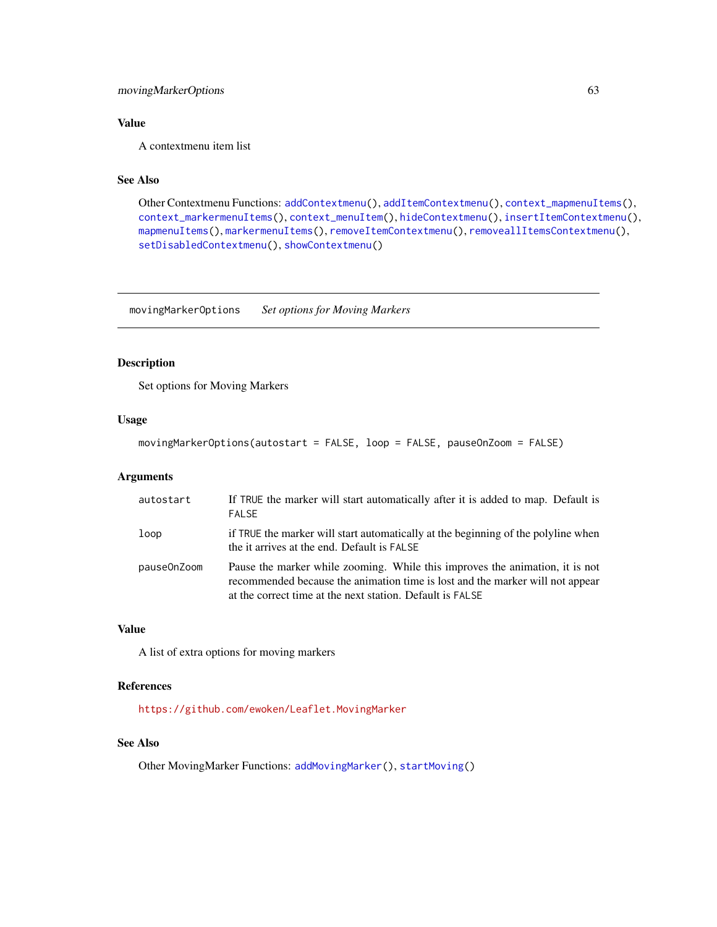# movingMarkerOptions 63

# Value

A contextmenu item list

# See Also

```
Other Contextmenu Functions: addContextmenu(), addItemContextmenu(), context_mapmenuItems(),
context_markermenuItems(), context_menuItem(), hideContextmenu(), insertItemContextmenu(),
mapmenuItems(), markermenuItems(), removeItemContextmenu(), removeallItemsContextmenu(),
setDisabledContextmenu(), showContextmenu()
```
movingMarkerOptions *Set options for Moving Markers*

### Description

Set options for Moving Markers

### Usage

movingMarkerOptions(autostart = FALSE, loop = FALSE, pauseOnZoom = FALSE)

# Arguments

| autostart   | If TRUE the marker will start automatically after it is added to map. Default is<br><b>FALSE</b>                                                                                                                           |
|-------------|----------------------------------------------------------------------------------------------------------------------------------------------------------------------------------------------------------------------------|
| loop        | if TRUE the marker will start automatically at the beginning of the polyline when<br>the it arrives at the end. Default is FALSE                                                                                           |
| pause0nZoom | Pause the marker while zooming. While this improves the animation, it is not<br>recommended because the animation time is lost and the marker will not appear<br>at the correct time at the next station. Default is FALSE |

# Value

A list of extra options for moving markers

### References

<https://github.com/ewoken/Leaflet.MovingMarker>

### See Also

Other MovingMarker Functions: [addMovingMarker\(](#page-20-0)), [startMoving\(](#page-78-0))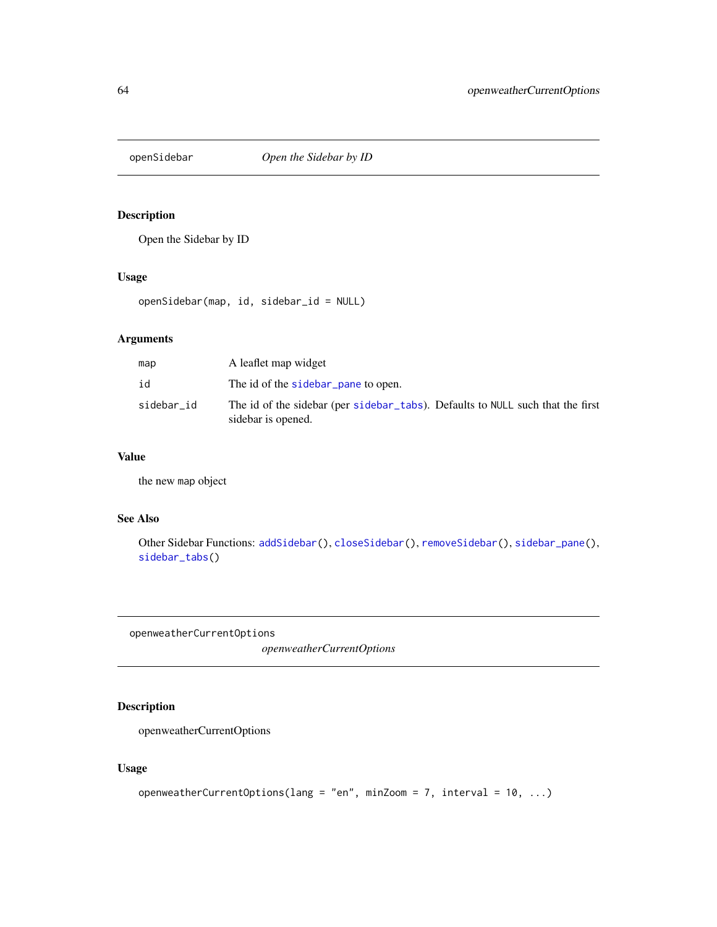<span id="page-63-0"></span>

# Description

Open the Sidebar by ID

# Usage

openSidebar(map, id, sidebar\_id = NULL)

### Arguments

| map        | A leaflet map widget                                                                                 |
|------------|------------------------------------------------------------------------------------------------------|
| id         | The id of the sidebar pane to open.                                                                  |
| sidebar_id | The id of the sidebar (per sidebar_tabs). Defaults to NULL such that the first<br>sidebar is opened. |

# Value

the new map object

### See Also

Other Sidebar Functions: [addSidebar\(](#page-28-0)), [closeSidebar\(](#page-42-1)), [removeSidebar\(](#page-71-0)), [sidebar\\_pane\(](#page-76-1)), [sidebar\\_tabs\(](#page-77-0))

<span id="page-63-1"></span>openweatherCurrentOptions

*openweatherCurrentOptions*

# Description

openweatherCurrentOptions

### Usage

```
openweatherCurrentOptions(lang = "en", minZoom = 7, interval = 10, ...)
```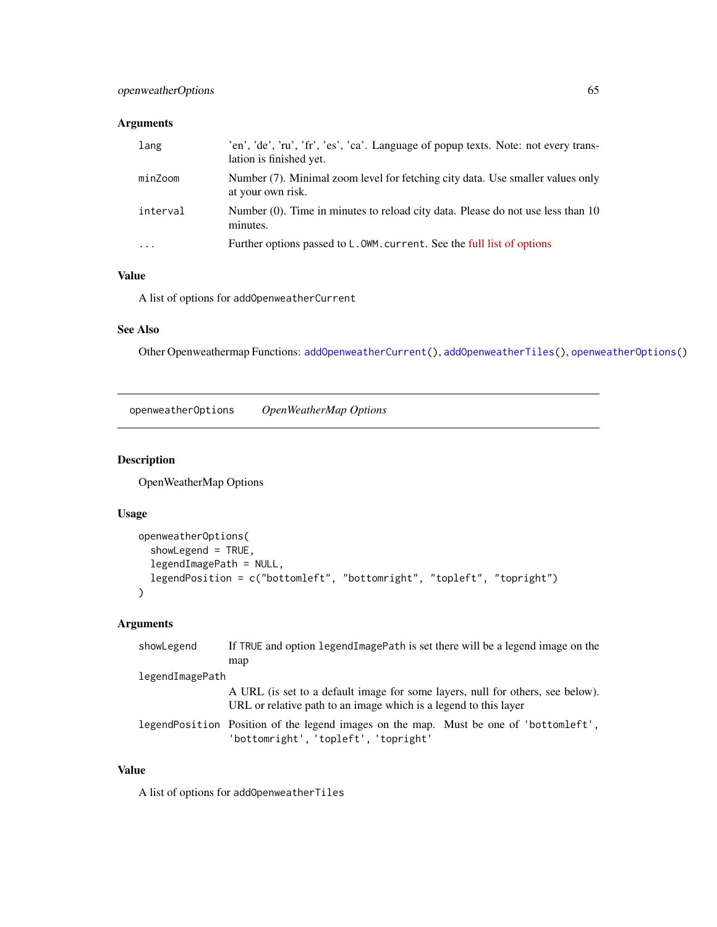# Arguments

| lang     | 'en', 'de', 'ru', 'fr', 'es', 'ca'. Language of popup texts. Note: not every trans-<br>lation is finished yet. |
|----------|----------------------------------------------------------------------------------------------------------------|
| minZoom  | Number (7). Minimal zoom level for fetching city data. Use smaller values only<br>at your own risk.            |
| interval | Number (0). Time in minutes to reload city data. Please do not use less than 10<br>minutes.                    |
| $\cdots$ | Further options passed to L.OWM. current. See the full list of options                                         |

# Value

A list of options for addOpenweatherCurrent

# See Also

Other Openweathermap Functions: [addOpenweatherCurrent\(](#page-21-0)), [addOpenweatherTiles\(](#page-23-0)), [openweatherOptions\(](#page-64-0))

<span id="page-64-0"></span>openweatherOptions *OpenWeatherMap Options*

### Description

OpenWeatherMap Options

# Usage

```
openweatherOptions(
 showLegend = TRUE,
 legendImagePath = NULL,
 legendPosition = c("bottomleft", "bottomright", "topleft", "topright")
)
```
# Arguments

| showLegend      | If TRUE and option legend ImagePath is set there will be a legend image on the                                                                     |
|-----------------|----------------------------------------------------------------------------------------------------------------------------------------------------|
|                 | map                                                                                                                                                |
| legendImagePath |                                                                                                                                                    |
|                 | A URL (is set to a default image for some layers, null for others, see below).<br>URL or relative path to an image which is a legend to this layer |
|                 | legend Position Position of the legend images on the map. Must be one of 'bottom left',<br>'bottomright', 'topleft', 'topright'                    |

# Value

A list of options for addOpenweatherTiles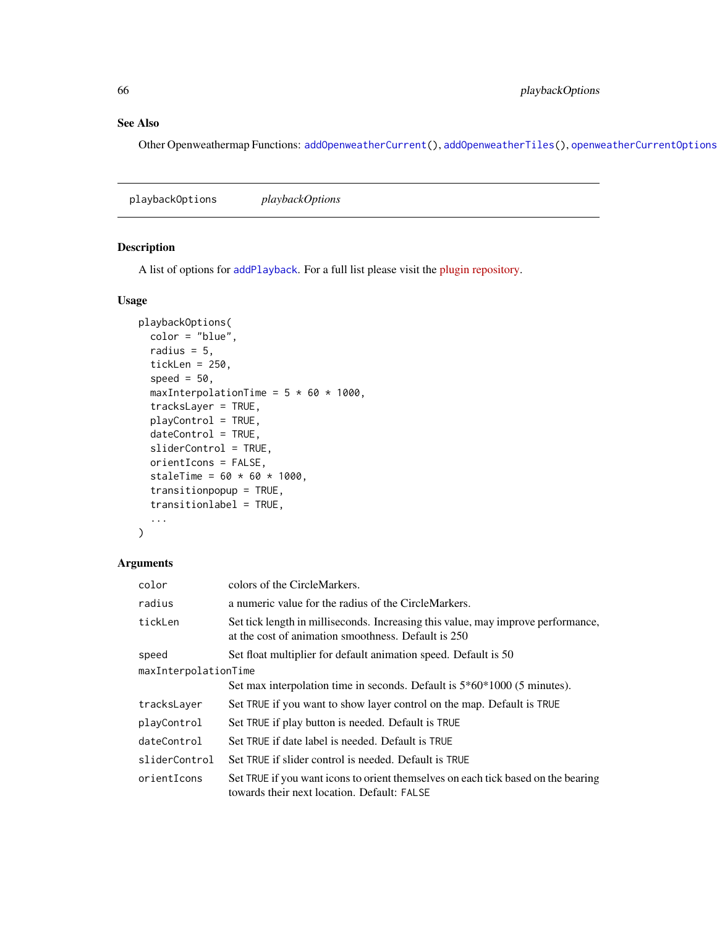# See Also

Other Openweathermap Functions: [addOpenweatherCurrent\(](#page-21-0)), [addOpenweatherTiles\(](#page-23-0)), [openweatherCurrentOptions\(](#page-63-1))

<span id="page-65-0"></span>playbackOptions *playbackOptions*

#### Description

A list of options for [addPlayback](#page-24-0). For a full list please visit the [plugin repository.](https://github.com/hallahan/LeafletPlayback)

# Usage

```
playbackOptions(
 color = "blue",
  radius = 5,
  tickLen = 250,
  speed = 50,
 maxInterpolationTime = 5 * 60 * 1000,
  tracksLayer = TRUE,
 playControl = TRUE,
  dateControl = TRUE,
  sliderControl = TRUE,
  orientIcons = FALSE,
  staleTime = 60 * 60 * 1000,
  transitionpopup = TRUE,
  transitionlabel = TRUE,
  ...
)
```

| color                | colors of the CircleMarkers.                                                                                                            |  |
|----------------------|-----------------------------------------------------------------------------------------------------------------------------------------|--|
| radius               | a numeric value for the radius of the CircleMarkers.                                                                                    |  |
| tickLen              | Set tick length in milliseconds. Increasing this value, may improve performance,<br>at the cost of animation smoothness. Default is 250 |  |
| speed                | Set float multiplier for default animation speed. Default is 50                                                                         |  |
| maxInterpolationTime |                                                                                                                                         |  |
|                      | Set max interpolation time in seconds. Default is $5*60*1000$ (5 minutes).                                                              |  |
| tracksLayer          | Set TRUE if you want to show layer control on the map. Default is TRUE                                                                  |  |
| playControl          | Set TRUE if play button is needed. Default is TRUE                                                                                      |  |
| dateControl          | Set TRUE if date label is needed. Default is TRUE                                                                                       |  |
| sliderControl        | Set TRUE if slider control is needed. Default is TRUE                                                                                   |  |
| orientIcons          | Set TRUE if you want icons to orient themselves on each tick based on the bearing<br>towards their next location. Default: FALSE        |  |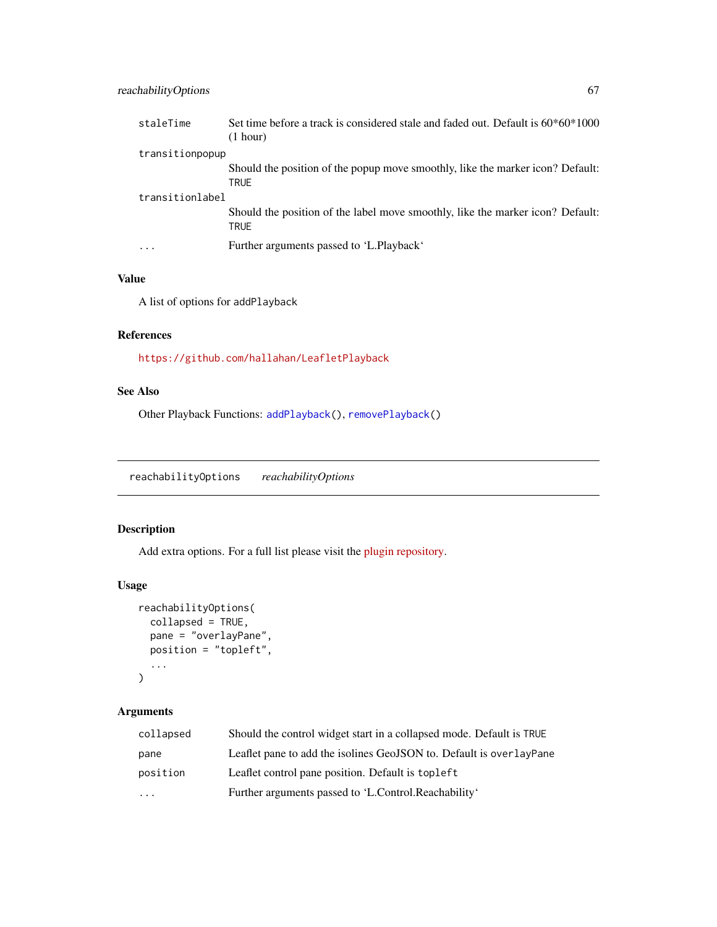| staleTime               | Set time before a track is considered stale and faded out. Default is $60*60*1000$<br>(1 hour) |
|-------------------------|------------------------------------------------------------------------------------------------|
| transitionpopup         |                                                                                                |
|                         | Should the position of the popup move smoothly, like the marker icon? Default:<br><b>TRUE</b>  |
| transitionlabel         |                                                                                                |
|                         | Should the position of the label move smoothly, like the marker icon? Default:<br>TRUE         |
| $\cdot$ $\cdot$ $\cdot$ | Further arguments passed to 'L.Playback'                                                       |

### Value

A list of options for addPlayback

# References

<https://github.com/hallahan/LeafletPlayback>

### See Also

Other Playback Functions: [addPlayback\(](#page-24-0)), [removePlayback\(](#page-70-0))

<span id="page-66-0"></span>reachabilityOptions *reachabilityOptions*

# Description

Add extra options. For a full list please visit the [plugin repository.](https://github.com/traffordDataLab/leaflet.reachability)

# Usage

```
reachabilityOptions(
  collapsed = TRUE,
  pane = "overlayPane",
  position = "topleft",
  ...
\mathcal{L}
```

| collapsed | Should the control widget start in a collapsed mode. Default is TRUE |
|-----------|----------------------------------------------------------------------|
| pane      | Leaflet pane to add the isolines GeoJSON to. Default is overlayPane  |
| position  | Leaflet control pane position. Default is top left                   |
| $\cdots$  | Further arguments passed to 'L.Control.Reachability'                 |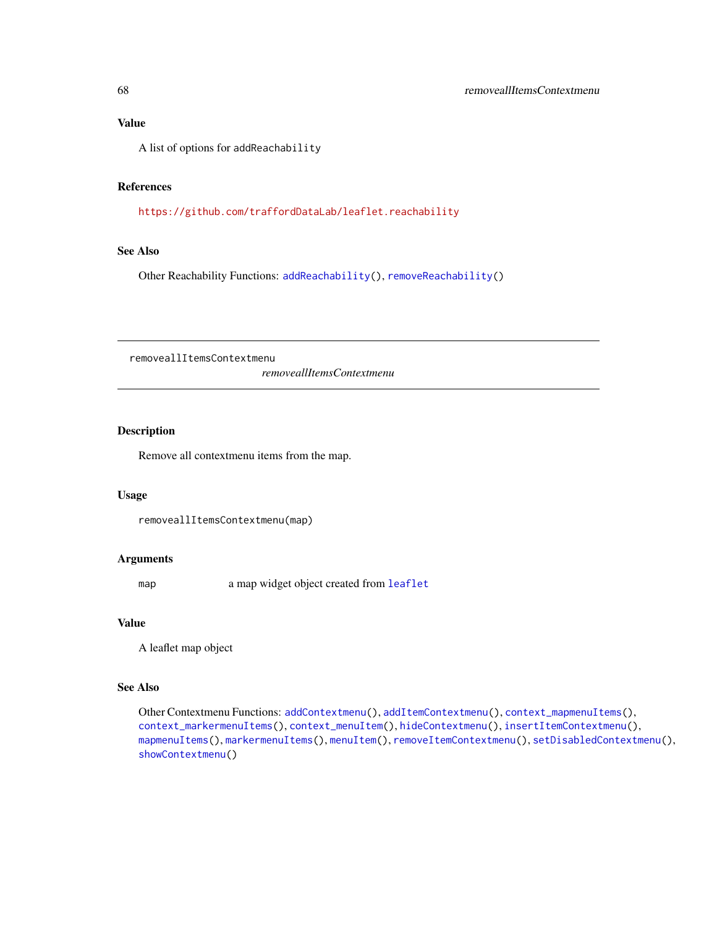#### Value

A list of options for addReachability

# References

<https://github.com/traffordDataLab/leaflet.reachability>

### See Also

Other Reachability Functions: [addReachability\(](#page-27-0)), [removeReachability\(](#page-70-1))

<span id="page-67-0"></span>removeallItemsContextmenu

*removeallItemsContextmenu*

# Description

Remove all contextmenu items from the map.

### Usage

removeallItemsContextmenu(map)

#### Arguments

map a map widget object created from [leaflet](#page-0-0)

### Value

A leaflet map object

### See Also

Other Contextmenu Functions: [addContextmenu\(](#page-7-0)), [addItemContextmenu\(](#page-15-0)), [context\\_mapmenuItems\(](#page-43-1)), [context\\_markermenuItems\(](#page-43-0)), [context\\_menuItem\(](#page-44-0)), [hideContextmenu\(](#page-51-0)), [insertItemContextmenu\(](#page-54-0)), [mapmenuItems\(](#page-60-0)), [markermenuItems\(](#page-61-0)), [menuItem\(](#page-61-1)), [removeItemContextmenu\(](#page-69-0)), [setDisabledContextmenu\(](#page-73-0)), [showContextmenu\(](#page-75-0))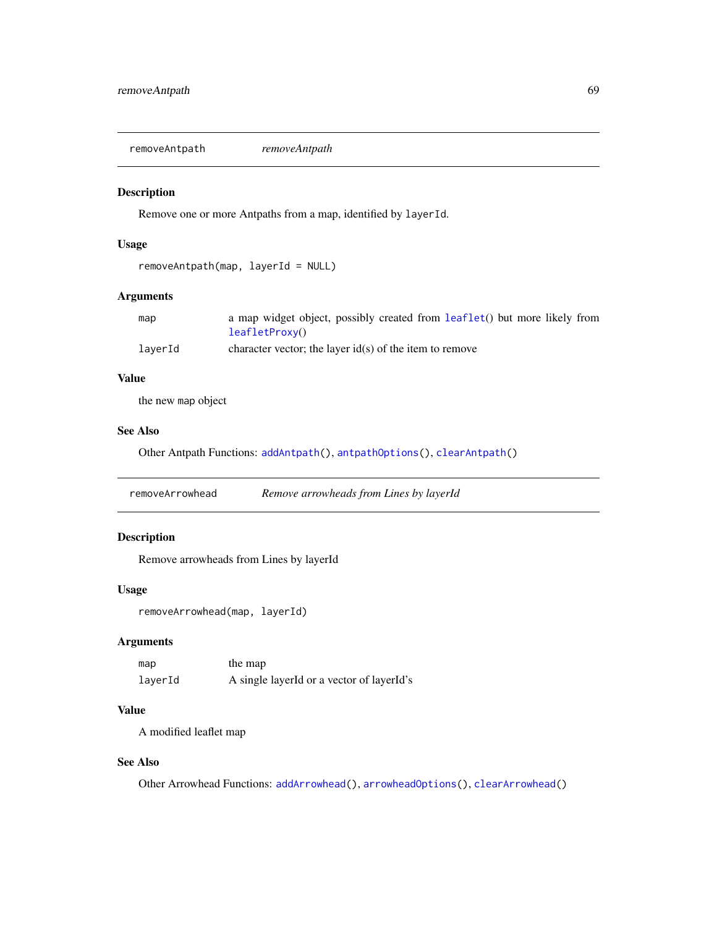<span id="page-68-0"></span>removeAntpath *removeAntpath*

### Description

Remove one or more Antpaths from a map, identified by layerId.

### Usage

```
removeAntpath(map, layerId = NULL)
```
# Arguments

| map     | a map widget object, possibly created from leaflet() but more likely from |
|---------|---------------------------------------------------------------------------|
|         | leafletProxv()                                                            |
| layerId | character vector; the layer $id(s)$ of the item to remove                 |

#### Value

the new map object

# See Also

Other Antpath Functions: [addAntpath\(](#page-3-0)), [antpathOptions\(](#page-37-0)), [clearAntpath\(](#page-39-0))

<span id="page-68-1"></span>removeArrowhead *Remove arrowheads from Lines by layerId*

# Description

Remove arrowheads from Lines by layerId

#### Usage

removeArrowhead(map, layerId)

### Arguments

| map     | the map                                   |
|---------|-------------------------------------------|
| layerId | A single layerId or a vector of layerId's |

#### Value

A modified leaflet map

### See Also

Other Arrowhead Functions: [addArrowhead\(](#page-5-0)), [arrowheadOptions\(](#page-38-0)), [clearArrowhead\(](#page-40-0))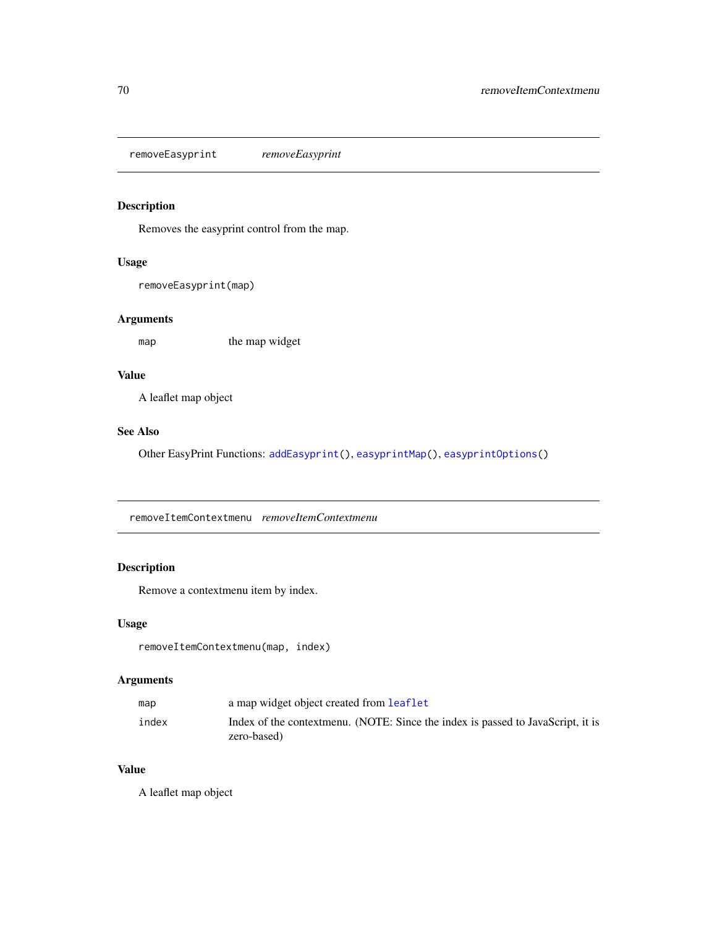<span id="page-69-1"></span>removeEasyprint *removeEasyprint*

# Description

Removes the easyprint control from the map.

#### Usage

```
removeEasyprint(map)
```
# Arguments

map the map widget

# Value

A leaflet map object

# See Also

Other EasyPrint Functions: [addEasyprint\(](#page-8-0)), [easyprintMap\(](#page-45-0)), [easyprintOptions\(](#page-46-0))

<span id="page-69-0"></span>removeItemContextmenu *removeItemContextmenu*

# Description

Remove a contextmenu item by index.

# Usage

removeItemContextmenu(map, index)

# Arguments

| map   | a map widget object created from leaflet                                                       |
|-------|------------------------------------------------------------------------------------------------|
| index | Index of the contextmenu. (NOTE: Since the index is passed to JavaScript, it is<br>zero-based) |

### Value

A leaflet map object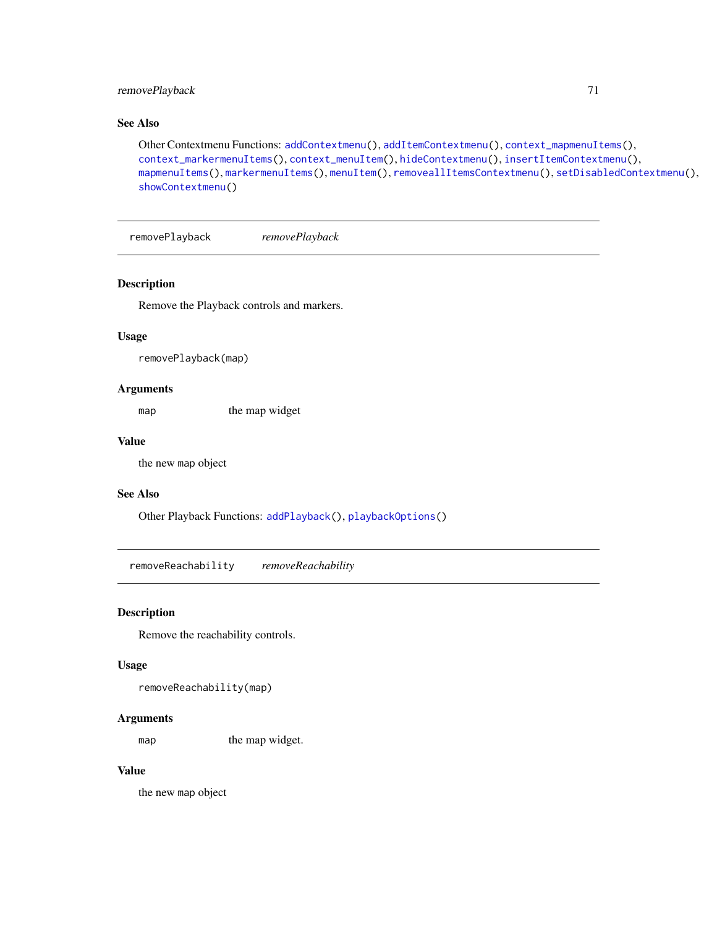# removePlayback 71

# See Also

```
Other Contextmenu Functions: addContextmenu(), addItemContextmenu(), context_mapmenuItems(),
context_markermenuItems(), context_menuItem(), hideContextmenu(), insertItemContextmenu(),
mapmenuItems(), markermenuItems(), menuItem(), removeallItemsContextmenu(), setDisabledContextmenu(),
showContextmenu()
```
<span id="page-70-0"></span>removePlayback *removePlayback*

### Description

Remove the Playback controls and markers.

#### Usage

removePlayback(map)

#### Arguments

map the map widget

#### Value

the new map object

#### See Also

Other Playback Functions: [addPlayback\(](#page-24-0)), [playbackOptions\(](#page-65-0))

<span id="page-70-1"></span>removeReachability *removeReachability*

### Description

Remove the reachability controls.

### Usage

removeReachability(map)

### Arguments

map the map widget.

### Value

the new map object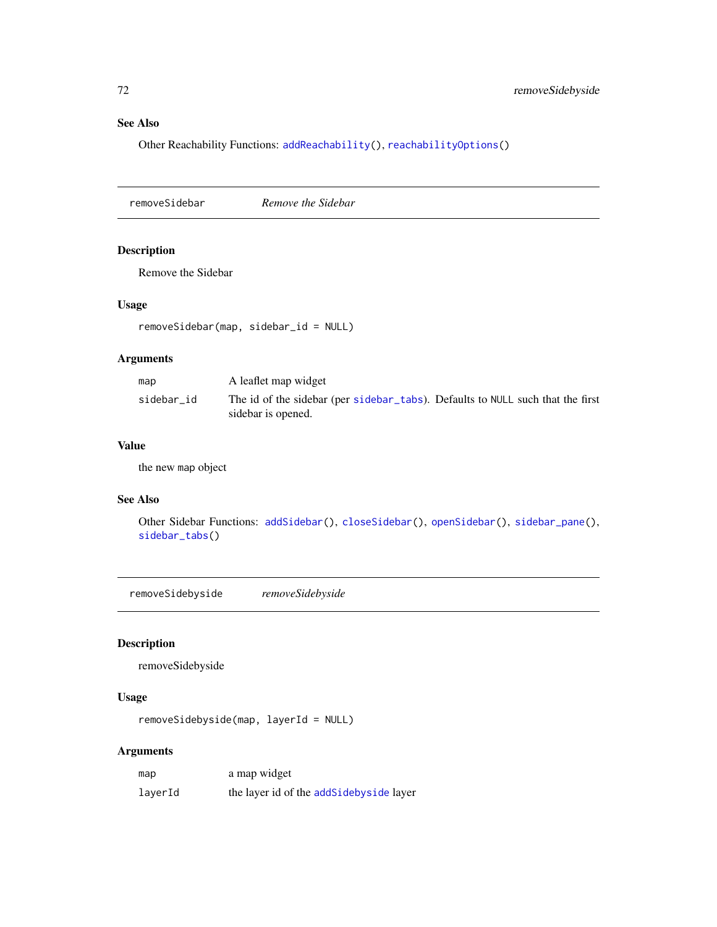# See Also

Other Reachability Functions: [addReachability\(](#page-27-0)), [reachabilityOptions\(](#page-66-0))

<span id="page-71-0"></span>removeSidebar *Remove the Sidebar*

# Description

Remove the Sidebar

# Usage

removeSidebar(map, sidebar\_id = NULL)

# Arguments

| map        | A leaflet map widget                                                                                 |
|------------|------------------------------------------------------------------------------------------------------|
| sidebar id | The id of the sidebar (per sidebar_tabs). Defaults to NULL such that the first<br>sidebar is opened. |

### Value

the new map object

# See Also

Other Sidebar Functions: [addSidebar\(](#page-28-0)), [closeSidebar\(](#page-42-1)), [openSidebar\(](#page-63-0)), [sidebar\\_pane\(](#page-76-1)), [sidebar\\_tabs\(](#page-77-0))

removeSidebyside *removeSidebyside*

# Description

removeSidebyside

### Usage

```
removeSidebyside(map, layerId = NULL)
```

| map     | a map widget                            |
|---------|-----------------------------------------|
| layerId | the layer id of the addSidebyside layer |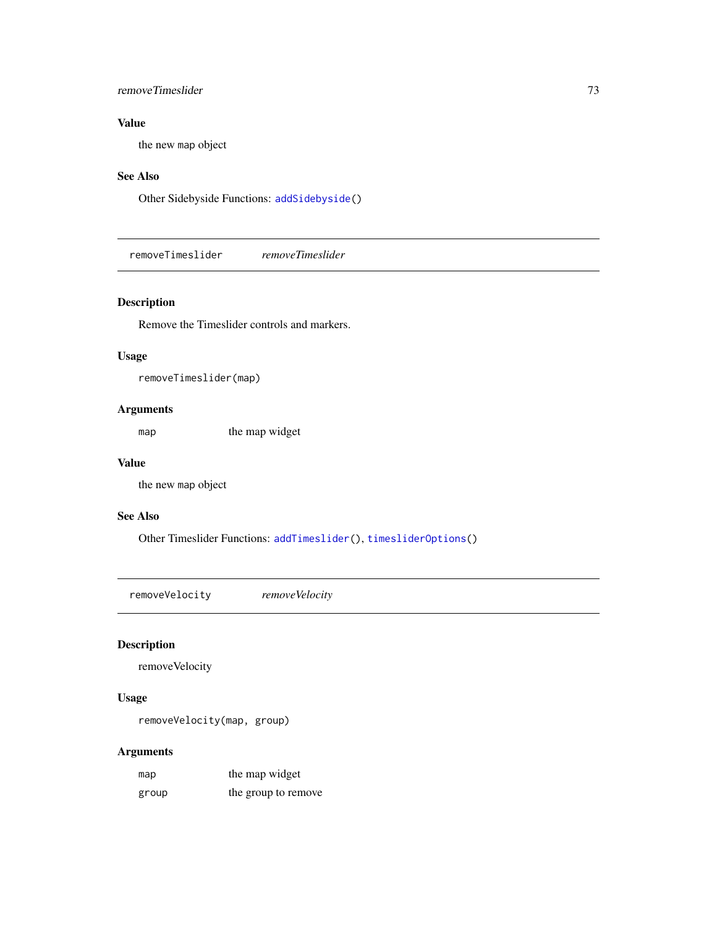# <span id="page-72-2"></span>removeTimeslider 73

## Value

the new map object

## See Also

Other Sidebyside Functions: [addSidebyside\(](#page-29-0))

<span id="page-72-1"></span>removeTimeslider *removeTimeslider*

# Description

Remove the Timeslider controls and markers.

#### Usage

```
removeTimeslider(map)
```
## Arguments

map the map widget

#### Value

the new map object

## See Also

Other Timeslider Functions: [addTimeslider\(](#page-32-0)), [timesliderOptions\(](#page-80-0))

<span id="page-72-0"></span>removeVelocity *removeVelocity*

# Description

removeVelocity

## Usage

removeVelocity(map, group)

| map   | the map widget      |
|-------|---------------------|
| group | the group to remove |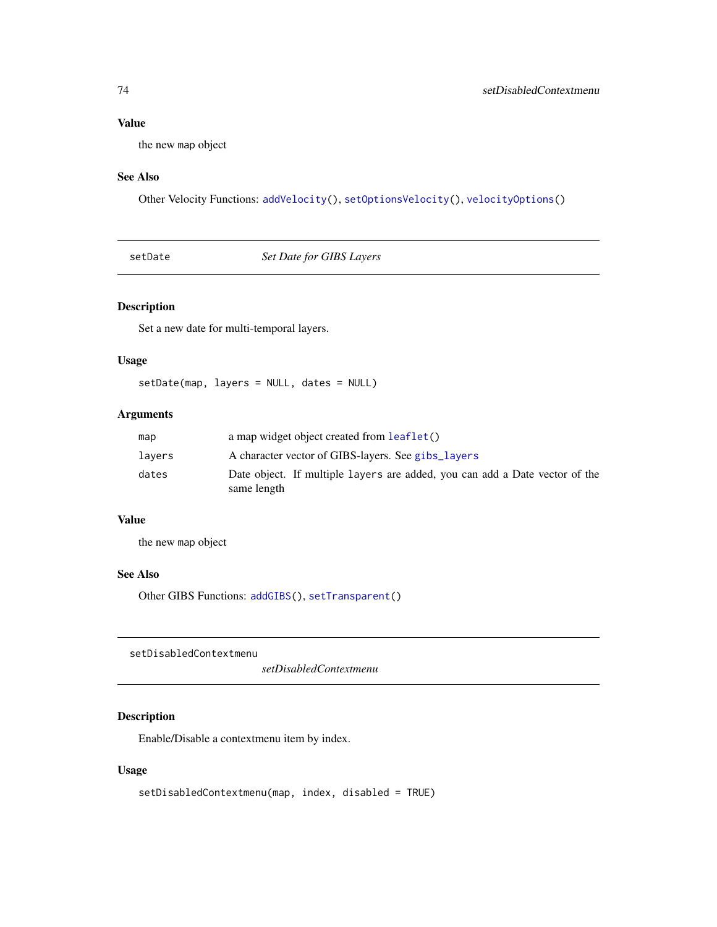## <span id="page-73-2"></span>Value

the new map object

## See Also

Other Velocity Functions: [addVelocity\(](#page-34-0)), [setOptionsVelocity\(](#page-74-0)), [velocityOptions\(](#page-83-0))

<span id="page-73-0"></span>setDate *Set Date for GIBS Layers*

## Description

Set a new date for multi-temporal layers.

# Usage

setDate(map, layers = NULL, dates = NULL)

## Arguments

| map    | a map widget object created from leaflet()                                                 |
|--------|--------------------------------------------------------------------------------------------|
| lavers | A character vector of GIBS-layers. See gibs_layers                                         |
| dates  | Date object. If multiple layers are added, you can add a Date vector of the<br>same length |

## Value

the new map object

# See Also

Other GIBS Functions: [addGIBS\(](#page-9-0)), [setTransparent\(](#page-75-0))

<span id="page-73-1"></span>setDisabledContextmenu

*setDisabledContextmenu*

## Description

Enable/Disable a contextmenu item by index.

## Usage

```
setDisabledContextmenu(map, index, disabled = TRUE)
```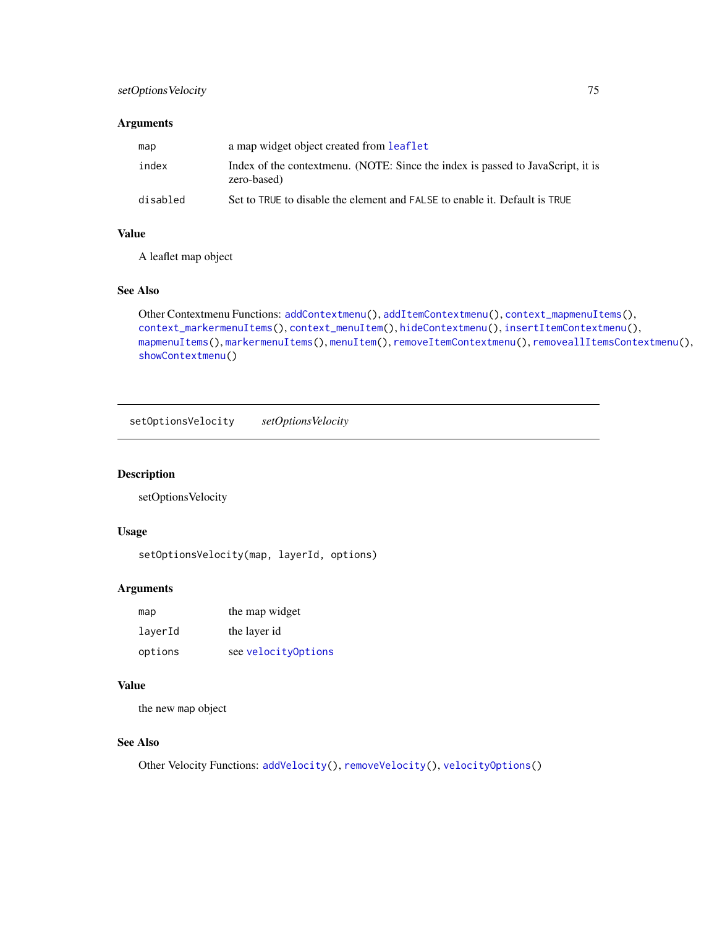## <span id="page-74-1"></span>setOptionsVelocity 75

## Arguments

| map      | a map widget object created from <b>leaflet</b>                                                |
|----------|------------------------------------------------------------------------------------------------|
| index    | Index of the contextmenu. (NOTE: Since the index is passed to JavaScript, it is<br>zero-based) |
| disabled | Set to TRUE to disable the element and FALSE to enable it. Default is TRUE                     |

# Value

A leaflet map object

### See Also

```
Other Contextmenu Functions: addContextmenu(), addItemContextmenu(), context_mapmenuItems(),
context_markermenuItems(), context_menuItem(), hideContextmenu(), insertItemContextmenu(),
mapmenuItems(), markermenuItems(), menuItem(), removeItemContextmenu(), removeallItemsContextmenu(),
showContextmenu()
```
<span id="page-74-0"></span>setOptionsVelocity *setOptionsVelocity*

## Description

setOptionsVelocity

#### Usage

setOptionsVelocity(map, layerId, options)

## Arguments

| map     | the map widget      |
|---------|---------------------|
| laverId | the layer id        |
| options | see velocityOptions |

#### Value

the new map object

## See Also

Other Velocity Functions: [addVelocity\(](#page-34-0)), [removeVelocity\(](#page-72-0)), [velocityOptions\(](#page-83-0))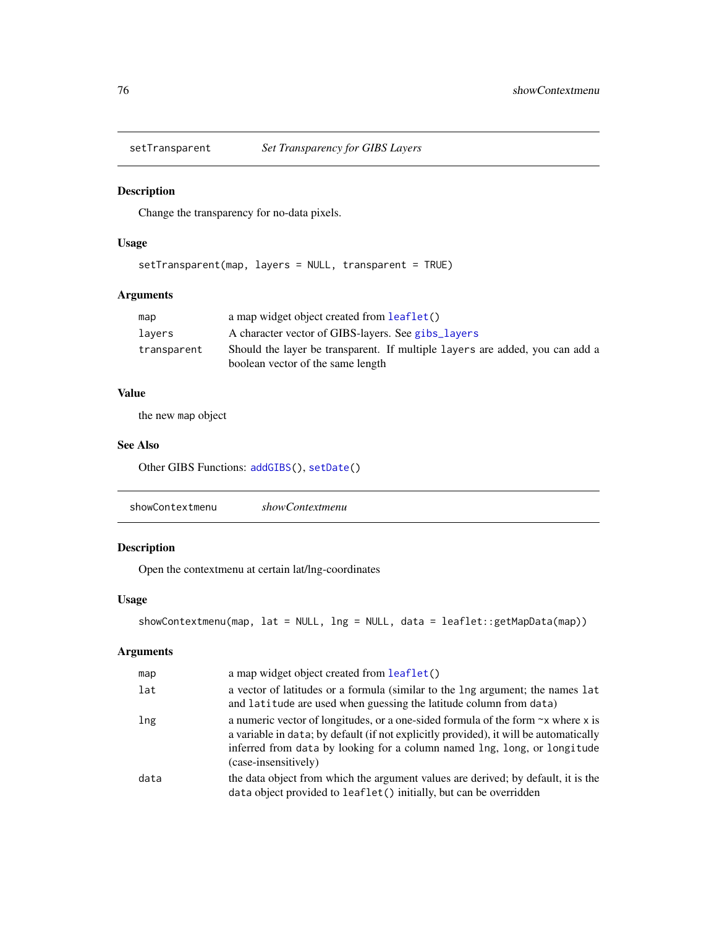<span id="page-75-2"></span><span id="page-75-0"></span>

## Description

Change the transparency for no-data pixels.

## Usage

```
setTransparent(map, layers = NULL, transparent = TRUE)
```
## Arguments

| map         | a map widget object created from leaflet()                                   |
|-------------|------------------------------------------------------------------------------|
| lavers      | A character vector of GIBS-layers. See gibs_layers                           |
| transparent | Should the layer be transparent. If multiple layers are added, you can add a |
|             | boolean vector of the same length                                            |

# Value

the new map object

#### See Also

Other GIBS Functions: [addGIBS\(](#page-9-0)), [setDate\(](#page-73-0))

<span id="page-75-1"></span>

|--|--|

# Description

Open the contextmenu at certain lat/lng-coordinates

## Usage

```
showContextmenu(map, lat = NULL, lng = NULL, data = leaflet::getMapData(map))
```

| map  | a map widget object created from leaflet()                                                                                                                                                                                                                                          |
|------|-------------------------------------------------------------------------------------------------------------------------------------------------------------------------------------------------------------------------------------------------------------------------------------|
| lat  | a vector of latitudes or a formula (similar to the lng argument; the names lat<br>and latitude are used when guessing the latitude column from data)                                                                                                                                |
| lng  | a numeric vector of longitudes, or a one-sided formula of the form $\sim$ x where x is<br>a variable in data; by default (if not explicitly provided), it will be automatically<br>inferred from data by looking for a column named lng, long, or longitude<br>(case-insensitively) |
| data | the data object from which the argument values are derived; by default, it is the<br>data object provided to leaflet() initially, but can be overridden                                                                                                                             |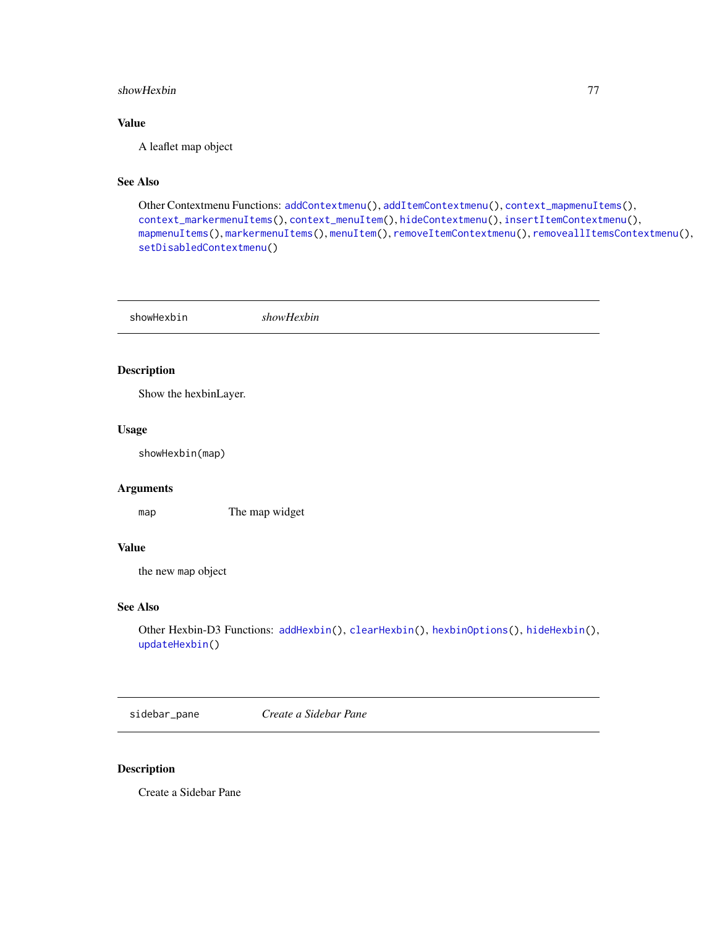#### <span id="page-76-2"></span>showHexbin 77

# Value

A leaflet map object

## See Also

```
Other Contextmenu Functions: addContextmenu(), addItemContextmenu(), context_mapmenuItems(),
context_markermenuItems(), context_menuItem(), hideContextmenu(), insertItemContextmenu(),
mapmenuItems(), markermenuItems(), menuItem(), removeItemContextmenu(), removeallItemsContextmenu(),
setDisabledContextmenu()
```
<span id="page-76-1"></span>showHexbin *showHexbin*

#### Description

Show the hexbinLayer.

## Usage

showHexbin(map)

## Arguments

map The map widget

## Value

the new map object

#### See Also

```
Other Hexbin-D3 Functions: addHexbin(), clearHexbin(), hexbinOptions(), hideHexbin(),
updateHexbin()
```
<span id="page-76-0"></span>sidebar\_pane *Create a Sidebar Pane*

#### Description

Create a Sidebar Pane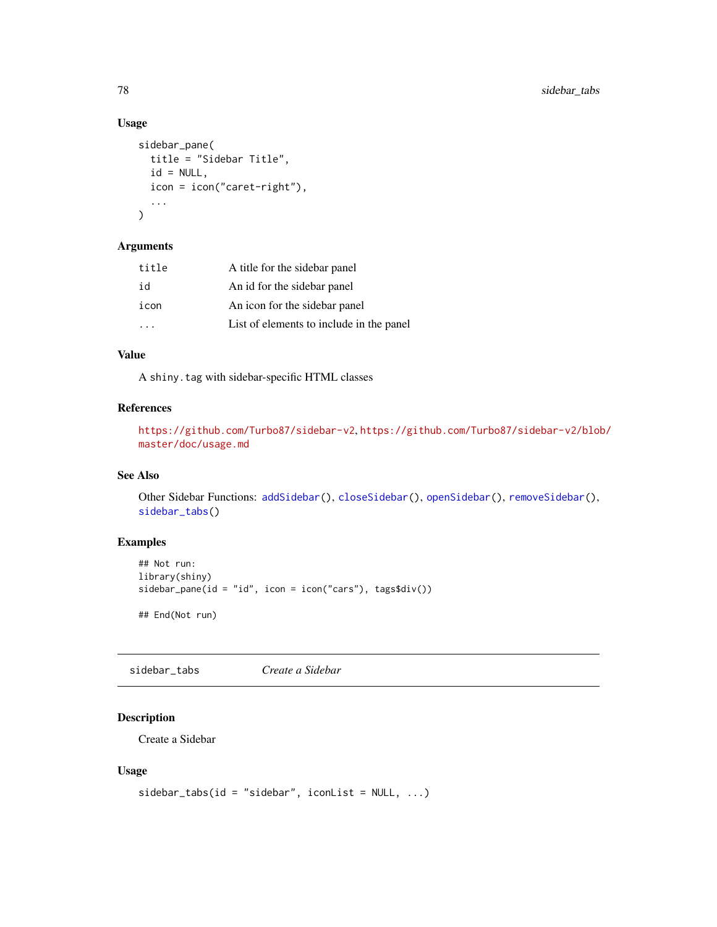## Usage

```
sidebar_pane(
  title = "Sidebar Title",
  id = NULL,icon = icon("caret-right"),
  ...
\mathcal{L}
```
#### Arguments

| title | A title for the sidebar panel            |
|-------|------------------------------------------|
| id    | An id for the sidebar panel              |
| icon  | An icon for the sidebar panel            |
|       | List of elements to include in the panel |

# Value

A shiny.tag with sidebar-specific HTML classes

## References

```
https://github.com/Turbo87/sidebar-v2, https://github.com/Turbo87/sidebar-v2/blob/
master/doc/usage.md
```
## See Also

Other Sidebar Functions: [addSidebar\(](#page-28-0)), [closeSidebar\(](#page-42-0)), [openSidebar\(](#page-63-0)), [removeSidebar\(](#page-71-0)), [sidebar\\_tabs\(](#page-77-0))

## Examples

```
## Not run:
library(shiny)
sidebar_pane(id = "id", icon = icon("cars"), tags$div())
## End(Not run)
```
<span id="page-77-0"></span>sidebar\_tabs *Create a Sidebar*

# Description

Create a Sidebar

#### Usage

```
sidebar\_tabs(id = "sidebar", iconList = NULL, ...)
```
<span id="page-77-1"></span>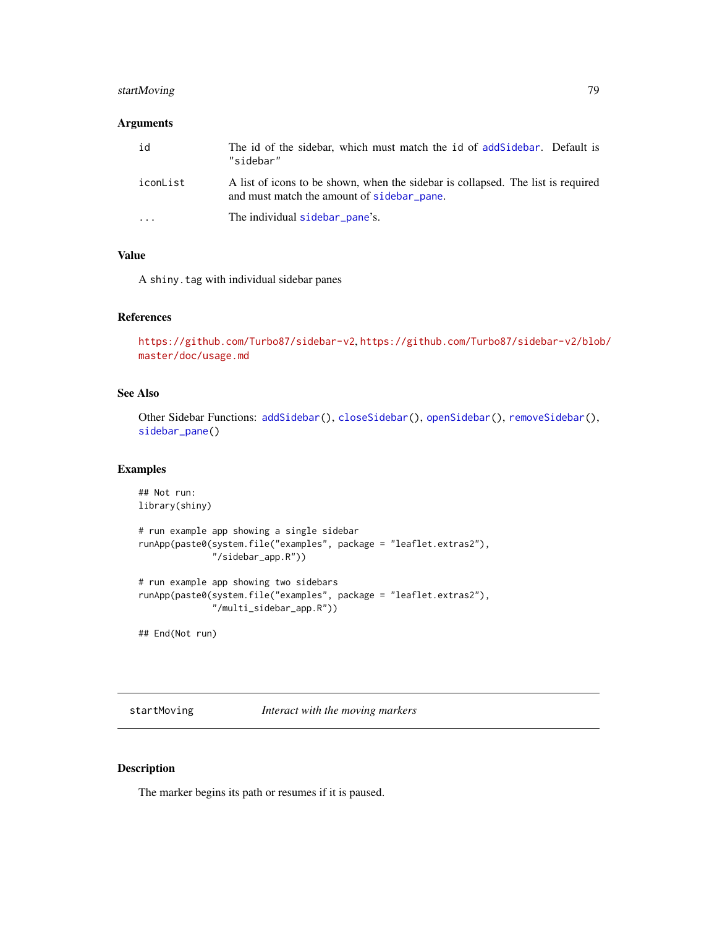## <span id="page-78-0"></span>startMoving 79

## Arguments

| id                      | The id of the sidebar, which must match the id of add Sidebar. Default is<br>"sidebar"                                         |
|-------------------------|--------------------------------------------------------------------------------------------------------------------------------|
| iconList                | A list of icons to be shown, when the sidebar is collapsed. The list is required<br>and must match the amount of sidebar pane. |
| $\cdot$ $\cdot$ $\cdot$ | The individual sidebar pane's.                                                                                                 |

## Value

A shiny.tag with individual sidebar panes

## References

<https://github.com/Turbo87/sidebar-v2>, [https://github.com/Turbo87/sidebar-v2/blob](https://github.com/Turbo87/sidebar-v2/blob/master/doc/usage.md)/ [master/doc/usage.md](https://github.com/Turbo87/sidebar-v2/blob/master/doc/usage.md)

## See Also

Other Sidebar Functions: [addSidebar\(](#page-28-0)), [closeSidebar\(](#page-42-0)), [openSidebar\(](#page-63-0)), [removeSidebar\(](#page-71-0)), [sidebar\\_pane\(](#page-76-0))

## Examples

```
## Not run:
library(shiny)
# run example app showing a single sidebar
runApp(paste0(system.file("examples", package = "leaflet.extras2"),
              "/sidebar_app.R"))
# run example app showing two sidebars
runApp(paste0(system.file("examples", package = "leaflet.extras2"),
              "/multi_sidebar_app.R"))
## End(Not run)
```
startMoving *Interact with the moving markers*

#### Description

The marker begins its path or resumes if it is paused.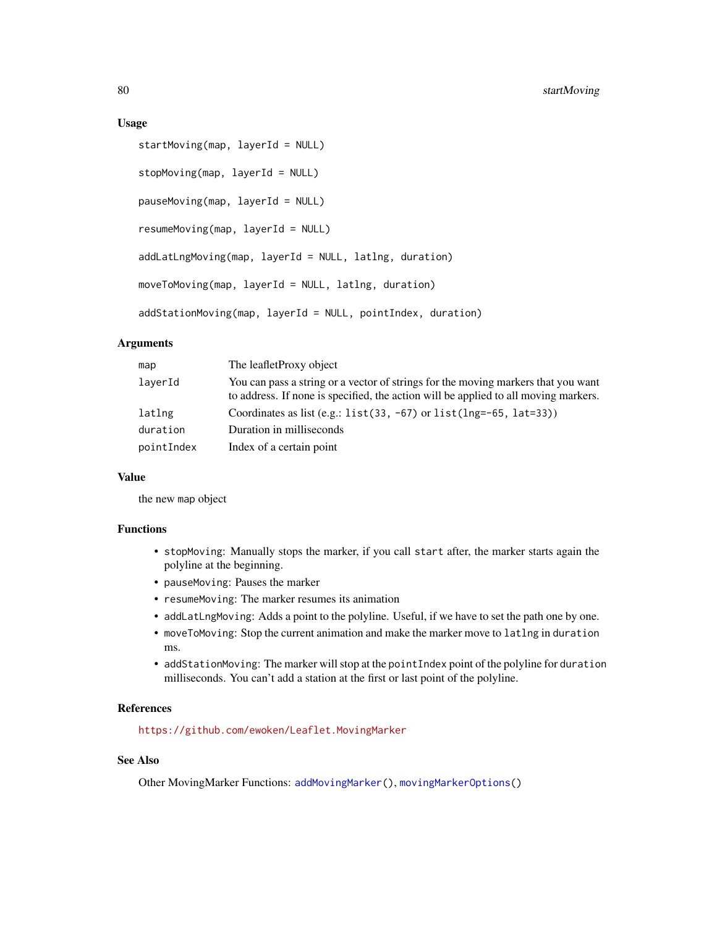#### <span id="page-79-0"></span>Usage

```
startMoving(map, layerId = NULL)
stopMoving(map, layerId = NULL)
pauseMoving(map, layerId = NULL)
resumeMoving(map, layerId = NULL)
addLatLngMoving(map, layerId = NULL, latlng, duration)
moveToMoving(map, layerId = NULL, latlng, duration)
addStationMoving(map, layerId = NULL, pointIndex, duration)
```
## Arguments

| map        | The leaflet Proxy object                                                                                                                                                 |
|------------|--------------------------------------------------------------------------------------------------------------------------------------------------------------------------|
| laverId    | You can pass a string or a vector of strings for the moving markers that you want<br>to address. If none is specified, the action will be applied to all moving markers. |
| latlng     | Coordinates as list (e.g.: $list(33, -67)$ or $list(Ing=-65, lat=33))$ )                                                                                                 |
| duration   | Duration in milliseconds                                                                                                                                                 |
| pointIndex | Index of a certain point                                                                                                                                                 |

## Value

the new map object

## Functions

- stopMoving: Manually stops the marker, if you call start after, the marker starts again the polyline at the beginning.
- pauseMoving: Pauses the marker
- resumeMoving: The marker resumes its animation
- addLatLngMoving: Adds a point to the polyline. Useful, if we have to set the path one by one.
- moveToMoving: Stop the current animation and make the marker move to latlng in duration ms.
- addStationMoving: The marker will stop at the pointIndex point of the polyline for duration milliseconds. You can't add a station at the first or last point of the polyline.

## References

<https://github.com/ewoken/Leaflet.MovingMarker>

## See Also

Other MovingMarker Functions: [addMovingMarker\(](#page-20-0)), [movingMarkerOptions\(](#page-62-0))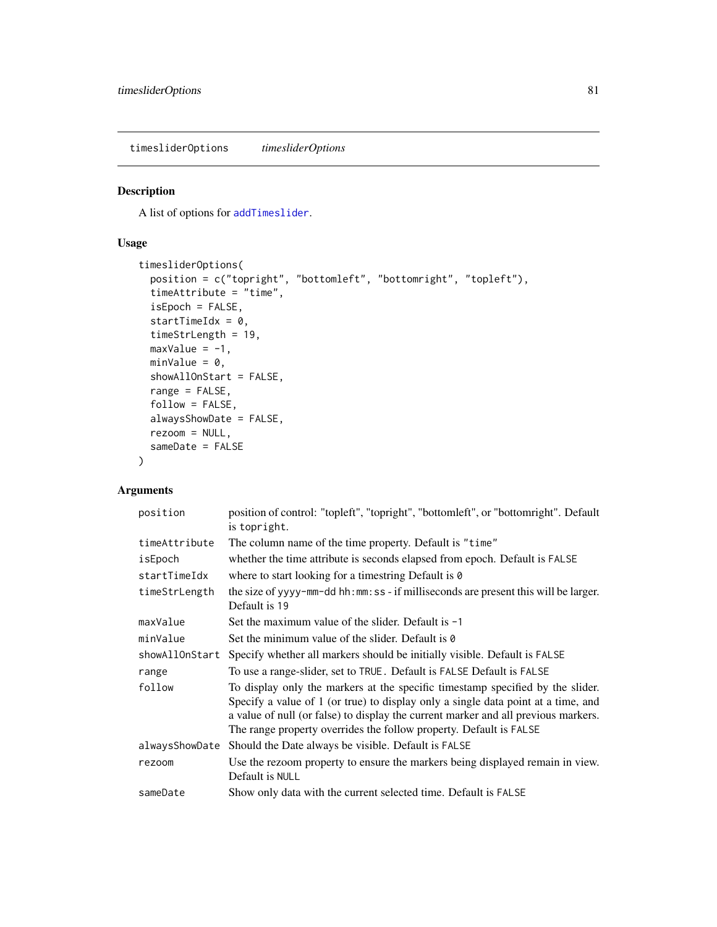<span id="page-80-1"></span><span id="page-80-0"></span>timesliderOptions *timesliderOptions*

## Description

A list of options for [addTimeslider](#page-32-0).

## Usage

```
timesliderOptions(
 position = c("topright", "bottomleft", "bottomright", "topleft"),
  timeAttribute = "time",
  isEpoch = FALSE,
  startTimeIdx = 0,
  timeStrLength = 19,
 maxValue = -1,
 minValue = 0,showAllOnStart = FALSE,
  range = FALSE,
  follow = FALSE,
  alwaysShowDate = FALSE,
  rezoom = NULL,
  sameDate = FALSE
\mathcal{L}
```

| position       | position of control: "topleft", "topright", "bottomleft", or "bottomright". Default<br>is topright.                                                                                                                                                                                                                             |
|----------------|---------------------------------------------------------------------------------------------------------------------------------------------------------------------------------------------------------------------------------------------------------------------------------------------------------------------------------|
| timeAttribute  | The column name of the time property. Default is "time"                                                                                                                                                                                                                                                                         |
| isEpoch        | whether the time attribute is seconds elapsed from epoch. Default is FALSE                                                                                                                                                                                                                                                      |
| startTimeIdx   | where to start looking for a timestring Default is $\theta$                                                                                                                                                                                                                                                                     |
| timeStrLength  | the size of yyyy-mm-dd hh:mm: ss - if milliseconds are present this will be larger.<br>Default is 19                                                                                                                                                                                                                            |
| maxValue       | Set the maximum value of the slider. Default is $-1$                                                                                                                                                                                                                                                                            |
| minValue       | Set the minimum value of the slider. Default is 0                                                                                                                                                                                                                                                                               |
| showAllOnStart | Specify whether all markers should be initially visible. Default is FALSE                                                                                                                                                                                                                                                       |
| range          | To use a range-slider, set to TRUE. Default is FALSE Default is FALSE                                                                                                                                                                                                                                                           |
| follow         | To display only the markers at the specific timestamp specified by the slider.<br>Specify a value of 1 (or true) to display only a single data point at a time, and<br>a value of null (or false) to display the current marker and all previous markers.<br>The range property overrides the follow property. Default is FALSE |
| alwaysShowDate | Should the Date always be visible. Default is FALSE                                                                                                                                                                                                                                                                             |
| rezoom         | Use the rezoom property to ensure the markers being displayed remain in view.<br>Default is NULL                                                                                                                                                                                                                                |
| sameDate       | Show only data with the current selected time. Default is FALSE                                                                                                                                                                                                                                                                 |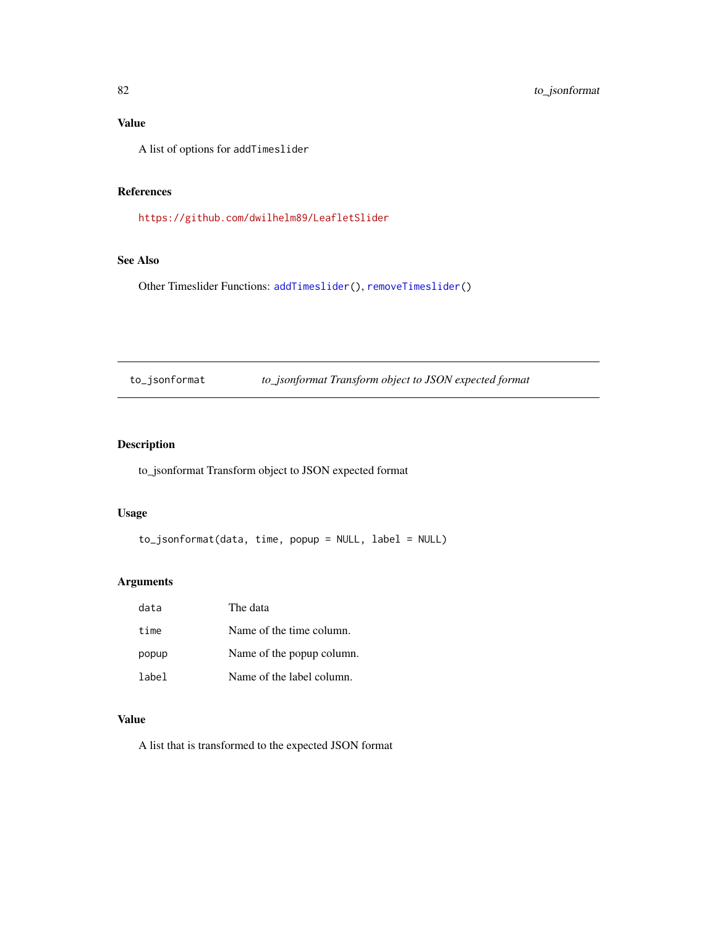## <span id="page-81-0"></span>Value

A list of options for addTimeslider

#### References

<https://github.com/dwilhelm89/LeafletSlider>

## See Also

Other Timeslider Functions: [addTimeslider\(](#page-32-0)), [removeTimeslider\(](#page-72-1))

to\_jsonformat *to\_jsonformat Transform object to JSON expected format*

# Description

to\_jsonformat Transform object to JSON expected format

#### Usage

to\_jsonformat(data, time, popup = NULL, label = NULL)

#### Arguments

| data  | The data                  |
|-------|---------------------------|
| time  | Name of the time column.  |
| popup | Name of the popup column. |
| label | Name of the label column. |

## Value

A list that is transformed to the expected JSON format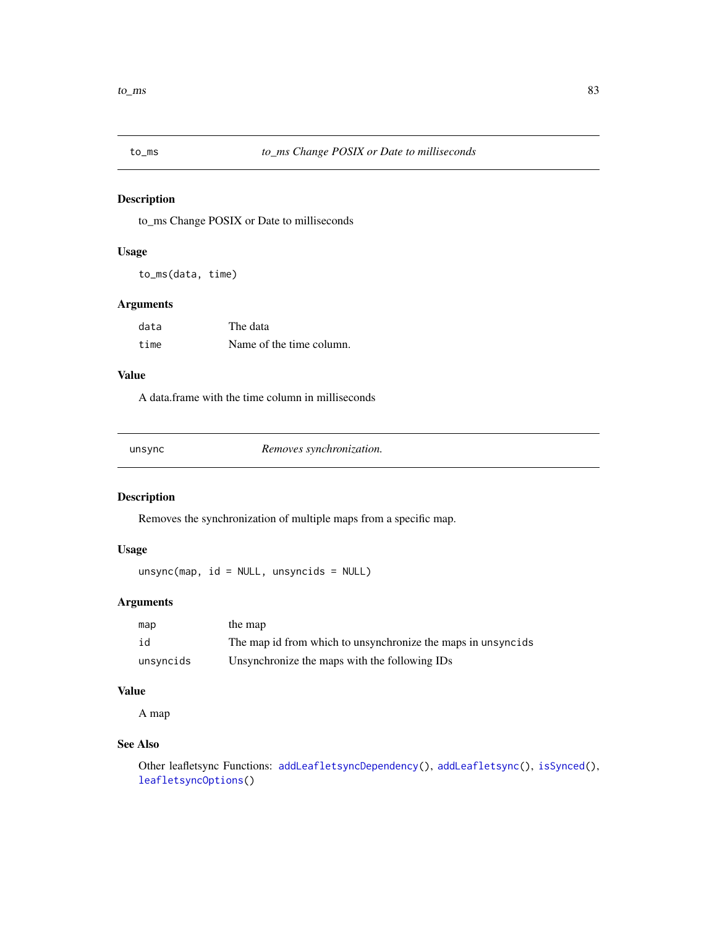<span id="page-82-0"></span>

## Description

to\_ms Change POSIX or Date to milliseconds

#### Usage

to\_ms(data, time)

#### Arguments

| data | The data                 |
|------|--------------------------|
| time | Name of the time column. |

# Value

A data.frame with the time column in milliseconds

unsync *Removes synchronization.*

# Description

Removes the synchronization of multiple maps from a specific map.

## Usage

unsync(map, id = NULL, unsyncids = NULL)

## Arguments

| map       | the map                                                      |
|-----------|--------------------------------------------------------------|
| id        | The map id from which to unsynchronize the maps in unsyncids |
| unsyncids | Unsynchronize the maps with the following IDs                |

## Value

A map

## See Also

Other leafletsync Functions: [addLeafletsyncDependency\(](#page-17-0)), [addLeafletsync\(](#page-16-0)), [isSynced\(](#page-55-0)), [leafletsyncOptions\(](#page-56-0))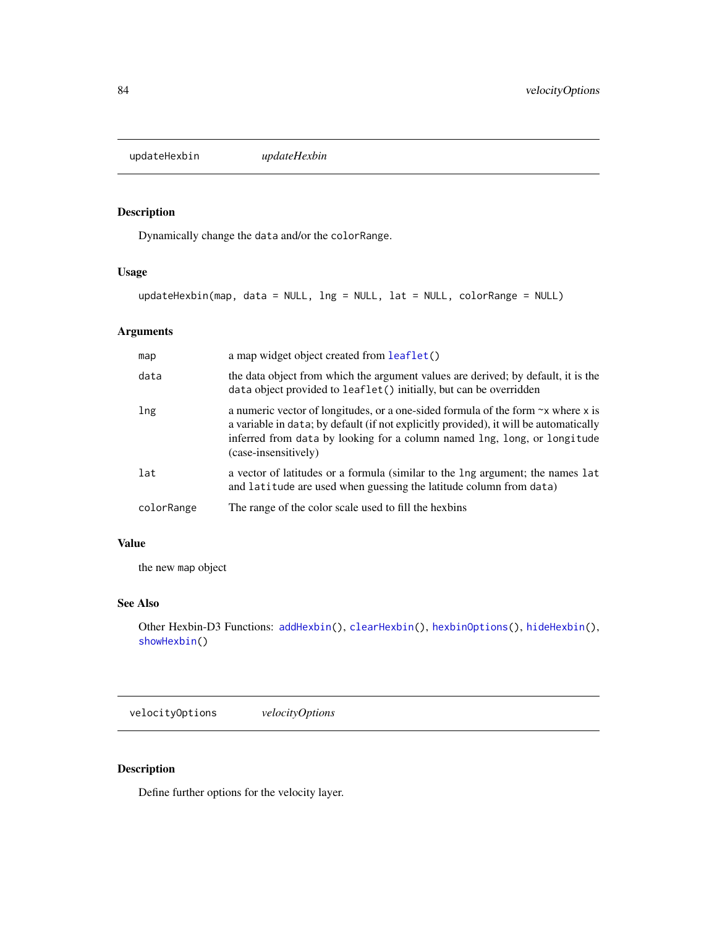<span id="page-83-2"></span><span id="page-83-1"></span>updateHexbin *updateHexbin*

# Description

Dynamically change the data and/or the colorRange.

#### Usage

```
updateHexbin(map, data = NULL, lng = NULL, lat = NULL, colorRange = NULL)
```
## Arguments

| map        | a map widget object created from leaflet()                                                                                                                                                                                                                                          |
|------------|-------------------------------------------------------------------------------------------------------------------------------------------------------------------------------------------------------------------------------------------------------------------------------------|
| data       | the data object from which the argument values are derived; by default, it is the<br>data object provided to leaflet() initially, but can be overridden                                                                                                                             |
| lng        | a numeric vector of longitudes, or a one-sided formula of the form $\sim x$ where x is<br>a variable in data; by default (if not explicitly provided), it will be automatically<br>inferred from data by looking for a column named lng, long, or longitude<br>(case-insensitively) |
| lat        | a vector of latitudes or a formula (similar to the lng argument; the names lat<br>and latitude are used when guessing the latitude column from data)                                                                                                                                |
| colorRange | The range of the color scale used to fill the hexbins                                                                                                                                                                                                                               |

## Value

the new map object

#### See Also

```
Other Hexbin-D3 Functions: addHexbin(), clearHexbin(), hexbinOptions(), hideHexbin(),
showHexbin()
```
<span id="page-83-0"></span>velocityOptions *velocityOptions*

## Description

Define further options for the velocity layer.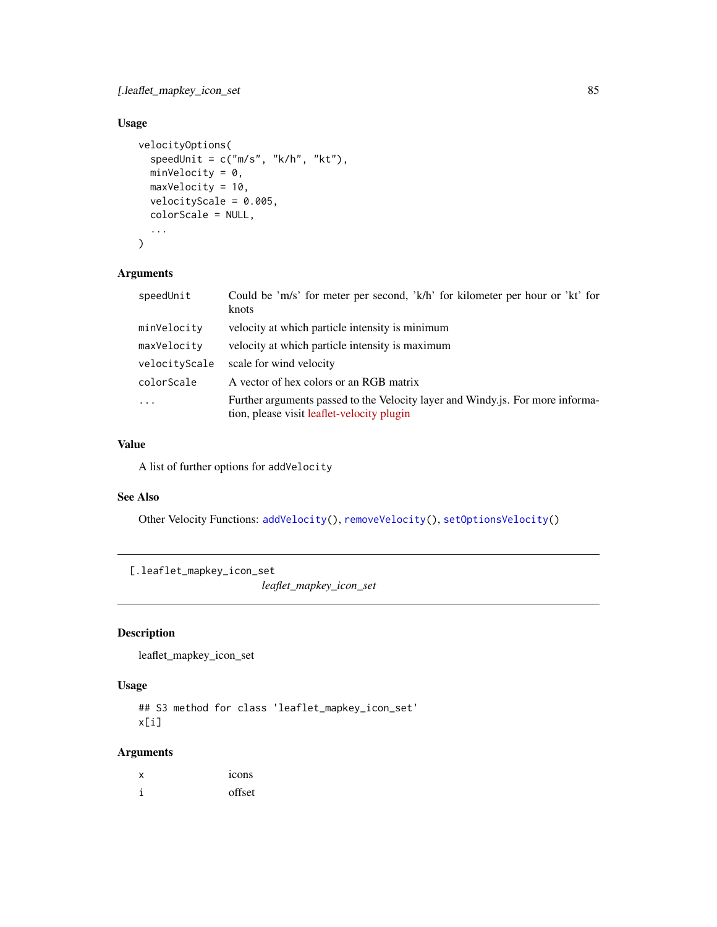<span id="page-84-0"></span>[.leaflet\_mapkey\_icon\_set 85

# Usage

```
velocityOptions(
  speedUnit = c("m/s", "k/h", "kt"),minVelocity = 0,maxVelocity = 10,
 velocityScale = 0.005,
  colorScale = NULL,
  ...
\mathcal{L}
```
## Arguments

| speedUnit     | Could be 'm/s' for meter per second, 'k/h' for kilometer per hour or 'kt' for<br>knots                                       |
|---------------|------------------------------------------------------------------------------------------------------------------------------|
| minVelocity   | velocity at which particle intensity is minimum                                                                              |
| maxVelocity   | velocity at which particle intensity is maximum                                                                              |
| velocityScale | scale for wind velocity                                                                                                      |
| colorScale    | A vector of hex colors or an RGB matrix                                                                                      |
| .             | Further arguments passed to the Velocity layer and Windy is. For more informa-<br>tion, please visit leaflet-velocity plugin |

## Value

A list of further options for addVelocity

#### See Also

Other Velocity Functions: [addVelocity\(](#page-34-0)), [removeVelocity\(](#page-72-0)), [setOptionsVelocity\(](#page-74-0))

```
[.leaflet_mapkey_icon_set
```
*leaflet\_mapkey\_icon\_set*

## Description

leaflet\_mapkey\_icon\_set

#### Usage

```
## S3 method for class 'leaflet_mapkey_icon_set'
x[i]
```

| х | 1CO <sub>ns</sub> |
|---|-------------------|
| 1 | offset            |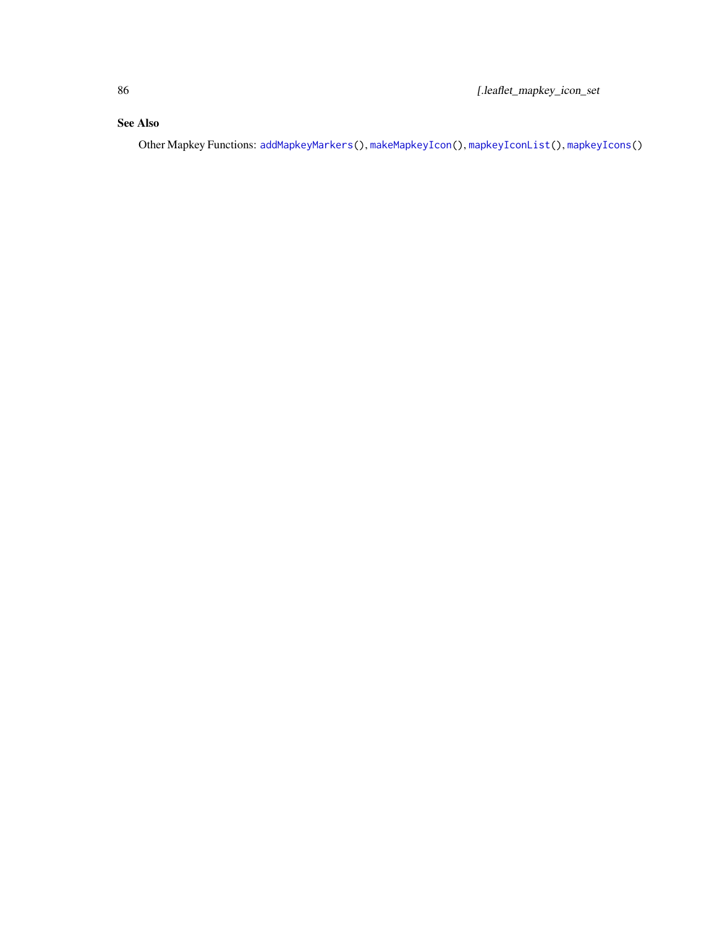# <span id="page-85-0"></span>See Also

Other Mapkey Functions: [addMapkeyMarkers\(](#page-18-0)), [makeMapkeyIcon\(](#page-56-1)), [mapkeyIconList\(](#page-58-0)), [mapkeyIcons\(](#page-59-0))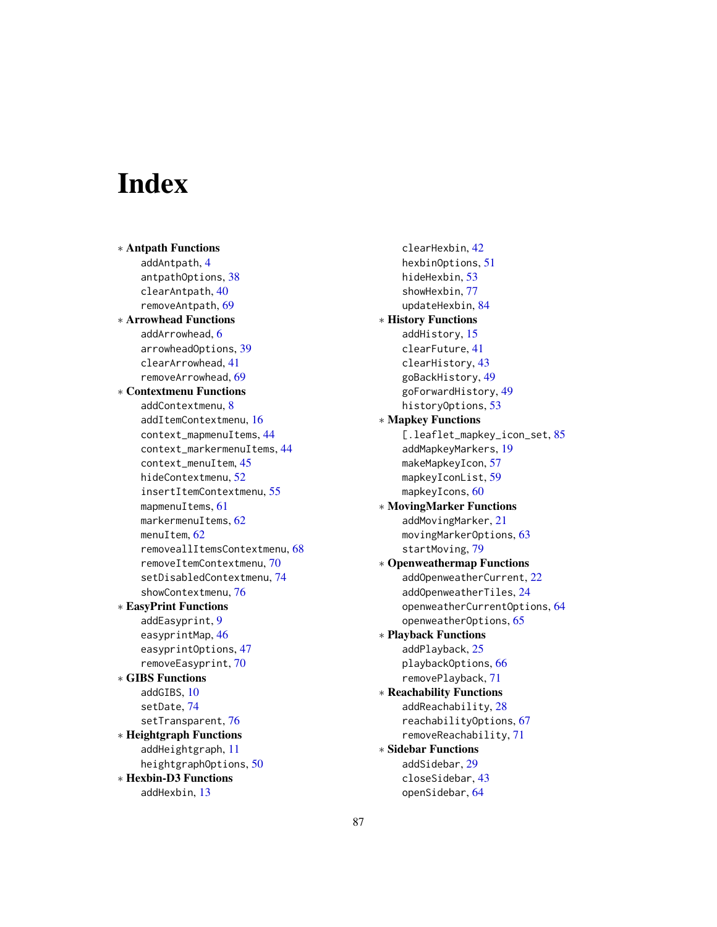# **Index**

∗ Antpath Functions addAntpath, [4](#page-3-0) antpathOptions, [38](#page-37-0) clearAntpath, [40](#page-39-0) removeAntpath, [69](#page-68-0) ∗ Arrowhead Functions addArrowhead, [6](#page-5-0) arrowheadOptions, [39](#page-38-0) clearArrowhead, [41](#page-40-0) removeArrowhead, [69](#page-68-0) ∗ Contextmenu Functions addContextmenu, [8](#page-7-1) addItemContextmenu, [16](#page-15-1) context\_mapmenuItems, [44](#page-43-2) context\_markermenuItems, [44](#page-43-2) context\_menuItem, [45](#page-44-1) hideContextmenu, [52](#page-51-1) insertItemContextmenu, [55](#page-54-1) mapmenuItems, [61](#page-60-1) markermenuItems, [62](#page-61-2) menuItem, [62](#page-61-2) removeallItemsContextmenu, [68](#page-67-1) removeItemContextmenu, [70](#page-69-1) setDisabledContextmenu, [74](#page-73-2) showContextmenu, [76](#page-75-2) ∗ EasyPrint Functions addEasyprint, [9](#page-8-0) easyprintMap, [46](#page-45-0) easyprintOptions, [47](#page-46-0) removeEasyprint, [70](#page-69-1) ∗ GIBS Functions addGIBS, [10](#page-9-1) setDate, [74](#page-73-2) setTransparent, [76](#page-75-2) ∗ Heightgraph Functions addHeightgraph, [11](#page-10-0) heightgraphOptions, [50](#page-49-0) ∗ Hexbin-D3 Functions addHexbin, [13](#page-12-1)

clearHexbin, [42](#page-41-1) hexbinOptions, [51](#page-50-1) hideHexbin, [53](#page-52-1) showHexbin, [77](#page-76-2) updateHexbin, [84](#page-83-2) ∗ History Functions addHistory, [15](#page-14-0) clearFuture, [41](#page-40-0) clearHistory, [43](#page-42-1) goBackHistory, [49](#page-48-0) goForwardHistory, [49](#page-48-0) historyOptions, [53](#page-52-1) ∗ Mapkey Functions [.leaflet\_mapkey\_icon\_set, [85](#page-84-0) addMapkeyMarkers, [19](#page-18-1) makeMapkeyIcon, [57](#page-56-2) mapkeyIconList, [59](#page-58-1) mapkeyIcons, [60](#page-59-1) ∗ MovingMarker Functions addMovingMarker, [21](#page-20-1) movingMarkerOptions, [63](#page-62-1) startMoving, [79](#page-78-0) ∗ Openweathermap Functions addOpenweatherCurrent, [22](#page-21-0) addOpenweatherTiles, [24](#page-23-0) openweatherCurrentOptions, [64](#page-63-1) openweatherOptions, [65](#page-64-0) ∗ Playback Functions addPlayback, [25](#page-24-0) playbackOptions, [66](#page-65-0) removePlayback, [71](#page-70-0) ∗ Reachability Functions addReachability, [28](#page-27-0) reachabilityOptions, [67](#page-66-0) removeReachability, [71](#page-70-0) ∗ Sidebar Functions addSidebar, [29](#page-28-1) closeSidebar, [43](#page-42-1) openSidebar, [64](#page-63-1)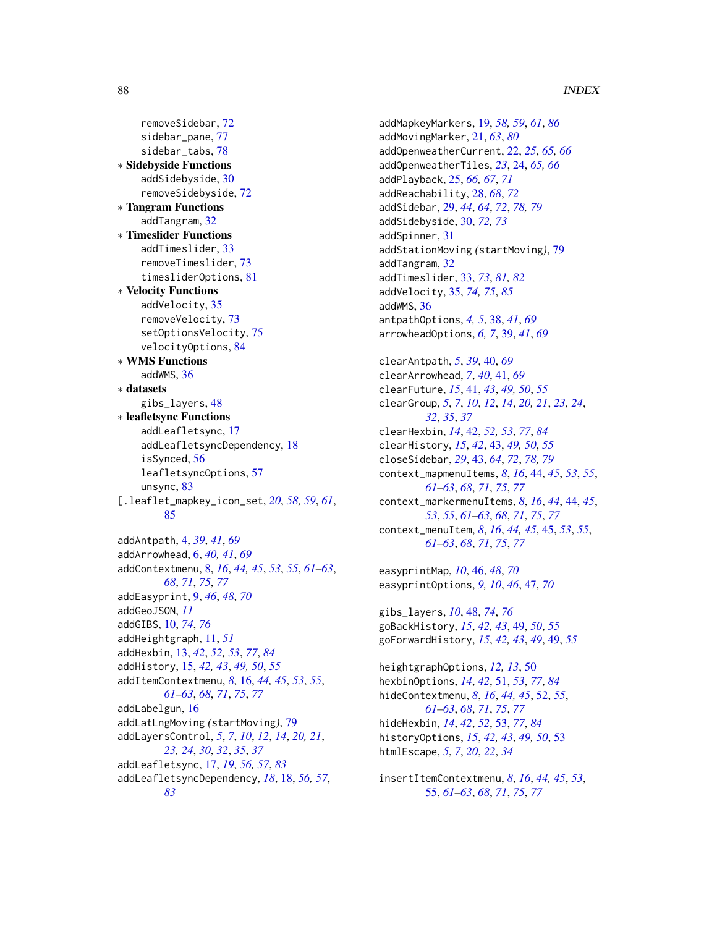removeSidebar, [72](#page-71-1) sidebar\_pane, [77](#page-76-2) sidebar\_tabs, [78](#page-77-1) ∗ Sidebyside Functions addSidebyside, [30](#page-29-1) removeSidebyside, [72](#page-71-1) ∗ Tangram Functions addTangram, [32](#page-31-0) ∗ Timeslider Functions addTimeslider, [33](#page-32-1) removeTimeslider, [73](#page-72-2) timesliderOptions, [81](#page-80-1) ∗ Velocity Functions addVelocity, [35](#page-34-1) removeVelocity, [73](#page-72-2) setOptionsVelocity, [75](#page-74-1) velocityOptions, [84](#page-83-2) ∗ WMS Functions addWMS, [36](#page-35-0) ∗ datasets gibs\_layers, [48](#page-47-1) ∗ leafletsync Functions addLeafletsync, [17](#page-16-1) addLeafletsyncDependency, [18](#page-17-1) isSynced, [56](#page-55-1) leafletsyncOptions, [57](#page-56-2) unsync, [83](#page-82-0) [.leaflet\_mapkey\_icon\_set, *[20](#page-19-0)*, *[58,](#page-57-0) [59](#page-58-1)*, *[61](#page-60-1)*, [85](#page-84-0) addAntpath, [4,](#page-3-0) *[39](#page-38-0)*, *[41](#page-40-0)*, *[69](#page-68-0)* addArrowhead, [6,](#page-5-0) *[40,](#page-39-0) [41](#page-40-0)*, *[69](#page-68-0)* addContextmenu, [8,](#page-7-1) *[16](#page-15-1)*, *[44,](#page-43-2) [45](#page-44-1)*, *[53](#page-52-1)*, *[55](#page-54-1)*, *[61–](#page-60-1)[63](#page-62-1)*, *[68](#page-67-1)*, *[71](#page-70-0)*, *[75](#page-74-1)*, *[77](#page-76-2)* addEasyprint, [9,](#page-8-0) *[46](#page-45-0)*, *[48](#page-47-1)*, *[70](#page-69-1)* addGeoJSON, *[11](#page-10-0)* addGIBS, [10,](#page-9-1) *[74](#page-73-2)*, *[76](#page-75-2)* addHeightgraph, [11,](#page-10-0) *[51](#page-50-1)* addHexbin, [13,](#page-12-1) *[42](#page-41-1)*, *[52,](#page-51-1) [53](#page-52-1)*, *[77](#page-76-2)*, *[84](#page-83-2)* addHistory, [15,](#page-14-0) *[42,](#page-41-1) [43](#page-42-1)*, *[49,](#page-48-0) [50](#page-49-0)*, *[55](#page-54-1)* addItemContextmenu, *[8](#page-7-1)*, [16,](#page-15-1) *[44,](#page-43-2) [45](#page-44-1)*, *[53](#page-52-1)*, *[55](#page-54-1)*, *[61](#page-60-1)[–63](#page-62-1)*, *[68](#page-67-1)*, *[71](#page-70-0)*, *[75](#page-74-1)*, *[77](#page-76-2)* addLabelgun, [16](#page-15-1) addLatLngMoving *(*startMoving*)*, [79](#page-78-0) addLayersControl, *[5](#page-4-0)*, *[7](#page-6-0)*, *[10](#page-9-1)*, *[12](#page-11-0)*, *[14](#page-13-0)*, *[20,](#page-19-0) [21](#page-20-1)*, *[23,](#page-22-0) [24](#page-23-0)*, *[30](#page-29-1)*, *[32](#page-31-0)*, *[35](#page-34-1)*, *[37](#page-36-0)* addLeafletsync, [17,](#page-16-1) *[19](#page-18-1)*, *[56,](#page-55-1) [57](#page-56-2)*, *[83](#page-82-0)* addLeafletsyncDependency, *[18](#page-17-1)*, [18,](#page-17-1) *[56,](#page-55-1) [57](#page-56-2)*,

*[83](#page-82-0)*

addMapkeyMarkers, [19,](#page-18-1) *[58,](#page-57-0) [59](#page-58-1)*, *[61](#page-60-1)*, *[86](#page-85-0)* addMovingMarker, [21,](#page-20-1) *[63](#page-62-1)*, *[80](#page-79-0)* addOpenweatherCurrent, [22,](#page-21-0) *[25](#page-24-0)*, *[65,](#page-64-0) [66](#page-65-0)* addOpenweatherTiles, *[23](#page-22-0)*, [24,](#page-23-0) *[65,](#page-64-0) [66](#page-65-0)* addPlayback, [25,](#page-24-0) *[66,](#page-65-0) [67](#page-66-0)*, *[71](#page-70-0)* addReachability, [28,](#page-27-0) *[68](#page-67-1)*, *[72](#page-71-1)* addSidebar, [29,](#page-28-1) *[44](#page-43-2)*, *[64](#page-63-1)*, *[72](#page-71-1)*, *[78,](#page-77-1) [79](#page-78-0)* addSidebyside, [30,](#page-29-1) *[72,](#page-71-1) [73](#page-72-2)* addSpinner, [31](#page-30-0) addStationMoving *(*startMoving*)*, [79](#page-78-0) addTangram, [32](#page-31-0) addTimeslider, [33,](#page-32-1) *[73](#page-72-2)*, *[81,](#page-80-1) [82](#page-81-0)* addVelocity, [35,](#page-34-1) *[74,](#page-73-2) [75](#page-74-1)*, *[85](#page-84-0)* addWMS, [36](#page-35-0) antpathOptions, *[4,](#page-3-0) [5](#page-4-0)*, [38,](#page-37-0) *[41](#page-40-0)*, *[69](#page-68-0)* arrowheadOptions, *[6,](#page-5-0) [7](#page-6-0)*, [39,](#page-38-0) *[41](#page-40-0)*, *[69](#page-68-0)* clearAntpath, *[5](#page-4-0)*, *[39](#page-38-0)*, [40,](#page-39-0) *[69](#page-68-0)* clearArrowhead, *[7](#page-6-0)*, *[40](#page-39-0)*, [41,](#page-40-0) *[69](#page-68-0)* clearFuture, *[15](#page-14-0)*, [41,](#page-40-0) *[43](#page-42-1)*, *[49,](#page-48-0) [50](#page-49-0)*, *[55](#page-54-1)* clearGroup, *[5](#page-4-0)*, *[7](#page-6-0)*, *[10](#page-9-1)*, *[12](#page-11-0)*, *[14](#page-13-0)*, *[20,](#page-19-0) [21](#page-20-1)*, *[23,](#page-22-0) [24](#page-23-0)*, *[32](#page-31-0)*, *[35](#page-34-1)*, *[37](#page-36-0)* clearHexbin, *[14](#page-13-0)*, [42,](#page-41-1) *[52,](#page-51-1) [53](#page-52-1)*, *[77](#page-76-2)*, *[84](#page-83-2)* clearHistory, *[15](#page-14-0)*, *[42](#page-41-1)*, [43,](#page-42-1) *[49,](#page-48-0) [50](#page-49-0)*, *[55](#page-54-1)* closeSidebar, *[29](#page-28-1)*, [43,](#page-42-1) *[64](#page-63-1)*, *[72](#page-71-1)*, *[78,](#page-77-1) [79](#page-78-0)* context\_mapmenuItems, *[8](#page-7-1)*, *[16](#page-15-1)*, [44,](#page-43-2) *[45](#page-44-1)*, *[53](#page-52-1)*, *[55](#page-54-1)*, *[61](#page-60-1)[–63](#page-62-1)*, *[68](#page-67-1)*, *[71](#page-70-0)*, *[75](#page-74-1)*, *[77](#page-76-2)* context\_markermenuItems, *[8](#page-7-1)*, *[16](#page-15-1)*, *[44](#page-43-2)*, [44,](#page-43-2) *[45](#page-44-1)*, *[53](#page-52-1)*, *[55](#page-54-1)*, *[61](#page-60-1)[–63](#page-62-1)*, *[68](#page-67-1)*, *[71](#page-70-0)*, *[75](#page-74-1)*, *[77](#page-76-2)* context\_menuItem, *[8](#page-7-1)*, *[16](#page-15-1)*, *[44,](#page-43-2) [45](#page-44-1)*, [45,](#page-44-1) *[53](#page-52-1)*, *[55](#page-54-1)*, *[61](#page-60-1)[–63](#page-62-1)*, *[68](#page-67-1)*, *[71](#page-70-0)*, *[75](#page-74-1)*, *[77](#page-76-2)* easyprintMap, *[10](#page-9-1)*, [46,](#page-45-0) *[48](#page-47-1)*, *[70](#page-69-1)* easyprintOptions, *[9,](#page-8-0) [10](#page-9-1)*, *[46](#page-45-0)*, [47,](#page-46-0) *[70](#page-69-1)* gibs\_layers, *[10](#page-9-1)*, [48,](#page-47-1) *[74](#page-73-2)*, *[76](#page-75-2)* goBackHistory, *[15](#page-14-0)*, *[42,](#page-41-1) [43](#page-42-1)*, [49,](#page-48-0) *[50](#page-49-0)*, *[55](#page-54-1)* goForwardHistory, *[15](#page-14-0)*, *[42,](#page-41-1) [43](#page-42-1)*, *[49](#page-48-0)*, [49,](#page-48-0) *[55](#page-54-1)* heightgraphOptions, *[12,](#page-11-0) [13](#page-12-1)*, [50](#page-49-0) hexbinOptions, *[14](#page-13-0)*, *[42](#page-41-1)*, [51,](#page-50-1) *[53](#page-52-1)*, *[77](#page-76-2)*, *[84](#page-83-2)* hideContextmenu, *[8](#page-7-1)*, *[16](#page-15-1)*, *[44,](#page-43-2) [45](#page-44-1)*, [52,](#page-51-1) *[55](#page-54-1)*,

*[61](#page-60-1)[–63](#page-62-1)*, *[68](#page-67-1)*, *[71](#page-70-0)*, *[75](#page-74-1)*, *[77](#page-76-2)* hideHexbin, *[14](#page-13-0)*, *[42](#page-41-1)*, *[52](#page-51-1)*, [53,](#page-52-1) *[77](#page-76-2)*, *[84](#page-83-2)* historyOptions, *[15](#page-14-0)*, *[42,](#page-41-1) [43](#page-42-1)*, *[49,](#page-48-0) [50](#page-49-0)*, [53](#page-52-1) htmlEscape, *[5](#page-4-0)*, *[7](#page-6-0)*, *[20](#page-19-0)*, *[22](#page-21-0)*, *[34](#page-33-0)*

insertItemContextmenu, *[8](#page-7-1)*, *[16](#page-15-1)*, *[44,](#page-43-2) [45](#page-44-1)*, *[53](#page-52-1)*, [55,](#page-54-1) *[61](#page-60-1)[–63](#page-62-1)*, *[68](#page-67-1)*, *[71](#page-70-0)*, *[75](#page-74-1)*, *[77](#page-76-2)*